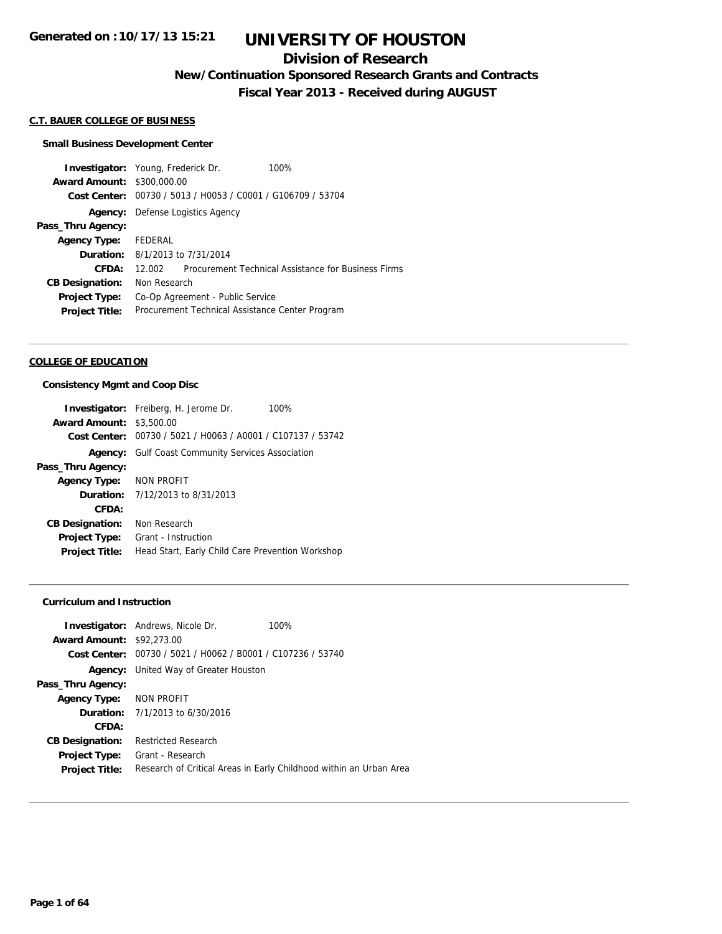## **Division of Research**

**New/Continuation Sponsored Research Grants and Contracts**

**Fiscal Year 2013 - Received during AUGUST**

#### **C.T. BAUER COLLEGE OF BUSINESS**

#### **Small Business Development Center**

**Investigator:** Young, Frederick Dr. 100% **Award Amount:** \$300,000.00 **Cost Center:** 00730 / 5013 / H0053 / C0001 / G106709 / 53704 **Agency:** Defense Logistics Agency **Pass\_Thru Agency: Agency Type:** FEDERAL **Duration:** 8/1/2013 to 7/31/2014 **CFDA:** 12.002 Procurement Technical Assistance for Business Firms **CB Designation:** Non Research **Project Type:** Co-Op Agreement - Public Service **Project Title:** Procurement Technical Assistance Center Program

## **COLLEGE OF EDUCATION**

#### **Consistency Mgmt and Coop Disc**

|                        | <b>Investigator:</b> Freiberg, H. Jerome Dr.<br>100% |
|------------------------|------------------------------------------------------|
| <b>Award Amount:</b>   | \$3,500.00                                           |
| Cost Center:           | 00730 / 5021 / H0063 / A0001 / C107137 / 53742       |
| Agency:                | <b>Gulf Coast Community Services Association</b>     |
| Pass_Thru Agency:      |                                                      |
| Agency Type:           | NON PROFIT                                           |
| <b>Duration:</b>       | 7/12/2013 to 8/31/2013                               |
| CFDA:                  |                                                      |
| <b>CB Designation:</b> | Non Research                                         |
| <b>Project Type:</b>   | Grant - Instruction                                  |
| <b>Project Title:</b>  | Head Start, Early Child Care Prevention Workshop     |

#### **Curriculum and Instruction**

|                                  | <b>Investigator:</b> Andrews, Nicole Dr.                    | 100%                                                               |
|----------------------------------|-------------------------------------------------------------|--------------------------------------------------------------------|
| <b>Award Amount: \$92,273.00</b> |                                                             |                                                                    |
|                                  | Cost Center: 00730 / 5021 / H0062 / B0001 / C107236 / 53740 |                                                                    |
|                                  | <b>Agency:</b> United Way of Greater Houston                |                                                                    |
| Pass_Thru Agency:                |                                                             |                                                                    |
| Agency Type: NON PROFIT          |                                                             |                                                                    |
|                                  | <b>Duration:</b> $7/1/2013$ to $6/30/2016$                  |                                                                    |
| CFDA:                            |                                                             |                                                                    |
| <b>CB Designation:</b>           | <b>Restricted Research</b>                                  |                                                                    |
| Project Type:                    | Grant - Research                                            |                                                                    |
| <b>Project Title:</b>            |                                                             | Research of Critical Areas in Early Childhood within an Urban Area |
|                                  |                                                             |                                                                    |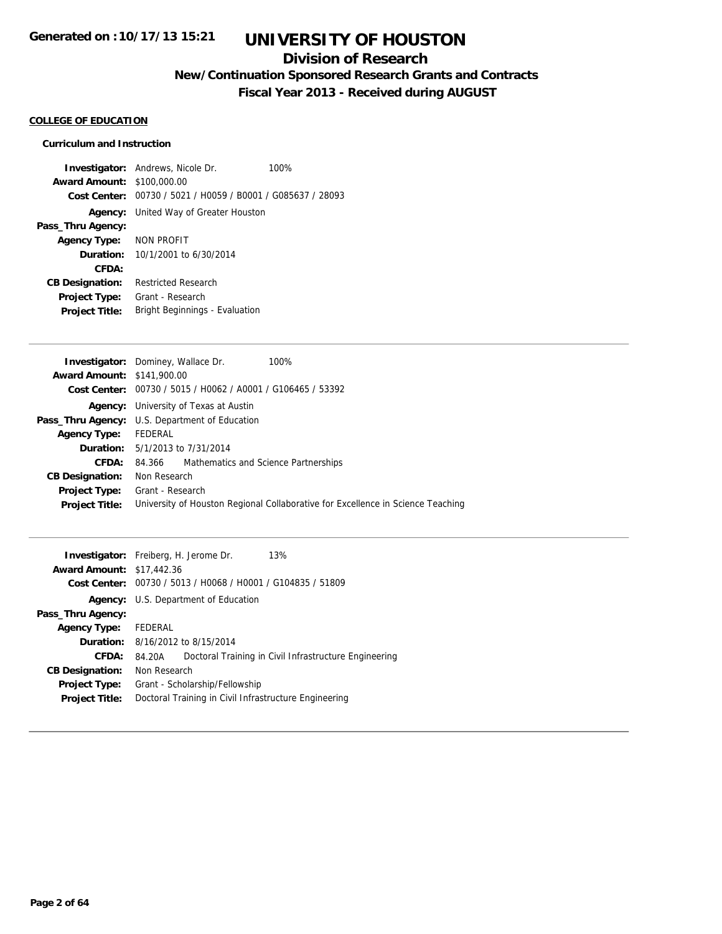# **Division of Research**

**New/Continuation Sponsored Research Grants and Contracts**

**Fiscal Year 2013 - Received during AUGUST**

## **COLLEGE OF EDUCATION**

## **Curriculum and Instruction**

**Investigator:** Andrews, Nicole Dr. 100% **Award Amount:** \$100,000.00 **Cost Center:** 00730 / 5021 / H0059 / B0001 / G085637 / 28093 **Agency:** United Way of Greater Houston **Pass\_Thru Agency: Agency Type:** NON PROFIT **Duration:** 10/1/2001 to 6/30/2014 **CFDA: CB Designation:** Restricted Research **Project Type:** Grant - Research **Project Title:** Bright Beginnings - Evaluation

| <b>Investigator:</b> Dominey, Wallace Dr.             |                  |                                                               | 100%                                                                            |
|-------------------------------------------------------|------------------|---------------------------------------------------------------|---------------------------------------------------------------------------------|
| <b>Award Amount: \$141,900.00</b>                     |                  |                                                               |                                                                                 |
|                                                       |                  | Cost Center: $00730 / 5015 / 10062 / 40001 / 6106465 / 53392$ |                                                                                 |
|                                                       |                  | <b>Agency:</b> University of Texas at Austin                  |                                                                                 |
| <b>Pass_Thru Agency:</b> U.S. Department of Education |                  |                                                               |                                                                                 |
| <b>Agency Type:</b>                                   | FEDERAL          |                                                               |                                                                                 |
| <b>Duration:</b> 5/1/2013 to 7/31/2014                |                  |                                                               |                                                                                 |
| CFDA:                                                 | 84.366           | Mathematics and Science Partnerships                          |                                                                                 |
| <b>CB Designation:</b>                                | Non Research     |                                                               |                                                                                 |
| Project Type:                                         | Grant - Research |                                                               |                                                                                 |
| <b>Project Title:</b>                                 |                  |                                                               | University of Houston Regional Collaborative for Excellence in Science Teaching |
|                                                       |                  |                                                               |                                                                                 |

| <b>Investigator:</b> Freiberg, H. Jerome Dr. |                                         |                                             | 13%                                                         |
|----------------------------------------------|-----------------------------------------|---------------------------------------------|-------------------------------------------------------------|
| <b>Award Amount: \$17,442.36</b>             |                                         |                                             |                                                             |
|                                              |                                         |                                             | Cost Center: 00730 / 5013 / H0068 / H0001 / G104835 / 51809 |
|                                              |                                         | <b>Agency:</b> U.S. Department of Education |                                                             |
| Pass_Thru Agency:                            |                                         |                                             |                                                             |
| <b>Agency Type:</b>                          | FEDERAL                                 |                                             |                                                             |
|                                              | <b>Duration:</b> 8/16/2012 to 8/15/2014 |                                             |                                                             |
| CFDA:                                        | 84.20A                                  |                                             | Doctoral Training in Civil Infrastructure Engineering       |
| <b>CB Designation:</b>                       | Non Research                            |                                             |                                                             |
| <b>Project Type:</b>                         |                                         | Grant - Scholarship/Fellowship              |                                                             |
| <b>Project Title:</b>                        |                                         |                                             | Doctoral Training in Civil Infrastructure Engineering       |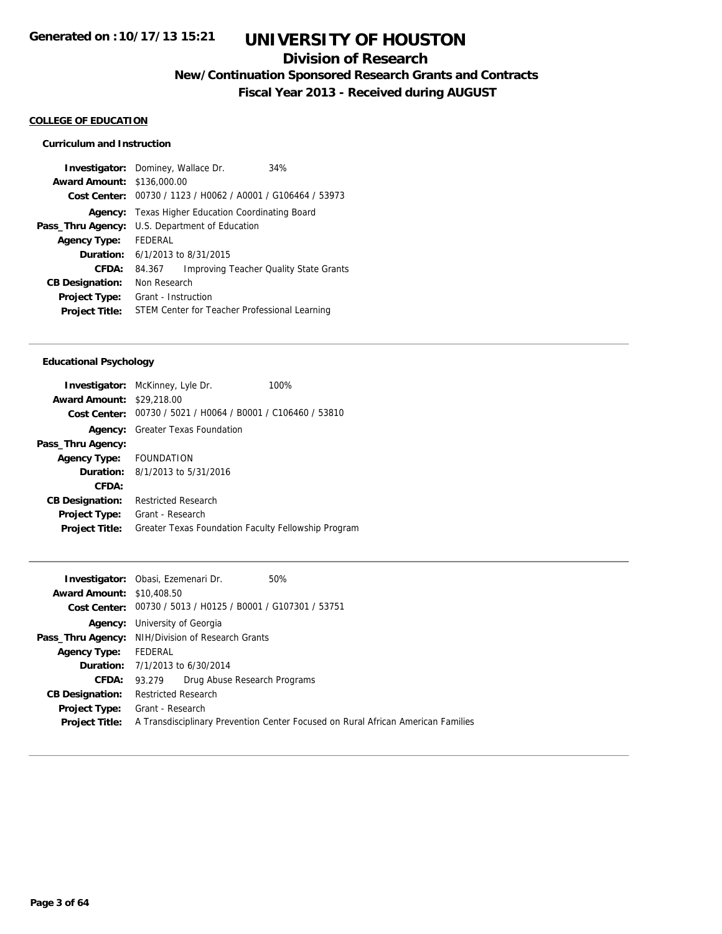# **Division of Research**

**New/Continuation Sponsored Research Grants and Contracts**

**Fiscal Year 2013 - Received during AUGUST**

### **COLLEGE OF EDUCATION**

## **Curriculum and Instruction**

| <b>Investigator:</b> Dominey, Wallace Dr. |                                            |                                                | 34%                                           |
|-------------------------------------------|--------------------------------------------|------------------------------------------------|-----------------------------------------------|
| <b>Award Amount: \$136,000.00</b>         |                                            |                                                |                                               |
| Cost Center:                              |                                            | 00730 / 1123 / H0062 / A0001 / G106464 / 53973 |                                               |
| Agency:                                   |                                            | Texas Higher Education Coordinating Board      |                                               |
| Pass_Thru Agency:                         |                                            | U.S. Department of Education                   |                                               |
| <b>Agency Type:</b>                       | <b>FFDFRAL</b>                             |                                                |                                               |
|                                           | <b>Duration:</b> $6/1/2013$ to $8/31/2015$ |                                                |                                               |
| CFDA:                                     | 84.367                                     |                                                | <b>Improving Teacher Quality State Grants</b> |
| <b>CB Designation:</b>                    | Non Research                               |                                                |                                               |
| <b>Project Type:</b>                      | Grant - Instruction                        |                                                |                                               |
| <b>Project Title:</b>                     |                                            | STEM Center for Teacher Professional Learning  |                                               |

## **Educational Psychology**

| <b>Award Amount: \$29,218.00</b><br>Cost Center: 00730 / 5021 / H0064 / B0001 / C106460 / 53810<br><b>Greater Texas Foundation</b><br>Agency:<br>Agency Type: FOUNDATION<br>8/1/2013 to 5/31/2016<br>Duration:<br>CFDA:<br><b>Restricted Research</b><br><b>CB Designation:</b><br>Grant - Research<br><b>Project Type:</b><br>Greater Texas Foundation Faculty Fellowship Program<br><b>Project Title:</b> |                   | <b>Investigator:</b> McKinney, Lyle Dr. | 100% |
|-------------------------------------------------------------------------------------------------------------------------------------------------------------------------------------------------------------------------------------------------------------------------------------------------------------------------------------------------------------------------------------------------------------|-------------------|-----------------------------------------|------|
|                                                                                                                                                                                                                                                                                                                                                                                                             |                   |                                         |      |
|                                                                                                                                                                                                                                                                                                                                                                                                             |                   |                                         |      |
|                                                                                                                                                                                                                                                                                                                                                                                                             |                   |                                         |      |
|                                                                                                                                                                                                                                                                                                                                                                                                             | Pass_Thru Agency: |                                         |      |
|                                                                                                                                                                                                                                                                                                                                                                                                             |                   |                                         |      |
|                                                                                                                                                                                                                                                                                                                                                                                                             |                   |                                         |      |
|                                                                                                                                                                                                                                                                                                                                                                                                             |                   |                                         |      |
|                                                                                                                                                                                                                                                                                                                                                                                                             |                   |                                         |      |
|                                                                                                                                                                                                                                                                                                                                                                                                             |                   |                                         |      |
|                                                                                                                                                                                                                                                                                                                                                                                                             |                   |                                         |      |

| <b>Investigator:</b> Obasi, Ezemenari Dr.                   | 50%                                                                              |
|-------------------------------------------------------------|----------------------------------------------------------------------------------|
| <b>Award Amount: \$10,408.50</b>                            |                                                                                  |
| Cost Center: 00730 / 5013 / H0125 / B0001 / G107301 / 53751 |                                                                                  |
| University of Georgia<br>Agency:                            |                                                                                  |
| NIH/Division of Research Grants<br>Pass_Thru Agency:        |                                                                                  |
| FEDERAL                                                     |                                                                                  |
| <b>Duration:</b> 7/1/2013 to 6/30/2014                      |                                                                                  |
| Drug Abuse Research Programs<br>93.279                      |                                                                                  |
| <b>Restricted Research</b>                                  |                                                                                  |
| Grant - Research                                            |                                                                                  |
|                                                             | A Transdisciplinary Prevention Center Focused on Rural African American Families |
|                                                             |                                                                                  |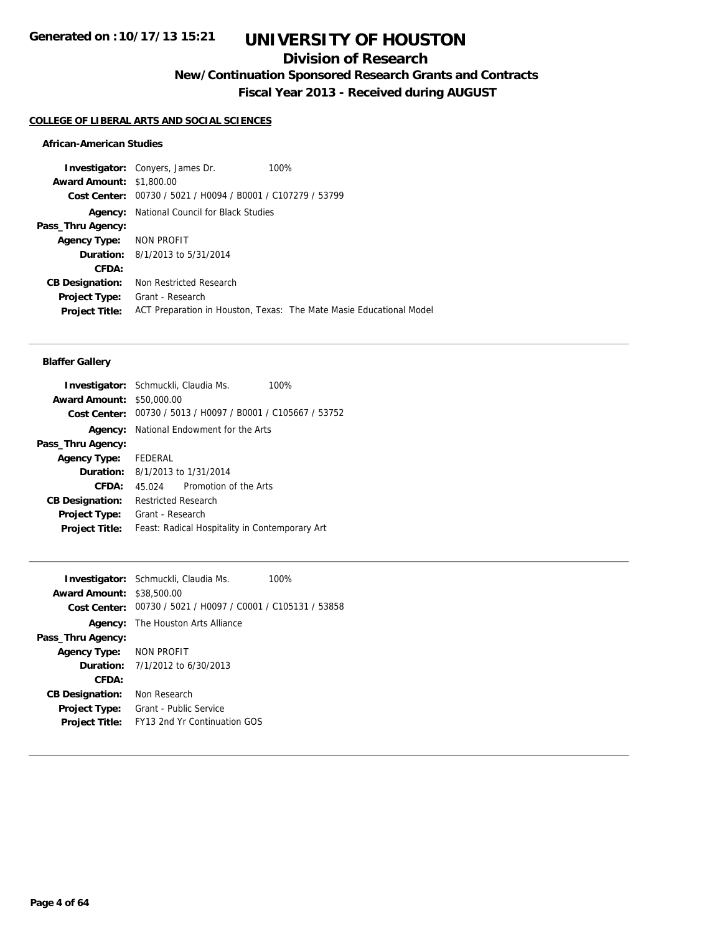# **Division of Research**

**New/Continuation Sponsored Research Grants and Contracts**

**Fiscal Year 2013 - Received during AUGUST**

#### **COLLEGE OF LIBERAL ARTS AND SOCIAL SCIENCES**

### **African-American Studies**

**Investigator:** Conyers, James Dr. 100% **Award Amount:** \$1,800.00 **Cost Center:** 00730 / 5021 / H0094 / B0001 / C107279 / 53799 **Agency:** National Council for Black Studies **Pass\_Thru Agency: Agency Type:** NON PROFIT **Duration:** 8/1/2013 to 5/31/2014 **CFDA: CB Designation:** Non Restricted Research **Project Type:** Grant - Research **Project Title:** ACT Preparation in Houston, Texas: The Mate Masie Educational Model

### **Blaffer Gallery**

| <b>Investigator:</b> Schmuckli, Claudia Ms. |                            |                                                             | 100% |
|---------------------------------------------|----------------------------|-------------------------------------------------------------|------|
| <b>Award Amount: \$50,000.00</b>            |                            |                                                             |      |
|                                             |                            | Cost Center: 00730 / 5013 / H0097 / B0001 / C105667 / 53752 |      |
|                                             |                            | <b>Agency:</b> National Endowment for the Arts              |      |
| Pass_Thru Agency:                           |                            |                                                             |      |
| Agency Type: FEDERAL                        |                            |                                                             |      |
|                                             |                            | <b>Duration:</b> 8/1/2013 to 1/31/2014                      |      |
| CFDA:                                       |                            | 45.024 Promotion of the Arts                                |      |
| <b>CB Designation:</b>                      | <b>Restricted Research</b> |                                                             |      |
| Project Type:                               | Grant - Research           |                                                             |      |
| <b>Project Title:</b>                       |                            | Feast: Radical Hospitality in Contemporary Art              |      |

|                                  | <b>Investigator:</b> Schmuckli, Claudia Ms.<br>100%         |
|----------------------------------|-------------------------------------------------------------|
| <b>Award Amount: \$38,500.00</b> |                                                             |
|                                  | Cost Center: 00730 / 5021 / H0097 / C0001 / C105131 / 53858 |
| Agency:                          | The Houston Arts Alliance                                   |
| Pass_Thru Agency:                |                                                             |
| Agency Type: NON PROFIT          |                                                             |
|                                  | <b>Duration:</b> $7/1/2012$ to $6/30/2013$                  |
| CFDA:                            |                                                             |
| <b>CB Designation:</b>           | Non Research                                                |
| <b>Project Type:</b>             | Grant - Public Service                                      |
| <b>Project Title:</b>            | <b>FY13 2nd Yr Continuation GOS</b>                         |
|                                  |                                                             |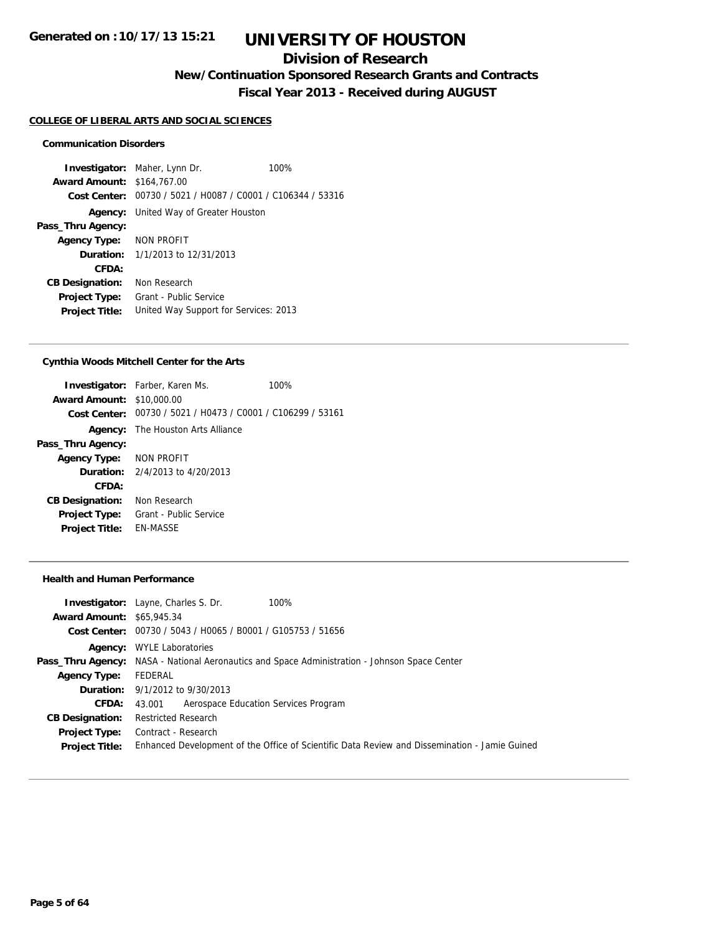# **Division of Research**

**New/Continuation Sponsored Research Grants and Contracts**

**Fiscal Year 2013 - Received during AUGUST**

#### **COLLEGE OF LIBERAL ARTS AND SOCIAL SCIENCES**

### **Communication Disorders**

**Investigator:** Maher, Lynn Dr. 100% **Award Amount:** \$164,767.00 **Cost Center:** 00730 / 5021 / H0087 / C0001 / C106344 / 53316 **Agency:** United Way of Greater Houston **Pass\_Thru Agency: Agency Type:** NON PROFIT **Duration:** 1/1/2013 to 12/31/2013 **CFDA: CB Designation:** Non Research **Project Type:** Grant - Public Service **Project Title:** United Way Support for Services: 2013

## **Cynthia Woods Mitchell Center for the Arts**

|                                  | <b>Investigator:</b> Farber, Karen Ms.                      | 100% |
|----------------------------------|-------------------------------------------------------------|------|
| <b>Award Amount: \$10,000.00</b> |                                                             |      |
|                                  | Cost Center: 00730 / 5021 / H0473 / C0001 / C106299 / 53161 |      |
|                                  | <b>Agency:</b> The Houston Arts Alliance                    |      |
| Pass_Thru Agency:                |                                                             |      |
| Agency Type: NON PROFIT          |                                                             |      |
|                                  | <b>Duration:</b> 2/4/2013 to 4/20/2013                      |      |
| CFDA:                            |                                                             |      |
| <b>CB Designation:</b>           | Non Research                                                |      |
| <b>Project Type:</b>             | Grant - Public Service                                      |      |
| <b>Project Title:</b>            | <b>FN-MASSE</b>                                             |      |
|                                  |                                                             |      |

#### **Health and Human Performance**

|                                  | 100%<br><b>Investigator:</b> Layne, Charles S. Dr.                                                   |
|----------------------------------|------------------------------------------------------------------------------------------------------|
| <b>Award Amount: \$65,945.34</b> |                                                                                                      |
|                                  | Cost Center: 00730 / 5043 / H0065 / B0001 / G105753 / 51656                                          |
|                                  | <b>Agency:</b> WYLE Laboratories                                                                     |
|                                  | <b>Pass_Thru Agency:</b> NASA - National Aeronautics and Space Administration - Johnson Space Center |
| <b>Agency Type:</b>              | FEDERAL                                                                                              |
|                                  | <b>Duration:</b> $9/1/2012$ to $9/30/2013$                                                           |
| <b>CFDA:</b>                     | Aerospace Education Services Program<br>43.001                                                       |
| <b>CB Designation:</b>           | <b>Restricted Research</b>                                                                           |
| Project Type:                    | Contract - Research                                                                                  |
| <b>Project Title:</b>            | Enhanced Development of the Office of Scientific Data Review and Dissemination - Jamie Guined        |
|                                  |                                                                                                      |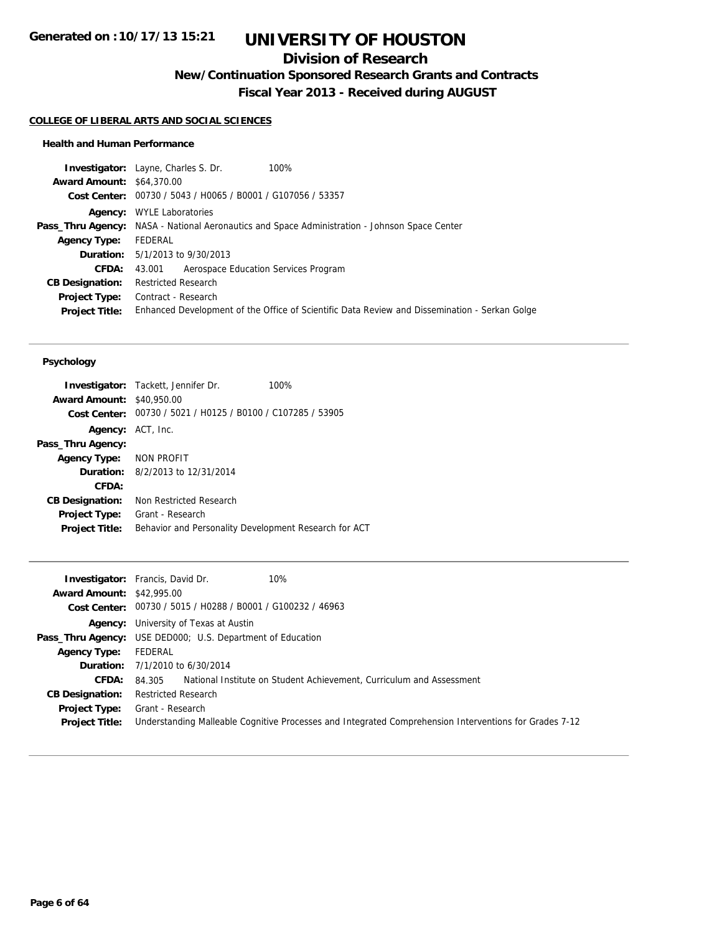# **Division of Research**

**New/Continuation Sponsored Research Grants and Contracts**

**Fiscal Year 2013 - Received during AUGUST**

#### **COLLEGE OF LIBERAL ARTS AND SOCIAL SCIENCES**

### **Health and Human Performance**

|                                  | <b>Investigator:</b> Layne, Charles S. Dr.<br>100%                                                   |
|----------------------------------|------------------------------------------------------------------------------------------------------|
| <b>Award Amount: \$64,370.00</b> |                                                                                                      |
|                                  | Cost Center: 00730 / 5043 / H0065 / B0001 / G107056 / 53357                                          |
| Agency:                          | <b>WYLE Laboratories</b>                                                                             |
|                                  | <b>Pass_Thru Agency:</b> NASA - National Aeronautics and Space Administration - Johnson Space Center |
| <b>Agency Type:</b>              | FEDERAL                                                                                              |
|                                  | <b>Duration:</b> $5/1/2013$ to $9/30/2013$                                                           |
| <b>CFDA:</b>                     | Aerospace Education Services Program<br>43.001                                                       |
| <b>CB Designation:</b>           | <b>Restricted Research</b>                                                                           |
| Project Type:                    | Contract - Research                                                                                  |
| <b>Project Title:</b>            | Enhanced Development of the Office of Scientific Data Review and Dissemination - Serkan Golge        |
|                                  |                                                                                                      |

|                                  | <b>Investigator:</b> Tackett, Jennifer Dr.                  | 100% |
|----------------------------------|-------------------------------------------------------------|------|
| <b>Award Amount: \$40,950.00</b> |                                                             |      |
|                                  | Cost Center: 00730 / 5021 / H0125 / B0100 / C107285 / 53905 |      |
| Agency: ACT, Inc.                |                                                             |      |
| Pass_Thru Agency:                |                                                             |      |
| Agency Type: NON PROFIT          |                                                             |      |
|                                  | <b>Duration:</b> 8/2/2013 to 12/31/2014                     |      |
| CFDA:                            |                                                             |      |
| <b>CB Designation:</b>           | Non Restricted Research                                     |      |
| <b>Project Type:</b>             | Grant - Research                                            |      |
| <b>Project Title:</b>            | Behavior and Personality Development Research for ACT       |      |
|                                  |                                                             |      |

|                                  | 10%<br><b>Investigator:</b> Francis, David Dr.                                                         |
|----------------------------------|--------------------------------------------------------------------------------------------------------|
| <b>Award Amount: \$42,995.00</b> |                                                                                                        |
|                                  | Cost Center: $00730 / 5015 / 10288 / 80001 / 6100232 / 46963$                                          |
|                                  | <b>Agency:</b> University of Texas at Austin                                                           |
|                                  | <b>Pass_Thru Agency:</b> USE DED000; U.S. Department of Education                                      |
| <b>Agency Type:</b>              | FEDERAL                                                                                                |
|                                  | <b>Duration:</b> $7/1/2010$ to $6/30/2014$                                                             |
| <b>CFDA:</b>                     | National Institute on Student Achievement, Curriculum and Assessment<br>84.305                         |
| <b>CB Designation:</b>           | <b>Restricted Research</b>                                                                             |
| Project Type:                    | Grant - Research                                                                                       |
| <b>Project Title:</b>            | Understanding Malleable Cognitive Processes and Integrated Comprehension Interventions for Grades 7-12 |
|                                  |                                                                                                        |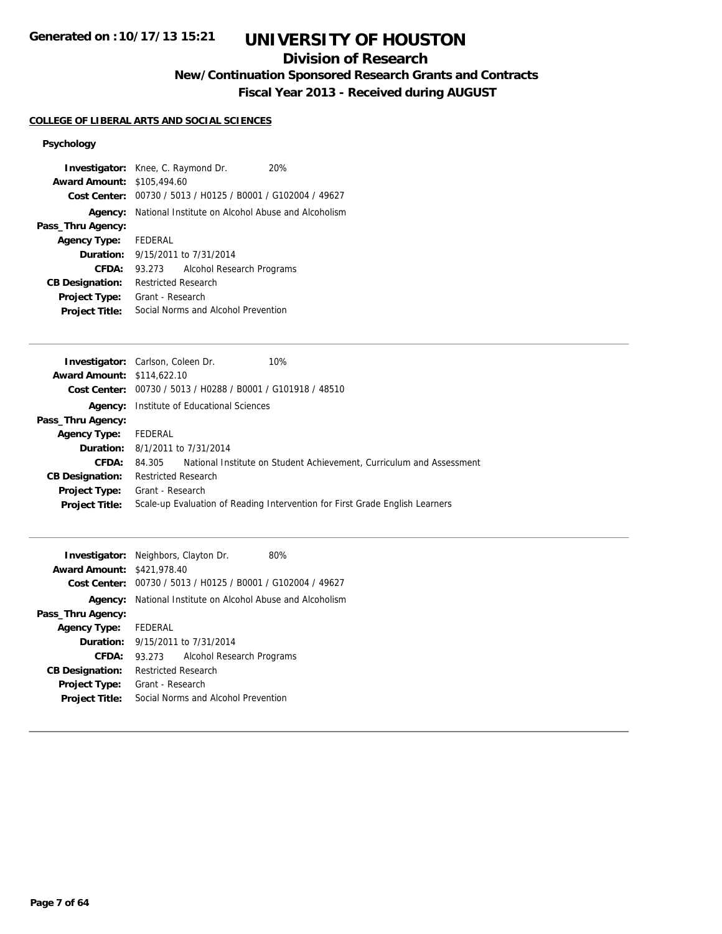## **Division of Research**

**New/Continuation Sponsored Research Grants and Contracts**

**Fiscal Year 2013 - Received during AUGUST**

## **COLLEGE OF LIBERAL ARTS AND SOCIAL SCIENCES**

| <b>Investigator:</b> Knee, C. Raymond Dr. |                            |                                                                   | <b>20%</b> |
|-------------------------------------------|----------------------------|-------------------------------------------------------------------|------------|
| <b>Award Amount: \$105,494.60</b>         |                            |                                                                   |            |
|                                           |                            | Cost Center: 00730 / 5013 / H0125 / B0001 / G102004 / 49627       |            |
|                                           |                            | <b>Agency:</b> National Institute on Alcohol Abuse and Alcoholism |            |
| Pass_Thru Agency:                         |                            |                                                                   |            |
| Agency Type: FEDERAL                      |                            |                                                                   |            |
|                                           |                            | <b>Duration:</b> 9/15/2011 to 7/31/2014                           |            |
| CFDA:                                     | 93.273                     | Alcohol Research Programs                                         |            |
| <b>CB Designation:</b>                    | <b>Restricted Research</b> |                                                                   |            |
| <b>Project Type:</b>                      | Grant - Research           |                                                                   |            |
| <b>Project Title:</b>                     |                            | Social Norms and Alcohol Prevention                               |            |
|                                           |                            |                                                                   |            |

|                                   | <b>Investigator:</b> Carlson, Coleen Dr.                    | 10%                                                                          |
|-----------------------------------|-------------------------------------------------------------|------------------------------------------------------------------------------|
| <b>Award Amount: \$114,622.10</b> |                                                             |                                                                              |
|                                   | Cost Center: 00730 / 5013 / H0288 / B0001 / G101918 / 48510 |                                                                              |
| Agency:                           | Institute of Educational Sciences                           |                                                                              |
| Pass_Thru Agency:                 |                                                             |                                                                              |
| <b>Agency Type:</b>               | FEDERAL                                                     |                                                                              |
|                                   | <b>Duration:</b> 8/1/2011 to 7/31/2014                      |                                                                              |
| CFDA:                             | 84.305                                                      | National Institute on Student Achievement, Curriculum and Assessment         |
| <b>CB Designation:</b>            | <b>Restricted Research</b>                                  |                                                                              |
| <b>Project Type:</b>              | Grant - Research                                            |                                                                              |
| <b>Project Title:</b>             |                                                             | Scale-up Evaluation of Reading Intervention for First Grade English Learners |
|                                   |                                                             |                                                                              |

| <b>Investigator:</b> Neighbors, Clayton Dr.<br><b>Award Amount: \$421,978.40</b> |                            |                                                                   | 80% |
|----------------------------------------------------------------------------------|----------------------------|-------------------------------------------------------------------|-----|
|                                                                                  |                            | Cost Center: 00730 / 5013 / H0125 / B0001 / G102004 / 49627       |     |
|                                                                                  |                            | <b>Agency:</b> National Institute on Alcohol Abuse and Alcoholism |     |
| Pass_Thru Agency:                                                                |                            |                                                                   |     |
| Agency Type:                                                                     | FEDERAL                    |                                                                   |     |
|                                                                                  |                            | <b>Duration:</b> 9/15/2011 to 7/31/2014                           |     |
| CFDA:                                                                            | 93.273                     | Alcohol Research Programs                                         |     |
| <b>CB Designation:</b>                                                           | <b>Restricted Research</b> |                                                                   |     |
| <b>Project Type:</b>                                                             | Grant - Research           |                                                                   |     |
| <b>Project Title:</b>                                                            |                            | Social Norms and Alcohol Prevention                               |     |
|                                                                                  |                            |                                                                   |     |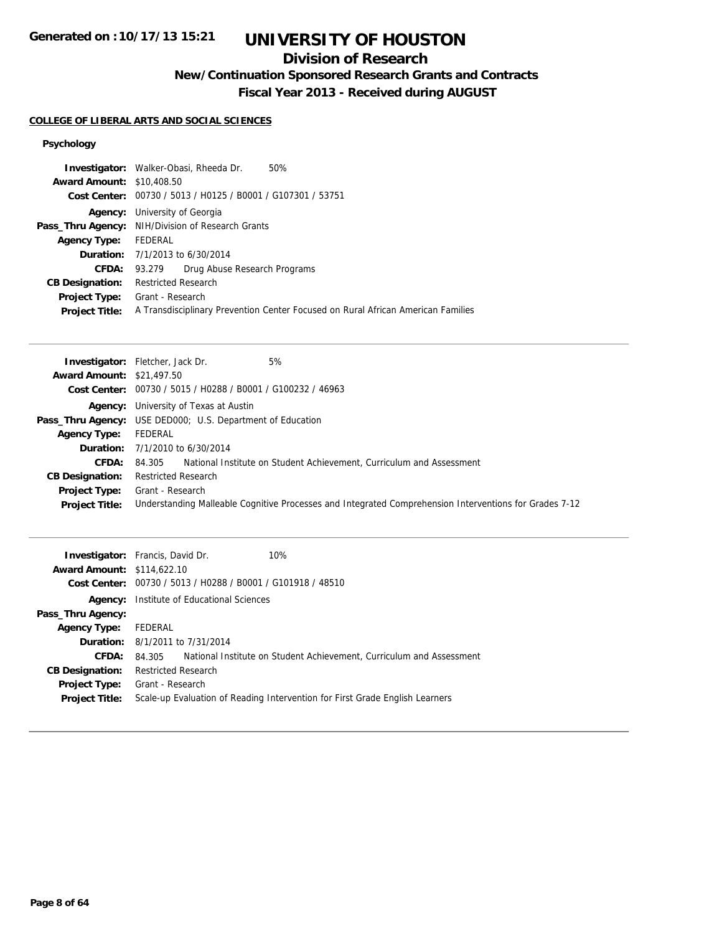## **Division of Research**

# **New/Continuation Sponsored Research Grants and Contracts**

**Fiscal Year 2013 - Received during AUGUST**

## **COLLEGE OF LIBERAL ARTS AND SOCIAL SCIENCES**

|                                  | <b>Investigator:</b> Walker-Obasi, Rheeda Dr.<br>50%                             |
|----------------------------------|----------------------------------------------------------------------------------|
| <b>Award Amount: \$10,408.50</b> |                                                                                  |
|                                  | Cost Center: 00730 / 5013 / H0125 / B0001 / G107301 / 53751                      |
| Agency:                          | University of Georgia                                                            |
|                                  | Pass_Thru Agency: NIH/Division of Research Grants                                |
| <b>Agency Type:</b>              | FEDERAL                                                                          |
|                                  | <b>Duration:</b> 7/1/2013 to 6/30/2014                                           |
| CFDA:                            | Drug Abuse Research Programs<br>93.279                                           |
| <b>CB Designation:</b>           | Restricted Research                                                              |
| <b>Project Type:</b>             | Grant - Research                                                                 |
| <b>Project Title:</b>            | A Transdisciplinary Prevention Center Focused on Rural African American Families |
|                                  |                                                                                  |

|                                  | 5%<br><b>Investigator:</b> Fletcher, Jack Dr.                                                          |
|----------------------------------|--------------------------------------------------------------------------------------------------------|
| <b>Award Amount: \$21,497.50</b> |                                                                                                        |
|                                  | Cost Center: 00730 / 5015 / H0288 / B0001 / G100232 / 46963                                            |
|                                  | <b>Agency:</b> University of Texas at Austin                                                           |
|                                  | Pass_Thru Agency: USE DED000; U.S. Department of Education                                             |
| <b>Agency Type:</b>              | FEDERAL                                                                                                |
|                                  | <b>Duration:</b> $7/1/2010$ to $6/30/2014$                                                             |
| <b>CFDA:</b>                     | National Institute on Student Achievement, Curriculum and Assessment<br>84.305                         |
| <b>CB Designation:</b>           | <b>Restricted Research</b>                                                                             |
| <b>Project Type:</b>             | Grant - Research                                                                                       |
| <b>Project Title:</b>            | Understanding Malleable Cognitive Processes and Integrated Comprehension Interventions for Grades 7-12 |

| <b>Investigator:</b> Francis, David Dr.<br>10%                                 |
|--------------------------------------------------------------------------------|
| <b>Award Amount: \$114,622.10</b>                                              |
| Cost Center: 00730 / 5013 / H0288 / B0001 / G101918 / 48510                    |
| <b>Agency:</b> Institute of Educational Sciences                               |
|                                                                                |
| FEDERAL                                                                        |
| <b>Duration:</b> 8/1/2011 to 7/31/2014                                         |
| National Institute on Student Achievement, Curriculum and Assessment<br>84.305 |
| <b>Restricted Research</b>                                                     |
| Grant - Research                                                               |
| Scale-up Evaluation of Reading Intervention for First Grade English Learners   |
|                                                                                |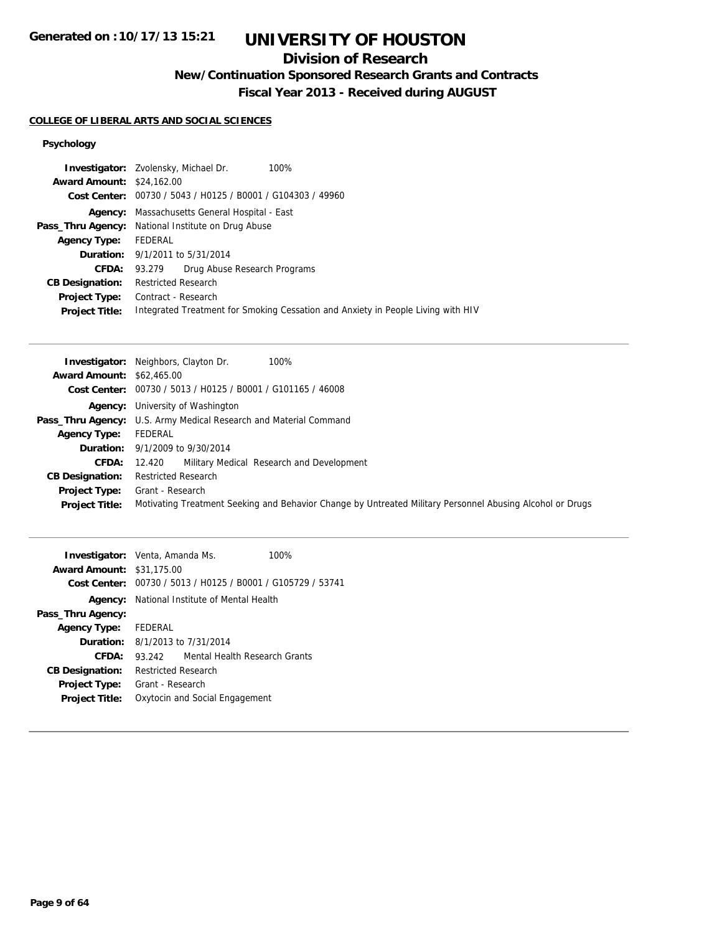# **Division of Research**

**New/Continuation Sponsored Research Grants and Contracts**

**Fiscal Year 2013 - Received during AUGUST**

## **COLLEGE OF LIBERAL ARTS AND SOCIAL SCIENCES**

|                                  | <b>Investigator:</b> Zvolensky, Michael Dr.<br>100%                              |
|----------------------------------|----------------------------------------------------------------------------------|
| <b>Award Amount: \$24,162.00</b> |                                                                                  |
|                                  | Cost Center: 00730 / 5043 / H0125 / B0001 / G104303 / 49960                      |
| Agency:                          | Massachusetts General Hospital - East                                            |
| Pass_Thru Agency:                | National Institute on Drug Abuse                                                 |
| <b>Agency Type:</b>              | FEDERAL                                                                          |
|                                  | <b>Duration:</b> 9/1/2011 to 5/31/2014                                           |
| CFDA:                            | Drug Abuse Research Programs<br>93.279                                           |
| <b>CB Designation:</b>           | <b>Restricted Research</b>                                                       |
| <b>Project Type:</b>             | Contract - Research                                                              |
| <b>Project Title:</b>            | Integrated Treatment for Smoking Cessation and Anxiety in People Living with HIV |
|                                  |                                                                                  |

|                                  | 100%<br><b>Investigator:</b> Neighbors, Clayton Dr.                                                       |
|----------------------------------|-----------------------------------------------------------------------------------------------------------|
| <b>Award Amount: \$62,465.00</b> |                                                                                                           |
|                                  | Cost Center: 00730 / 5013 / H0125 / B0001 / G101165 / 46008                                               |
|                                  | <b>Agency:</b> University of Washington                                                                   |
|                                  | Pass_Thru Agency: U.S. Army Medical Research and Material Command                                         |
| <b>Agency Type:</b>              | FEDERAL                                                                                                   |
|                                  | <b>Duration:</b> 9/1/2009 to 9/30/2014                                                                    |
| <b>CFDA:</b>                     | Military Medical Research and Development<br>12.420                                                       |
| <b>CB Designation:</b>           | <b>Restricted Research</b>                                                                                |
| Project Type:                    | Grant - Research                                                                                          |
| <b>Project Title:</b>            | Motivating Treatment Seeking and Behavior Change by Untreated Military Personnel Abusing Alcohol or Drugs |

| <b>Investigator:</b> Venta, Amanda Ms. |                                     |                                                             | 100% |
|----------------------------------------|-------------------------------------|-------------------------------------------------------------|------|
| <b>Award Amount: \$31,175.00</b>       |                                     |                                                             |      |
|                                        |                                     | Cost Center: 00730 / 5013 / H0125 / B0001 / G105729 / 53741 |      |
| Agency:                                | National Institute of Mental Health |                                                             |      |
| Pass_Thru Agency:                      |                                     |                                                             |      |
| <b>Agency Type:</b>                    | FEDERAL                             |                                                             |      |
|                                        |                                     | <b>Duration:</b> $8/1/2013$ to $7/31/2014$                  |      |
| CFDA:                                  |                                     | 93.242 Mental Health Research Grants                        |      |
| <b>CB Designation:</b>                 | <b>Restricted Research</b>          |                                                             |      |
| <b>Project Type:</b>                   | Grant - Research                    |                                                             |      |
| <b>Project Title:</b>                  |                                     | Oxytocin and Social Engagement                              |      |
|                                        |                                     |                                                             |      |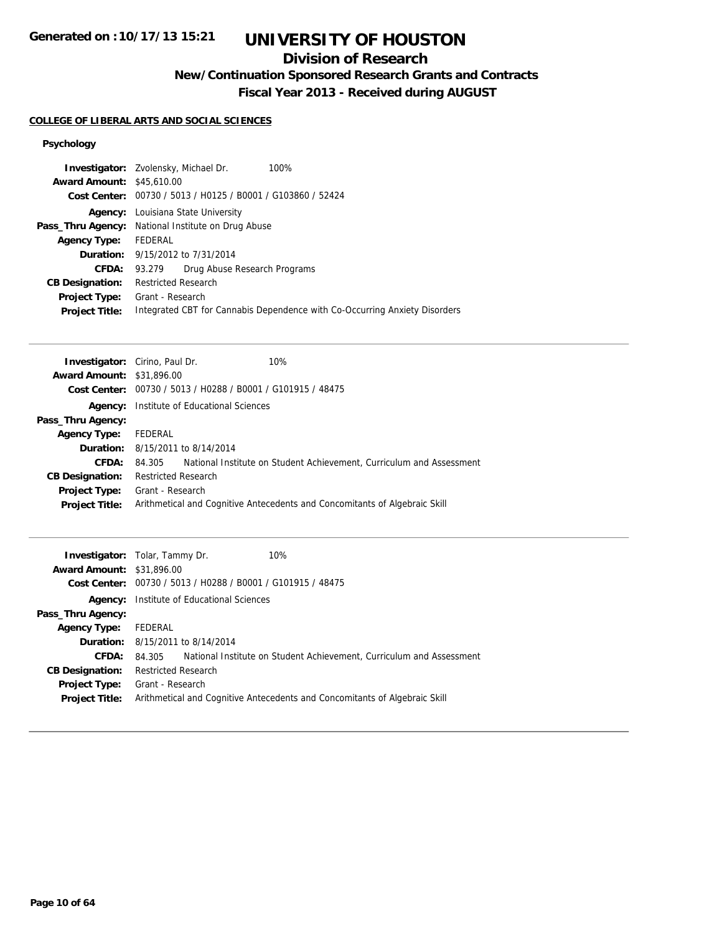## **Division of Research**

**New/Continuation Sponsored Research Grants and Contracts**

**Fiscal Year 2013 - Received during AUGUST**

## **COLLEGE OF LIBERAL ARTS AND SOCIAL SCIENCES**

|                        | Investigator: Zvolensky, Michael Dr.<br>100%                                   |  |  |
|------------------------|--------------------------------------------------------------------------------|--|--|
| <b>Award Amount:</b>   | \$45,610.00<br>00730 / 5013 / H0125 / B0001 / G103860 / 52424                  |  |  |
| <b>Cost Center:</b>    |                                                                                |  |  |
| Agency:                | Louisiana State University                                                     |  |  |
| Pass_Thru Agency:      | National Institute on Drug Abuse                                               |  |  |
| <b>Agency Type:</b>    | <b>FEDERAL</b>                                                                 |  |  |
|                        | <b>Duration:</b> 9/15/2012 to 7/31/2014                                        |  |  |
| CFDA:                  | Drug Abuse Research Programs<br>93.279                                         |  |  |
| <b>CB Designation:</b> | <b>Restricted Research</b>                                                     |  |  |
| <b>Project Type:</b>   | Grant - Research                                                               |  |  |
| <b>Project Title:</b>  | Integrated CBT for Cannabis Dependence with Co-Occurring Anxiety Disorders     |  |  |
|                        |                                                                                |  |  |
| Investigator:          | 10%<br>Cirino, Paul Dr.                                                        |  |  |
| <b>Award Amount:</b>   | \$31,896.00                                                                    |  |  |
| <b>Cost Center:</b>    | 00730 / 5013 / H0288 / B0001 / G101915 / 48475                                 |  |  |
| Agency:                | Institute of Educational Sciences                                              |  |  |
| Pass_Thru Agency:      |                                                                                |  |  |
| <b>Agency Type:</b>    | <b>FEDERAL</b>                                                                 |  |  |
| Duration:              | 8/15/2011 to 8/14/2014                                                         |  |  |
| CFDA:                  | National Institute on Student Achievement, Curriculum and Assessment<br>84.305 |  |  |
| <b>CB Designation:</b> | <b>Restricted Research</b>                                                     |  |  |
| Project Type:          | Grant - Research                                                               |  |  |
| <b>Project Title:</b>  | Arithmetical and Cognitive Antecedents and Concomitants of Algebraic Skill     |  |  |
|                        |                                                                                |  |  |
| .                      | Teles Tesses Da<br>1001                                                        |  |  |

|                                  | 10%<br><b>Investigator:</b> Tolar, Tammy Dr.                                |
|----------------------------------|-----------------------------------------------------------------------------|
| <b>Award Amount: \$31,896.00</b> |                                                                             |
|                                  | Cost Center: 00730 / 5013 / H0288 / B0001 / G101915 / 48475                 |
|                                  | <b>Agency:</b> Institute of Educational Sciences                            |
| Pass_Thru Agency:                |                                                                             |
| <b>Agency Type:</b>              | FEDERAL                                                                     |
|                                  | <b>Duration:</b> 8/15/2011 to 8/14/2014                                     |
| CFDA:                            | 84.305 National Institute on Student Achievement, Curriculum and Assessment |
| <b>CB Designation:</b>           | <b>Restricted Research</b>                                                  |
|                                  | <b>Project Type:</b> Grant - Research                                       |
| <b>Project Title:</b>            | Arithmetical and Cognitive Antecedents and Concomitants of Algebraic Skill  |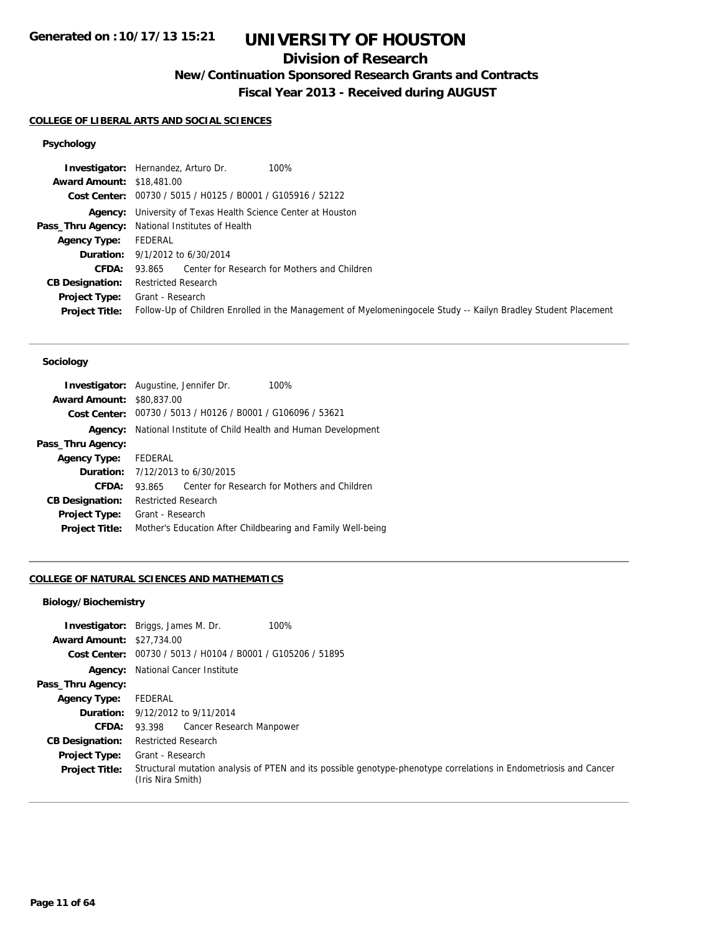## **Division of Research**

**New/Continuation Sponsored Research Grants and Contracts**

**Fiscal Year 2013 - Received during AUGUST**

## **COLLEGE OF LIBERAL ARTS AND SOCIAL SCIENCES**

# **Psychology**

|                                  | <b>Investigator:</b> Hernandez, Arturo Dr.<br>100%                                                             |
|----------------------------------|----------------------------------------------------------------------------------------------------------------|
| <b>Award Amount: \$18,481.00</b> |                                                                                                                |
|                                  | Cost Center: 00730 / 5015 / H0125 / B0001 / G105916 / 52122                                                    |
|                                  | <b>Agency:</b> University of Texas Health Science Center at Houston                                            |
|                                  | <b>Pass_Thru Agency:</b> National Institutes of Health                                                         |
| <b>Agency Type:</b>              | FEDERAL                                                                                                        |
|                                  | <b>Duration:</b> $9/1/2012$ to $6/30/2014$                                                                     |
| <b>CFDA:</b>                     | 93.865 Center for Research for Mothers and Children                                                            |
| <b>CB Designation:</b>           | <b>Restricted Research</b>                                                                                     |
| Project Type:                    | Grant - Research                                                                                               |
| <b>Project Title:</b>            | Follow-Up of Children Enrolled in the Management of Myelomeningocele Study -- Kailyn Bradley Student Placement |

### **Sociology**

|                        | <b>Investigator:</b> Augustine, Jennifer Dr.                | 100%                                         |
|------------------------|-------------------------------------------------------------|----------------------------------------------|
| <b>Award Amount:</b>   | \$80,837,00                                                 |                                              |
|                        | Cost Center: 00730 / 5013 / H0126 / B0001 / G106096 / 53621 |                                              |
| Agency:                | National Institute of Child Health and Human Development    |                                              |
| Pass_Thru Agency:      |                                                             |                                              |
| <b>Agency Type:</b>    | FEDERAL                                                     |                                              |
| Duration:              | 7/12/2013 to 6/30/2015                                      |                                              |
| CFDA:                  | 93.865                                                      | Center for Research for Mothers and Children |
| <b>CB Designation:</b> | <b>Restricted Research</b>                                  |                                              |
| <b>Project Type:</b>   | Grant - Research                                            |                                              |
| <b>Project Title:</b>  | Mother's Education After Childbearing and Family Well-being |                                              |

## **COLLEGE OF NATURAL SCIENCES AND MATHEMATICS**

## **Biology/Biochemistry**

|                                  | <b>Investigator:</b> Briggs, James M. Dr.<br>100%                                                                                      |
|----------------------------------|----------------------------------------------------------------------------------------------------------------------------------------|
| <b>Award Amount: \$27,734.00</b> |                                                                                                                                        |
|                                  | Cost Center: 00730 / 5013 / H0104 / B0001 / G105206 / 51895                                                                            |
|                                  | <b>Agency:</b> National Cancer Institute                                                                                               |
| Pass_Thru Agency:                |                                                                                                                                        |
| <b>Agency Type:</b>              | FEDERAL                                                                                                                                |
|                                  | <b>Duration:</b> 9/12/2012 to 9/11/2014                                                                                                |
| <b>CFDA:</b>                     | 93.398 Cancer Research Manpower                                                                                                        |
| <b>CB Designation:</b>           | <b>Restricted Research</b>                                                                                                             |
| <b>Project Type:</b>             | Grant - Research                                                                                                                       |
| <b>Project Title:</b>            | Structural mutation analysis of PTEN and its possible genotype-phenotype correlations in Endometriosis and Cancer<br>(Iris Nira Smith) |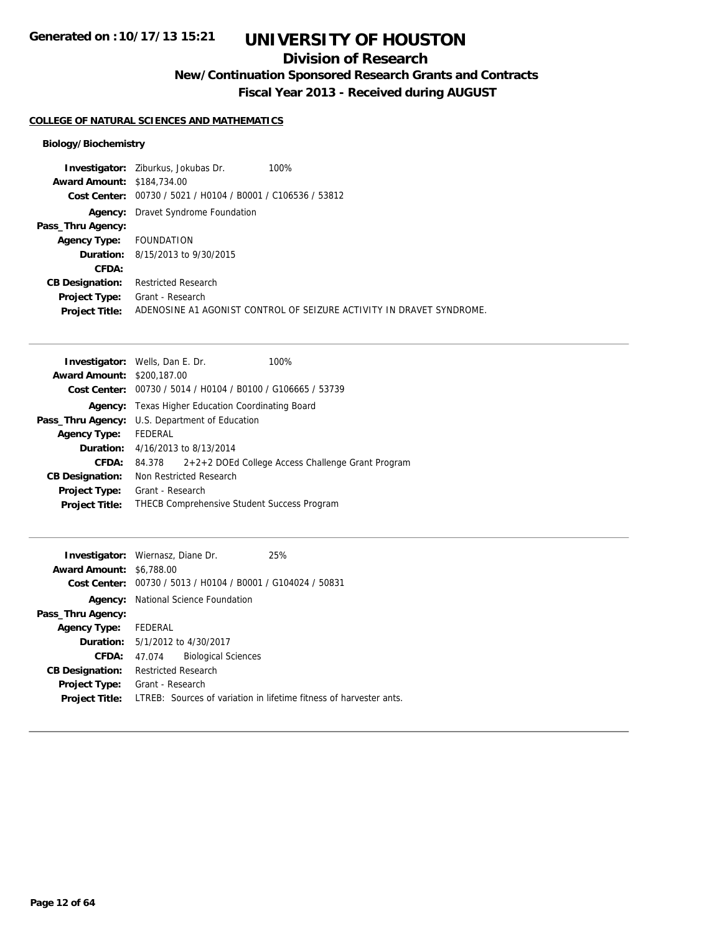# **Division of Research**

**New/Continuation Sponsored Research Grants and Contracts**

**Fiscal Year 2013 - Received during AUGUST**

## **COLLEGE OF NATURAL SCIENCES AND MATHEMATICS**

## **Biology/Biochemistry**

|                                   | <b>Investigator:</b> Ziburkus, Jokubas Dr.                  | 100%                                                                 |
|-----------------------------------|-------------------------------------------------------------|----------------------------------------------------------------------|
| <b>Award Amount: \$184,734.00</b> |                                                             |                                                                      |
|                                   | Cost Center: 00730 / 5021 / H0104 / B0001 / C106536 / 53812 |                                                                      |
|                                   | <b>Agency:</b> Dravet Syndrome Foundation                   |                                                                      |
| Pass_Thru Agency:                 |                                                             |                                                                      |
| <b>Agency Type:</b>               | <b>FOUNDATION</b>                                           |                                                                      |
|                                   | <b>Duration:</b> 8/15/2013 to 9/30/2015                     |                                                                      |
| CFDA:                             |                                                             |                                                                      |
| <b>CB Designation:</b>            | <b>Restricted Research</b>                                  |                                                                      |
| Project Type:                     | Grant - Research                                            |                                                                      |
| <b>Project Title:</b>             |                                                             | ADENOSINE A1 AGONIST CONTROL OF SEIZURE ACTIVITY IN DRAVET SYNDROME. |
|                                   |                                                             |                                                                      |

| <b>Investigator:</b> Wells, Dan E. Dr.                |                  |                                                                      | 100%                                                     |
|-------------------------------------------------------|------------------|----------------------------------------------------------------------|----------------------------------------------------------|
| <b>Award Amount: \$200,187,00</b>                     |                  |                                                                      |                                                          |
|                                                       |                  | <b>Cost Center:</b> $00730 / 5014 / 10104 / 80100 / 6106665 / 53739$ |                                                          |
|                                                       |                  | <b>Agency:</b> Texas Higher Education Coordinating Board             |                                                          |
| <b>Pass_Thru Agency:</b> U.S. Department of Education |                  |                                                                      |                                                          |
| <b>Agency Type:</b>                                   | FEDERAL          |                                                                      |                                                          |
|                                                       |                  | <b>Duration:</b> 4/16/2013 to 8/13/2014                              |                                                          |
| CFDA:                                                 |                  |                                                                      | 84.378 2+2+2 DOEd College Access Challenge Grant Program |
| <b>CB Designation:</b>                                |                  | Non Restricted Research                                              |                                                          |
| Project Type:                                         | Grant - Research |                                                                      |                                                          |
| <b>Project Title:</b>                                 |                  | THECB Comprehensive Student Success Program                          |                                                          |
|                                                       |                  |                                                                      |                                                          |

| <b>Investigator:</b> Wiernasz, Diane Dr.                    | 25%                                                                |  |
|-------------------------------------------------------------|--------------------------------------------------------------------|--|
| <b>Award Amount: \$6,788.00</b>                             |                                                                    |  |
| Cost Center: 00730 / 5013 / H0104 / B0001 / G104024 / 50831 |                                                                    |  |
| <b>Agency:</b> National Science Foundation                  |                                                                    |  |
|                                                             |                                                                    |  |
| Agency Type: FEDERAL                                        |                                                                    |  |
| <b>Duration:</b> 5/1/2012 to 4/30/2017                      |                                                                    |  |
| <b>Biological Sciences</b><br>47.074                        |                                                                    |  |
| <b>Restricted Research</b>                                  |                                                                    |  |
| Grant - Research                                            |                                                                    |  |
|                                                             | LTREB: Sources of variation in lifetime fitness of harvester ants. |  |
|                                                             |                                                                    |  |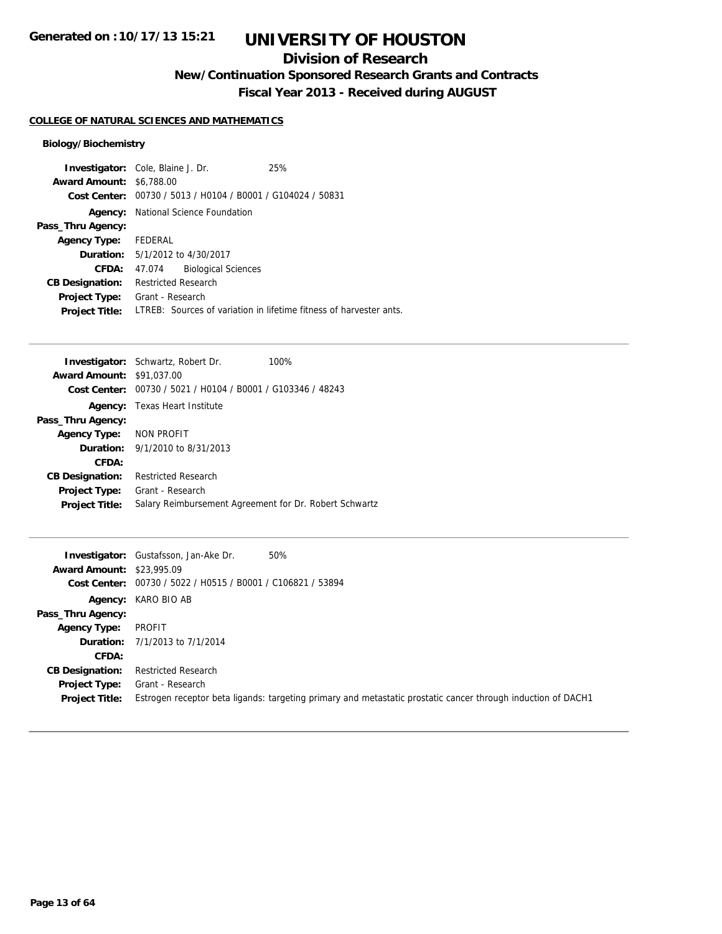# **Division of Research**

**New/Continuation Sponsored Research Grants and Contracts**

**Fiscal Year 2013 - Received during AUGUST**

## **COLLEGE OF NATURAL SCIENCES AND MATHEMATICS**

## **Biology/Biochemistry**

|                                 | <b>Investigator:</b> Cole, Blaine J. Dr.                    | 25%                                                                |
|---------------------------------|-------------------------------------------------------------|--------------------------------------------------------------------|
| <b>Award Amount: \$6,788.00</b> |                                                             |                                                                    |
|                                 | Cost Center: 00730 / 5013 / H0104 / B0001 / G104024 / 50831 |                                                                    |
| Agency:                         | National Science Foundation                                 |                                                                    |
| Pass_Thru Agency:               |                                                             |                                                                    |
| <b>Agency Type:</b>             | FEDERAL                                                     |                                                                    |
|                                 | <b>Duration:</b> 5/1/2012 to 4/30/2017                      |                                                                    |
| CFDA:                           | <b>Biological Sciences</b><br>47.074                        |                                                                    |
| <b>CB Designation:</b>          | <b>Restricted Research</b>                                  |                                                                    |
| Project Type:                   | Grant - Research                                            |                                                                    |
| <b>Project Title:</b>           |                                                             | LTREB: Sources of variation in lifetime fitness of harvester ants. |

|                                  | <b>Investigator:</b> Schwartz, Robert Dr.                   | 100% |
|----------------------------------|-------------------------------------------------------------|------|
| <b>Award Amount: \$91,037.00</b> |                                                             |      |
|                                  | Cost Center: 00730 / 5021 / H0104 / B0001 / G103346 / 48243 |      |
|                                  | <b>Agency:</b> Texas Heart Institute                        |      |
| Pass_Thru Agency:                |                                                             |      |
| <b>Agency Type:</b>              | NON PROFIT                                                  |      |
|                                  | <b>Duration:</b> 9/1/2010 to 8/31/2013                      |      |
| CFDA:                            |                                                             |      |
| <b>CB Designation:</b>           | <b>Restricted Research</b>                                  |      |
| <b>Project Type:</b>             | Grant - Research                                            |      |
| <b>Project Title:</b>            | Salary Reimbursement Agreement for Dr. Robert Schwartz      |      |

|                                  | <b>Investigator:</b> Gustafsson, Jan-Ake Dr.                | 50%                                                                                                          |
|----------------------------------|-------------------------------------------------------------|--------------------------------------------------------------------------------------------------------------|
| <b>Award Amount: \$23,995.09</b> |                                                             |                                                                                                              |
|                                  | Cost Center: 00730 / 5022 / H0515 / B0001 / C106821 / 53894 |                                                                                                              |
|                                  | Agency: KARO BIO AB                                         |                                                                                                              |
| Pass_Thru Agency:                |                                                             |                                                                                                              |
| Agency Type:                     | PROFIT                                                      |                                                                                                              |
|                                  | <b>Duration:</b> 7/1/2013 to 7/1/2014                       |                                                                                                              |
| CFDA:                            |                                                             |                                                                                                              |
| <b>CB Designation:</b>           | Restricted Research                                         |                                                                                                              |
| Project Type:                    | Grant - Research                                            |                                                                                                              |
| <b>Project Title:</b>            |                                                             | Estrogen receptor beta ligands: targeting primary and metastatic prostatic cancer through induction of DACH1 |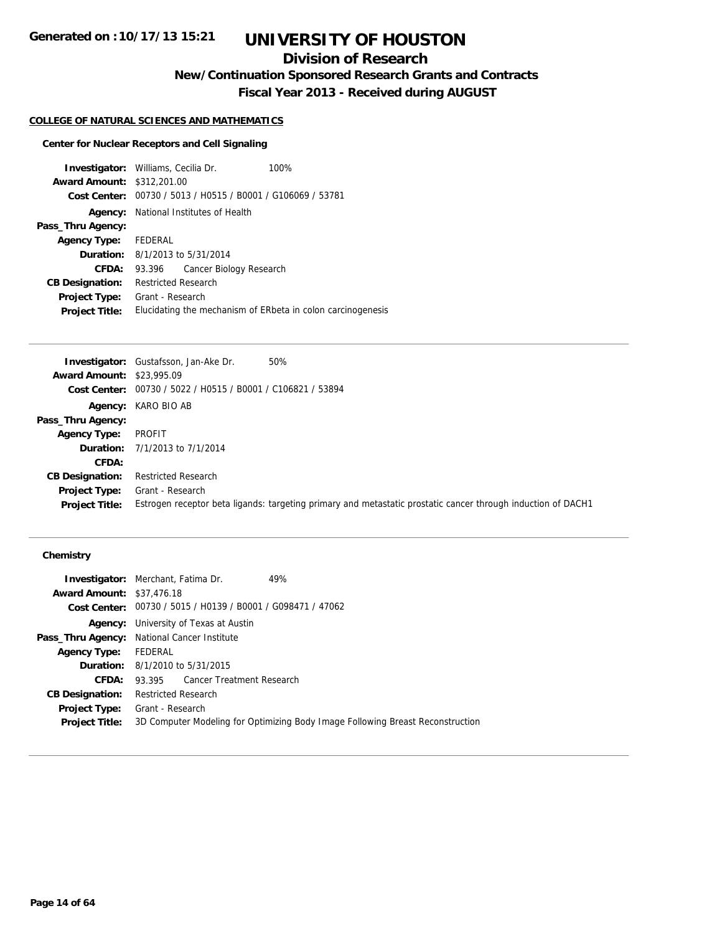# **Division of Research**

**New/Continuation Sponsored Research Grants and Contracts**

**Fiscal Year 2013 - Received during AUGUST**

#### **COLLEGE OF NATURAL SCIENCES AND MATHEMATICS**

## **Center for Nuclear Receptors and Cell Signaling**

| <b>Investigator:</b> Williams, Cecilia Dr. |                            |                                                             | 100%                                                        |
|--------------------------------------------|----------------------------|-------------------------------------------------------------|-------------------------------------------------------------|
| <b>Award Amount: \$312,201.00</b>          |                            |                                                             |                                                             |
|                                            |                            | Cost Center: 00730 / 5013 / H0515 / B0001 / G106069 / 53781 |                                                             |
|                                            |                            | <b>Agency:</b> National Institutes of Health                |                                                             |
| Pass_Thru Agency:                          |                            |                                                             |                                                             |
| Agency Type: FEDERAL                       |                            |                                                             |                                                             |
|                                            |                            | <b>Duration:</b> 8/1/2013 to 5/31/2014                      |                                                             |
| <b>CFDA:</b>                               | 93.396                     | Cancer Biology Research                                     |                                                             |
| <b>CB Designation:</b>                     | <b>Restricted Research</b> |                                                             |                                                             |
| Project Type:                              | Grant - Research           |                                                             |                                                             |
| <b>Project Title:</b>                      |                            |                                                             | Elucidating the mechanism of ERbeta in colon carcinogenesis |

|                                  | <b>Investigator:</b> Gustafsson, Jan-Ake Dr.<br>50%                                                          |
|----------------------------------|--------------------------------------------------------------------------------------------------------------|
| <b>Award Amount: \$23,995.09</b> |                                                                                                              |
|                                  | Cost Center: 00730 / 5022 / H0515 / B0001 / C106821 / 53894                                                  |
|                                  | Agency: KARO BIO AB                                                                                          |
| Pass_Thru Agency:                |                                                                                                              |
| <b>Agency Type:</b>              | PROFIT                                                                                                       |
|                                  | <b>Duration:</b> $7/1/2013$ to $7/1/2014$                                                                    |
| CFDA:                            |                                                                                                              |
| <b>CB Designation:</b>           | <b>Restricted Research</b>                                                                                   |
| <b>Project Type:</b>             | Grant - Research                                                                                             |
| <b>Project Title:</b>            | Estrogen receptor beta ligands: targeting primary and metastatic prostatic cancer through induction of DACH1 |

## **Chemistry**

| <b>Investigator:</b> Merchant, Fatima Dr. |                                                                                |                                                             | 49% |
|-------------------------------------------|--------------------------------------------------------------------------------|-------------------------------------------------------------|-----|
| <b>Award Amount: \$37,476.18</b>          |                                                                                |                                                             |     |
|                                           |                                                                                | Cost Center: 00730 / 5015 / H0139 / B0001 / G098471 / 47062 |     |
|                                           | <b>Agency:</b> University of Texas at Austin                                   |                                                             |     |
|                                           | Pass_Thru Agency: National Cancer Institute                                    |                                                             |     |
| <b>Agency Type:</b>                       | FEDERAL                                                                        |                                                             |     |
|                                           | <b>Duration:</b> 8/1/2010 to 5/31/2015                                         |                                                             |     |
| <b>CFDA:</b>                              |                                                                                | 93.395 Cancer Treatment Research                            |     |
| <b>CB Designation:</b>                    | <b>Restricted Research</b>                                                     |                                                             |     |
| <b>Project Type:</b>                      | Grant - Research                                                               |                                                             |     |
| <b>Project Title:</b>                     | 3D Computer Modeling for Optimizing Body Image Following Breast Reconstruction |                                                             |     |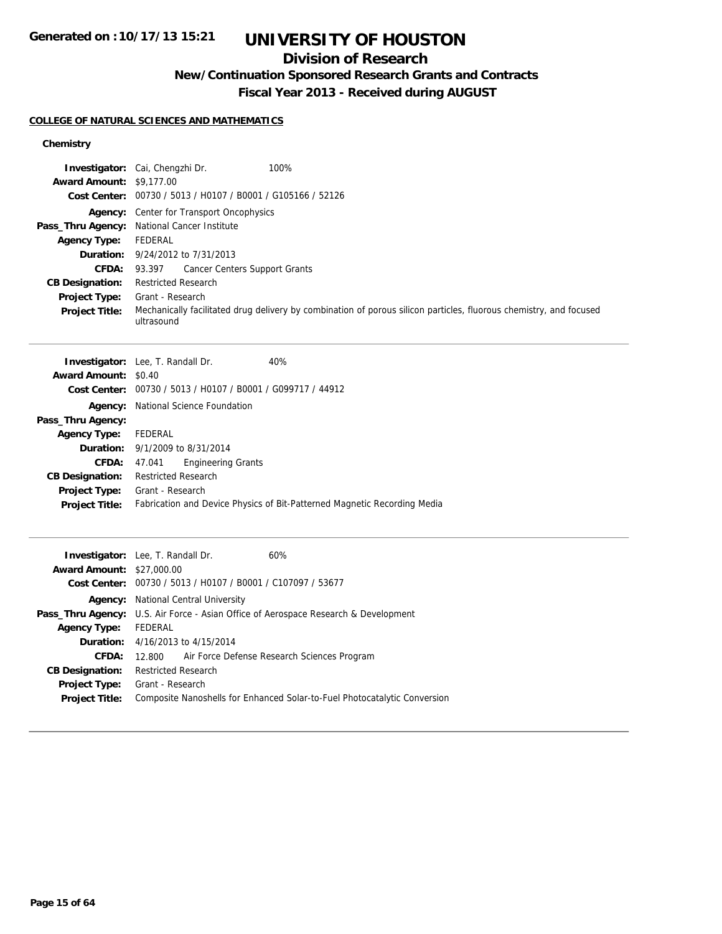## **Division of Research**

# **New/Continuation Sponsored Research Grants and Contracts**

**Fiscal Year 2013 - Received during AUGUST**

### **COLLEGE OF NATURAL SCIENCES AND MATHEMATICS**

## **Chemistry**

|                                        | Investigator: Cai, Chengzhi Dr.<br>100%                                                                            |  |  |  |
|----------------------------------------|--------------------------------------------------------------------------------------------------------------------|--|--|--|
| <b>Award Amount: \$9,177.00</b>        |                                                                                                                    |  |  |  |
|                                        | Cost Center: 00730 / 5013 / H0107 / B0001 / G105166 / 52126                                                        |  |  |  |
|                                        | <b>Agency:</b> Center for Transport Oncophysics                                                                    |  |  |  |
| Pass_Thru Agency:                      | National Cancer Institute                                                                                          |  |  |  |
| <b>Agency Type:</b>                    | <b>FEDERAL</b>                                                                                                     |  |  |  |
| Duration:<br>CFDA:                     | 9/24/2012 to 7/31/2013                                                                                             |  |  |  |
|                                        | <b>Cancer Centers Support Grants</b><br>93.397                                                                     |  |  |  |
| <b>CB Designation:</b>                 | <b>Restricted Research</b><br>Grant - Research                                                                     |  |  |  |
| Project Type:<br><b>Project Title:</b> | Mechanically facilitated drug delivery by combination of porous silicon particles, fluorous chemistry, and focused |  |  |  |
|                                        | ultrasound                                                                                                         |  |  |  |
|                                        |                                                                                                                    |  |  |  |
|                                        | 40%<br>Investigator: Lee, T. Randall Dr.                                                                           |  |  |  |
| <b>Award Amount: \$0.40</b>            |                                                                                                                    |  |  |  |
|                                        | Cost Center: 00730 / 5013 / H0107 / B0001 / G099717 / 44912                                                        |  |  |  |
|                                        | Agency: National Science Foundation                                                                                |  |  |  |
| Pass_Thru Agency:                      |                                                                                                                    |  |  |  |
| <b>Agency Type:</b>                    | <b>FEDERAL</b>                                                                                                     |  |  |  |
| Duration:                              | 9/1/2009 to 8/31/2014                                                                                              |  |  |  |
| <b>CFDA:</b>                           | <b>Engineering Grants</b><br>47.041                                                                                |  |  |  |
| <b>CB Designation:</b>                 | <b>Restricted Research</b>                                                                                         |  |  |  |
| Project Type:                          | Grant - Research                                                                                                   |  |  |  |
| <b>Project Title:</b>                  | Fabrication and Device Physics of Bit-Patterned Magnetic Recording Media                                           |  |  |  |
|                                        |                                                                                                                    |  |  |  |
|                                        | 60%<br><b>Investigator:</b> Lee, T. Randall Dr.                                                                    |  |  |  |
| <b>Award Amount: \$27,000.00</b>       |                                                                                                                    |  |  |  |
|                                        | Cost Center: 00730 / 5013 / H0107 / B0001 / C107097 / 53677                                                        |  |  |  |
|                                        | Agency: National Central University                                                                                |  |  |  |
| Pass_Thru Agency:                      | U.S. Air Force - Asian Office of Aerospace Research & Development                                                  |  |  |  |
| <b>Agency Type:</b>                    | <b>FEDERAL</b>                                                                                                     |  |  |  |
| Duration:                              | 4/16/2013 to 4/15/2014                                                                                             |  |  |  |
| <b>CFDA:</b>                           | 12.800<br>Air Force Defense Research Sciences Program                                                              |  |  |  |
| <b>CB Designation:</b>                 | <b>Restricted Research</b>                                                                                         |  |  |  |
| Project Type:                          | Grant - Research                                                                                                   |  |  |  |
| <b>Project Title:</b>                  | Composite Nanoshells for Enhanced Solar-to-Fuel Photocatalytic Conversion                                          |  |  |  |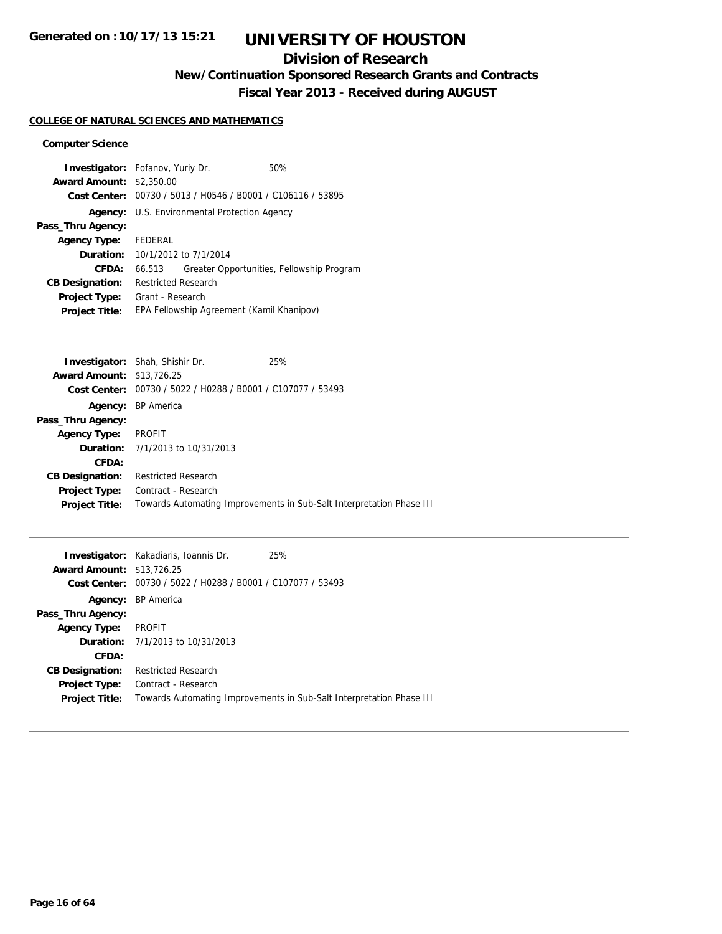# **Division of Research**

**New/Continuation Sponsored Research Grants and Contracts**

**Fiscal Year 2013 - Received during AUGUST**

## **COLLEGE OF NATURAL SCIENCES AND MATHEMATICS**

## **Computer Science**

| <b>Investigator:</b> Fofanov, Yuriy Dr.    |                                           |                                                             | 50%                                       |
|--------------------------------------------|-------------------------------------------|-------------------------------------------------------------|-------------------------------------------|
| <b>Award Amount:</b>                       | \$2,350.00                                |                                                             |                                           |
|                                            |                                           | Cost Center: 00730 / 5013 / H0546 / B0001 / C106116 / 53895 |                                           |
|                                            |                                           | <b>Agency:</b> U.S. Environmental Protection Agency         |                                           |
| Pass_Thru Agency:                          |                                           |                                                             |                                           |
| <b>Agency Type:</b>                        | FEDERAL                                   |                                                             |                                           |
| <b>Duration:</b> $10/1/2012$ to $7/1/2014$ |                                           |                                                             |                                           |
| CFDA:                                      | 66.513                                    |                                                             | Greater Opportunities, Fellowship Program |
| <b>CB Designation:</b>                     | <b>Restricted Research</b>                |                                                             |                                           |
| <b>Project Type:</b>                       | Grant - Research                          |                                                             |                                           |
| <b>Project Title:</b>                      | EPA Fellowship Agreement (Kamil Khanipov) |                                                             |                                           |
|                                            |                                           |                                                             |                                           |

|                                  | <b>Investigator:</b> Shah, Shishir Dr.                      | 25%                                                                  |
|----------------------------------|-------------------------------------------------------------|----------------------------------------------------------------------|
| <b>Award Amount: \$13,726.25</b> |                                                             |                                                                      |
|                                  | Cost Center: 00730 / 5022 / H0288 / B0001 / C107077 / 53493 |                                                                      |
|                                  | Agency: BP America                                          |                                                                      |
| Pass_Thru Agency:                |                                                             |                                                                      |
| <b>Agency Type:</b>              | <b>PROFIT</b>                                               |                                                                      |
|                                  | <b>Duration:</b> $7/1/2013$ to $10/31/2013$                 |                                                                      |
| CFDA:                            |                                                             |                                                                      |
| <b>CB Designation:</b>           | <b>Restricted Research</b>                                  |                                                                      |
| <b>Project Type:</b>             | Contract - Research                                         |                                                                      |
| <b>Project Title:</b>            |                                                             | Towards Automating Improvements in Sub-Salt Interpretation Phase III |
|                                  |                                                             |                                                                      |

|                                  | <b>Investigator:</b> Kakadiaris, Ioannis Dr.   | 25%                                                                  |
|----------------------------------|------------------------------------------------|----------------------------------------------------------------------|
| <b>Award Amount: \$13,726.25</b> |                                                |                                                                      |
| Cost Center:                     | 00730 / 5022 / H0288 / B0001 / C107077 / 53493 |                                                                      |
|                                  | <b>Agency:</b> BP America                      |                                                                      |
| Pass_Thru Agency:                |                                                |                                                                      |
| <b>Agency Type:</b>              | PROFIT                                         |                                                                      |
|                                  | <b>Duration:</b> 7/1/2013 to 10/31/2013        |                                                                      |
| CFDA:                            |                                                |                                                                      |
| <b>CB Designation:</b>           | <b>Restricted Research</b>                     |                                                                      |
| <b>Project Type:</b>             | Contract - Research                            |                                                                      |
| <b>Project Title:</b>            |                                                | Towards Automating Improvements in Sub-Salt Interpretation Phase III |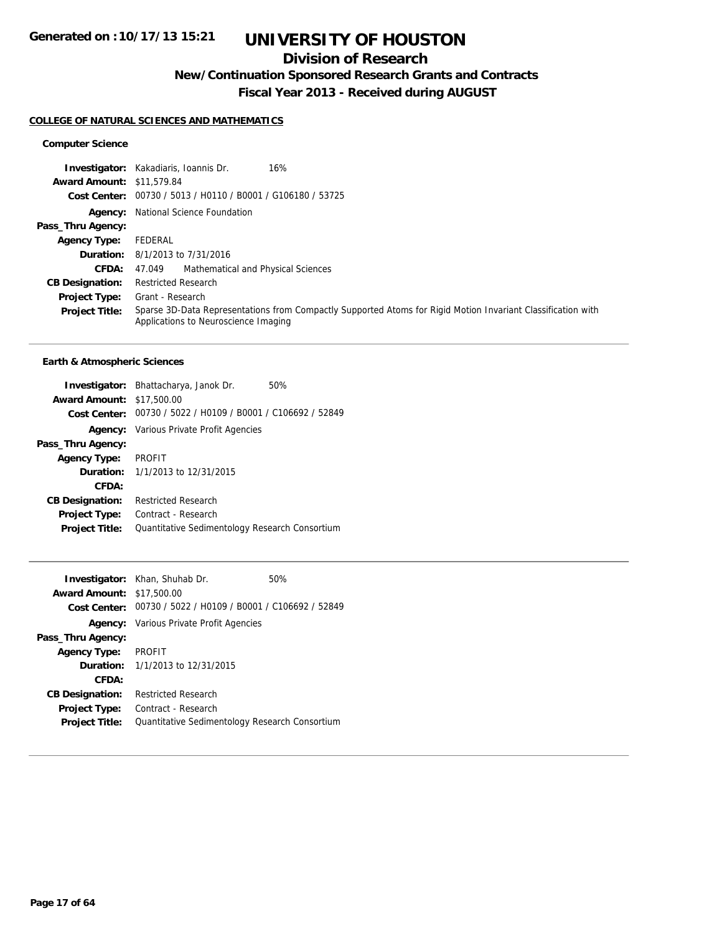# **Division of Research**

**New/Continuation Sponsored Research Grants and Contracts**

**Fiscal Year 2013 - Received during AUGUST**

#### **COLLEGE OF NATURAL SCIENCES AND MATHEMATICS**

## **Computer Science**

|                                  | 16%<br><b>Investigator:</b> Kakadiaris, Ioannis Dr.                                                                                                  |
|----------------------------------|------------------------------------------------------------------------------------------------------------------------------------------------------|
| <b>Award Amount: \$11,579.84</b> |                                                                                                                                                      |
|                                  | Cost Center: 00730 / 5013 / H0110 / B0001 / G106180 / 53725                                                                                          |
|                                  | <b>Agency:</b> National Science Foundation                                                                                                           |
| Pass_Thru Agency:                |                                                                                                                                                      |
| <b>Agency Type:</b>              | FEDERAL                                                                                                                                              |
|                                  | <b>Duration:</b> 8/1/2013 to 7/31/2016                                                                                                               |
| <b>CFDA:</b>                     | Mathematical and Physical Sciences<br>47.049                                                                                                         |
| <b>CB Designation:</b>           | <b>Restricted Research</b>                                                                                                                           |
| Project Type:                    | Grant - Research                                                                                                                                     |
| <b>Project Title:</b>            | Sparse 3D-Data Representations from Compactly Supported Atoms for Rigid Motion Invariant Classification with<br>Applications to Neuroscience Imaging |

|                        | <b>Investigator:</b> Bhattacharya, Janok Dr.<br>50% |
|------------------------|-----------------------------------------------------|
| <b>Award Amount:</b>   | \$17,500.00                                         |
| Cost Center:           | 00730 / 5022 / H0109 / B0001 / C106692 / 52849      |
| Agency:                | Various Private Profit Agencies                     |
| Pass_Thru Agency:      |                                                     |
| <b>Agency Type:</b>    | <b>PROFIT</b>                                       |
|                        | <b>Duration:</b> $1/1/2013$ to $12/31/2015$         |
| CFDA:                  |                                                     |
| <b>CB Designation:</b> | <b>Restricted Research</b>                          |
| <b>Project Type:</b>   | Contract - Research                                 |
| <b>Project Title:</b>  | Quantitative Sedimentology Research Consortium      |

|                                  | <b>Investigator:</b> Khan, Shuhab Dr.                       | 50% |
|----------------------------------|-------------------------------------------------------------|-----|
| <b>Award Amount: \$17,500.00</b> |                                                             |     |
|                                  | Cost Center: 00730 / 5022 / H0109 / B0001 / C106692 / 52849 |     |
|                                  | <b>Agency:</b> Various Private Profit Agencies              |     |
| Pass_Thru Agency:                |                                                             |     |
| <b>Agency Type:</b>              | PROFIT                                                      |     |
|                                  | <b>Duration:</b> $1/1/2013$ to $12/31/2015$                 |     |
| CFDA:                            |                                                             |     |
| <b>CB Designation:</b>           | <b>Restricted Research</b>                                  |     |
| <b>Project Type:</b>             | Contract - Research                                         |     |
| <b>Project Title:</b>            | Quantitative Sedimentology Research Consortium              |     |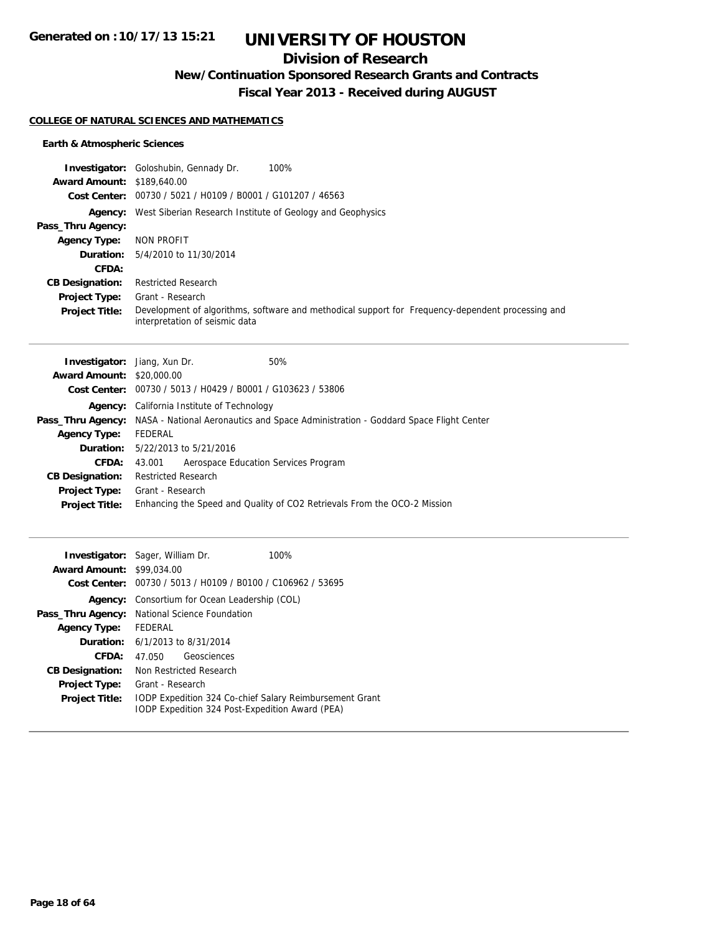# **Division of Research**

**New/Continuation Sponsored Research Grants and Contracts**

**Fiscal Year 2013 - Received during AUGUST**

### **COLLEGE OF NATURAL SCIENCES AND MATHEMATICS**

|                                   | 100%<br><b>Investigator:</b> Goloshubin, Gennady Dr.                                                                                |
|-----------------------------------|-------------------------------------------------------------------------------------------------------------------------------------|
| <b>Award Amount: \$189,640.00</b> |                                                                                                                                     |
|                                   | Cost Center: 00730 / 5021 / H0109 / B0001 / G101207 / 46563                                                                         |
|                                   | <b>Agency:</b> West Siberian Research Institute of Geology and Geophysics                                                           |
| Pass_Thru Agency:                 |                                                                                                                                     |
| <b>Agency Type:</b>               | NON PROFIT                                                                                                                          |
| <b>Duration:</b>                  | 5/4/2010 to 11/30/2014                                                                                                              |
| CFDA:                             |                                                                                                                                     |
| <b>CB Designation:</b>            | <b>Restricted Research</b>                                                                                                          |
| <b>Project Type:</b>              | Grant - Research                                                                                                                    |
| <b>Project Title:</b>             | Development of algorithms, software and methodical support for Frequency-dependent processing and<br>interpretation of seismic data |

| <b>Investigator:</b> Jiang, Xun Dr. |                                                                                                             |                                                             | 50% |
|-------------------------------------|-------------------------------------------------------------------------------------------------------------|-------------------------------------------------------------|-----|
| <b>Award Amount: \$20,000.00</b>    |                                                                                                             |                                                             |     |
|                                     |                                                                                                             | Cost Center: 00730 / 5013 / H0429 / B0001 / G103623 / 53806 |     |
|                                     | <b>Agency:</b> California Institute of Technology                                                           |                                                             |     |
|                                     | <b>Pass_Thru Agency:</b> NASA - National Aeronautics and Space Administration - Goddard Space Flight Center |                                                             |     |
| <b>Agency Type:</b>                 | FEDERAL                                                                                                     |                                                             |     |
|                                     | <b>Duration:</b> 5/22/2013 to 5/21/2016                                                                     |                                                             |     |
| CFDA:                               | 43.001                                                                                                      | Aerospace Education Services Program                        |     |
| <b>CB Designation:</b>              | <b>Restricted Research</b>                                                                                  |                                                             |     |
| Project Type:                       | Grant - Research                                                                                            |                                                             |     |
| <b>Project Title:</b>               | Enhancing the Speed and Quality of CO2 Retrievals From the OCO-2 Mission                                    |                                                             |     |
|                                     |                                                                                                             |                                                             |     |

| <b>Award Amount:</b><br>Cost Center: | <b>Investigator:</b> Sager, William Dr.<br>100%<br>\$99,034.00<br>00730 / 5013 / H0109 / B0100 / C106962 / 53695  |  |  |
|--------------------------------------|-------------------------------------------------------------------------------------------------------------------|--|--|
| Agency:                              | Consortium for Ocean Leadership (COL)                                                                             |  |  |
| Pass_Thru Agency:                    | National Science Foundation                                                                                       |  |  |
| <b>Agency Type:</b>                  | FEDERAL                                                                                                           |  |  |
|                                      | <b>Duration:</b> 6/1/2013 to 8/31/2014                                                                            |  |  |
| CFDA:                                | Geosciences<br>47.050                                                                                             |  |  |
| <b>CB Designation:</b>               | Non Restricted Research                                                                                           |  |  |
| <b>Project Type:</b>                 | Grant - Research                                                                                                  |  |  |
| <b>Project Title:</b>                | IODP Expedition 324 Co-chief Salary Reimbursement Grant<br><b>IODP Expedition 324 Post-Expedition Award (PEA)</b> |  |  |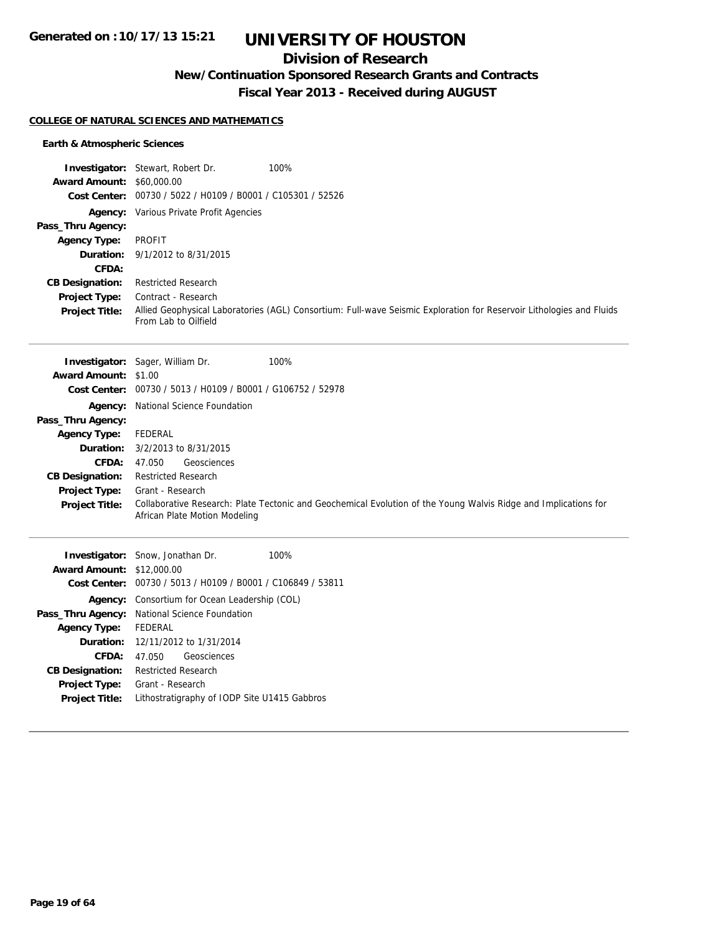# **Division of Research**

**New/Continuation Sponsored Research Grants and Contracts**

**Fiscal Year 2013 - Received during AUGUST**

### **COLLEGE OF NATURAL SCIENCES AND MATHEMATICS**

|                                     | <b>Investigator:</b> Stewart, Robert Dr.                    | 100%                                                                                                                 |
|-------------------------------------|-------------------------------------------------------------|----------------------------------------------------------------------------------------------------------------------|
| <b>Award Amount: \$60,000.00</b>    |                                                             |                                                                                                                      |
|                                     | Cost Center: 00730 / 5022 / H0109 / B0001 / C105301 / 52526 |                                                                                                                      |
|                                     | <b>Agency:</b> Various Private Profit Agencies              |                                                                                                                      |
| Pass_Thru Agency:                   |                                                             |                                                                                                                      |
| <b>Agency Type:</b>                 | PROFIT                                                      |                                                                                                                      |
|                                     | <b>Duration:</b> 9/1/2012 to 8/31/2015                      |                                                                                                                      |
| CFDA:                               |                                                             |                                                                                                                      |
| <b>CB Designation:</b>              | <b>Restricted Research</b>                                  |                                                                                                                      |
| <b>Project Type:</b>                | Contract - Research                                         |                                                                                                                      |
| <b>Project Title:</b>               | From Lab to Oilfield                                        | Allied Geophysical Laboratories (AGL) Consortium: Full-wave Seismic Exploration for Reservoir Lithologies and Fluids |
| $\overline{a}$ is in $\overline{a}$ | <b>Investigator:</b> Sager, William Dr.                     | 100%                                                                                                                 |

| <b>Award Amount: \$1.00</b> |                                                                                                                                                  |
|-----------------------------|--------------------------------------------------------------------------------------------------------------------------------------------------|
|                             | Cost Center: 00730 / 5013 / H0109 / B0001 / G106752 / 52978                                                                                      |
|                             | <b>Agency:</b> National Science Foundation                                                                                                       |
| Pass_Thru Agency:           |                                                                                                                                                  |
| <b>Agency Type:</b>         | FEDERAL                                                                                                                                          |
|                             | <b>Duration:</b> $3/2/2013$ to $8/31/2015$                                                                                                       |
| <b>CFDA:</b>                | Geosciences<br>47.050                                                                                                                            |
| <b>CB Designation:</b>      | <b>Restricted Research</b>                                                                                                                       |
| <b>Project Type:</b>        | Grant - Research                                                                                                                                 |
| <b>Project Title:</b>       | Collaborative Research: Plate Tectonic and Geochemical Evolution of the Young Walvis Ridge and Implications for<br>African Plate Motion Modeling |

|                                  | <b>Investigator:</b> Snow, Jonathan Dr.              |             | 100%                                                        |
|----------------------------------|------------------------------------------------------|-------------|-------------------------------------------------------------|
| <b>Award Amount: \$12,000.00</b> |                                                      |             |                                                             |
|                                  |                                                      |             | Cost Center: 00730 / 5013 / H0109 / B0001 / C106849 / 53811 |
|                                  | <b>Agency:</b> Consortium for Ocean Leadership (COL) |             |                                                             |
| Pass_Thru Agency:                | <b>National Science Foundation</b>                   |             |                                                             |
| <b>Agency Type:</b>              | FEDERAL                                              |             |                                                             |
|                                  | Duration: 12/11/2012 to 1/31/2014                    |             |                                                             |
| CFDA:                            | 47.050                                               | Geosciences |                                                             |
| <b>CB Designation:</b>           | <b>Restricted Research</b>                           |             |                                                             |
| <b>Project Type:</b>             | Grant - Research                                     |             |                                                             |
| <b>Project Title:</b>            | Lithostratigraphy of IODP Site U1415 Gabbros         |             |                                                             |
|                                  |                                                      |             |                                                             |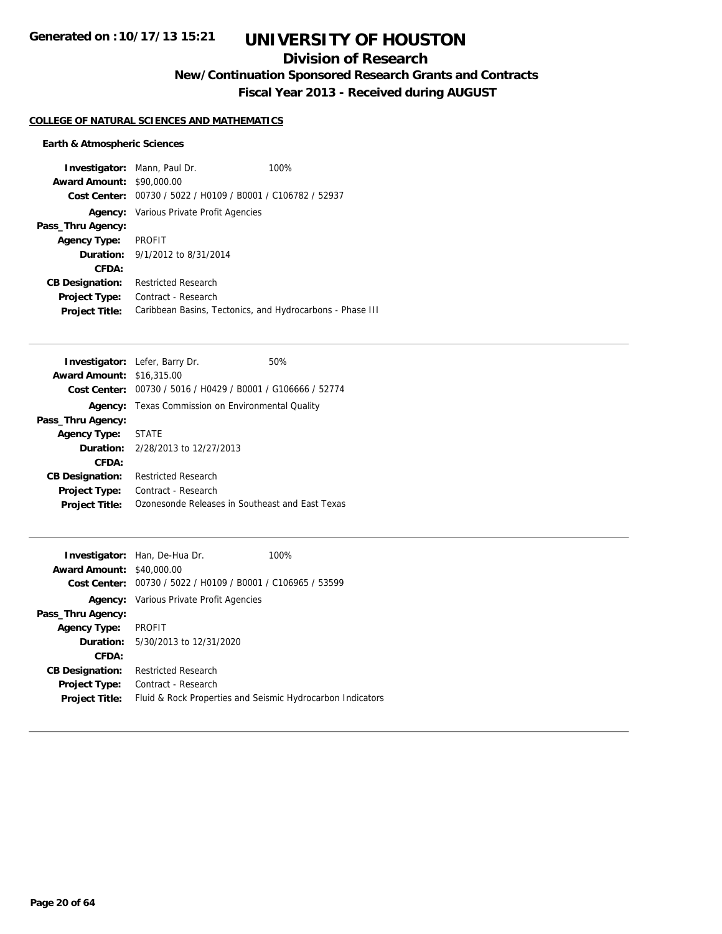# **Division of Research**

**New/Continuation Sponsored Research Grants and Contracts**

**Fiscal Year 2013 - Received during AUGUST**

### **COLLEGE OF NATURAL SCIENCES AND MATHEMATICS**

| <b>Investigator:</b> Mann, Paul Dr. |                                                             | 100% |
|-------------------------------------|-------------------------------------------------------------|------|
| <b>Award Amount: \$90,000.00</b>    |                                                             |      |
|                                     | Cost Center: 00730 / 5022 / H0109 / B0001 / C106782 / 52937 |      |
|                                     | <b>Agency:</b> Various Private Profit Agencies              |      |
| Pass_Thru Agency:                   |                                                             |      |
| <b>Agency Type:</b>                 | PROFIT                                                      |      |
|                                     | <b>Duration:</b> 9/1/2012 to 8/31/2014                      |      |
| CFDA:                               |                                                             |      |
| <b>CB Designation:</b>              | <b>Restricted Research</b>                                  |      |
| <b>Project Type:</b>                | Contract - Research                                         |      |
| <b>Project Title:</b>               | Caribbean Basins, Tectonics, and Hydrocarbons - Phase III   |      |

|                                  | <b>Investigator:</b> Lefer, Barry Dr.                        | 50% |
|----------------------------------|--------------------------------------------------------------|-----|
| <b>Award Amount: \$16,315.00</b> |                                                              |     |
|                                  | Cost Center: 00730 / 5016 / H0429 / B0001 / G106666 / 52774  |     |
| Agency:                          | Texas Commission on Environmental Quality                    |     |
| Pass_Thru Agency:                |                                                              |     |
| Agency Type: STATE               |                                                              |     |
|                                  | <b>Duration:</b> $\frac{2}{28/2013}$ to $\frac{12}{27/2013}$ |     |
| CFDA:                            |                                                              |     |
| <b>CB Designation:</b>           | <b>Restricted Research</b>                                   |     |
| <b>Project Type:</b>             | Contract - Research                                          |     |
| <b>Project Title:</b>            | Ozonesonde Releases in Southeast and East Texas              |     |

|                        | <b>Investigator:</b> Han, De-Hua Dr.                        | 100% |
|------------------------|-------------------------------------------------------------|------|
| <b>Award Amount:</b>   | \$40,000.00                                                 |      |
|                        | Cost Center: 00730 / 5022 / H0109 / B0001 / C106965 / 53599 |      |
|                        | <b>Agency:</b> Various Private Profit Agencies              |      |
| Pass_Thru Agency:      |                                                             |      |
| <b>Agency Type:</b>    | <b>PROFIT</b>                                               |      |
|                        | <b>Duration:</b> 5/30/2013 to 12/31/2020                    |      |
| CFDA:                  |                                                             |      |
| <b>CB Designation:</b> | <b>Restricted Research</b>                                  |      |
| <b>Project Type:</b>   | Contract - Research                                         |      |
| <b>Project Title:</b>  | Fluid & Rock Properties and Seismic Hydrocarbon Indicators  |      |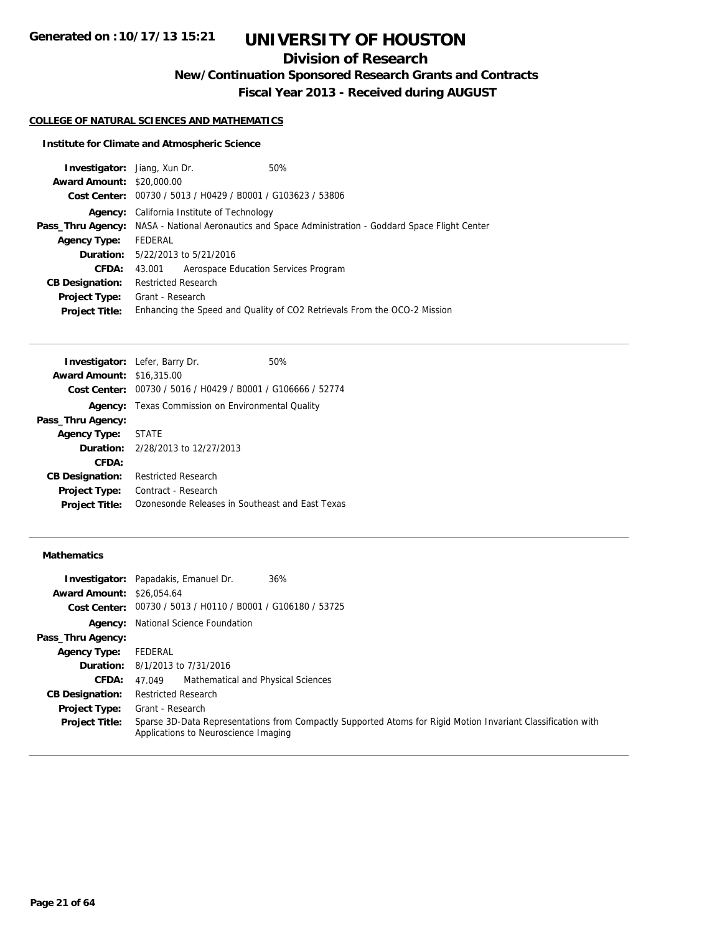# **Division of Research**

**New/Continuation Sponsored Research Grants and Contracts**

**Fiscal Year 2013 - Received during AUGUST**

## **COLLEGE OF NATURAL SCIENCES AND MATHEMATICS**

## **Institute for Climate and Atmospheric Science**

| <b>Investigator:</b> Jiang, Xun Dr. | 50%                                                                                                  |
|-------------------------------------|------------------------------------------------------------------------------------------------------|
| <b>Award Amount: \$20,000.00</b>    |                                                                                                      |
|                                     | Cost Center: 00730 / 5013 / H0429 / B0001 / G103623 / 53806                                          |
|                                     | <b>Agency:</b> California Institute of Technology                                                    |
|                                     | Pass_Thru Agency: NASA - National Aeronautics and Space Administration - Goddard Space Flight Center |
| <b>Agency Type:</b>                 | FEDERAL                                                                                              |
|                                     | <b>Duration:</b> 5/22/2013 to 5/21/2016                                                              |
| CFDA:                               | Aerospace Education Services Program<br>43.001                                                       |
| <b>CB Designation:</b>              | <b>Restricted Research</b>                                                                           |
| Project Type:                       | Grant - Research                                                                                     |
| <b>Project Title:</b>               | Enhancing the Speed and Quality of CO2 Retrievals From the OCO-2 Mission                             |
|                                     |                                                                                                      |

|                                  | <b>Investigator:</b> Lefer, Barry Dr.                       | 50% |
|----------------------------------|-------------------------------------------------------------|-----|
| <b>Award Amount: \$16,315.00</b> |                                                             |     |
|                                  | Cost Center: 00730 / 5016 / H0429 / B0001 / G106666 / 52774 |     |
| Agency:                          | Texas Commission on Environmental Quality                   |     |
| Pass_Thru Agency:                |                                                             |     |
| <b>Agency Type: STATE</b>        |                                                             |     |
|                                  | <b>Duration:</b> 2/28/2013 to 12/27/2013                    |     |
| CFDA:                            |                                                             |     |
| <b>CB Designation:</b>           | <b>Restricted Research</b>                                  |     |
| <b>Project Type:</b>             | Contract - Research                                         |     |
| <b>Project Title:</b>            | Ozonesonde Releases in Southeast and East Texas             |     |

## **Mathematics**

| <b>Award Amount: \$26,054.64</b> | <b>Investigator:</b> Papadakis, Emanuel Dr.<br>36%                                                                                                   |
|----------------------------------|------------------------------------------------------------------------------------------------------------------------------------------------------|
|                                  | Cost Center: 00730 / 5013 / H0110 / B0001 / G106180 / 53725                                                                                          |
|                                  |                                                                                                                                                      |
|                                  | <b>Agency:</b> National Science Foundation                                                                                                           |
| Pass_Thru Agency:                |                                                                                                                                                      |
| <b>Agency Type:</b>              | FEDERAL                                                                                                                                              |
|                                  | <b>Duration:</b> 8/1/2013 to 7/31/2016                                                                                                               |
| <b>CFDA:</b>                     | Mathematical and Physical Sciences<br>47.049                                                                                                         |
| <b>CB Designation:</b>           | <b>Restricted Research</b>                                                                                                                           |
| <b>Project Type:</b>             | Grant - Research                                                                                                                                     |
| <b>Project Title:</b>            | Sparse 3D-Data Representations from Compactly Supported Atoms for Rigid Motion Invariant Classification with<br>Applications to Neuroscience Imaging |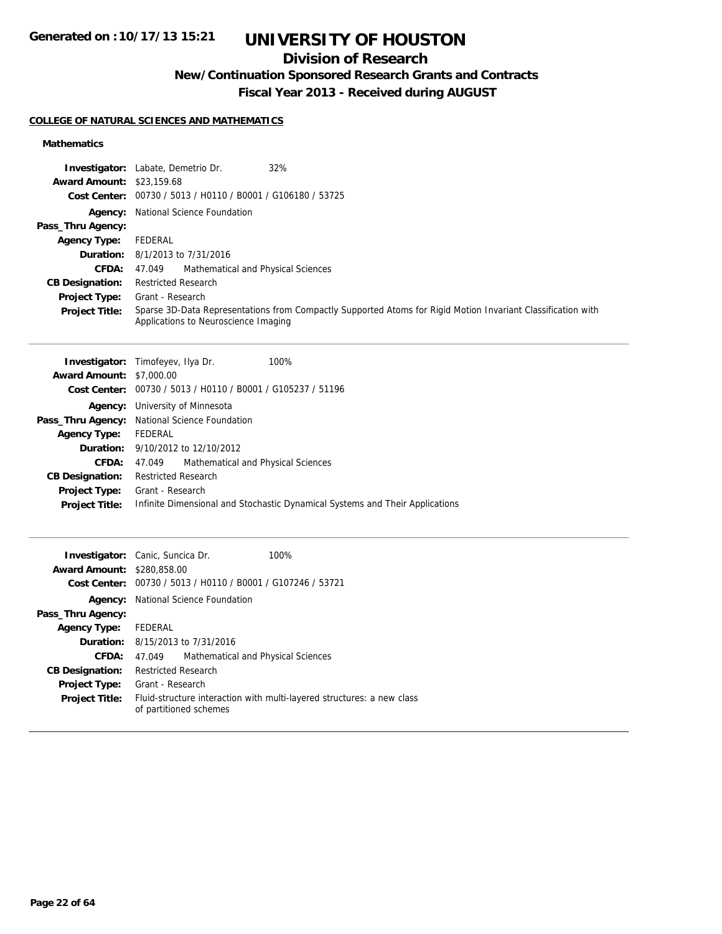# **Division of Research**

**New/Continuation Sponsored Research Grants and Contracts**

**Fiscal Year 2013 - Received during AUGUST**

## **COLLEGE OF NATURAL SCIENCES AND MATHEMATICS**

## **Mathematics**

|                                  | <b>Investigator:</b> Labate, Demetrio Dr.<br>32%                                                                                                     |
|----------------------------------|------------------------------------------------------------------------------------------------------------------------------------------------------|
| <b>Award Amount: \$23,159.68</b> |                                                                                                                                                      |
|                                  | Cost Center: 00730 / 5013 / H0110 / B0001 / G106180 / 53725                                                                                          |
|                                  | <b>Agency:</b> National Science Foundation                                                                                                           |
| Pass_Thru Agency:                |                                                                                                                                                      |
| <b>Agency Type:</b>              | FEDERAL                                                                                                                                              |
|                                  | <b>Duration:</b> 8/1/2013 to 7/31/2016                                                                                                               |
| <b>CFDA:</b>                     | Mathematical and Physical Sciences<br>47.049                                                                                                         |
| <b>CB Designation:</b>           | <b>Restricted Research</b>                                                                                                                           |
| <b>Project Type:</b>             | Grant - Research                                                                                                                                     |
| <b>Project Title:</b>            | Sparse 3D-Data Representations from Compactly Supported Atoms for Rigid Motion Invariant Classification with<br>Applications to Neuroscience Imaging |

| <b>Investigator:</b> Timofeyev, Ilya Dr.      |                                          |                                                               | 100%                                                                         |
|-----------------------------------------------|------------------------------------------|---------------------------------------------------------------|------------------------------------------------------------------------------|
| <b>Award Amount: \$7,000.00</b>               |                                          |                                                               |                                                                              |
|                                               |                                          | Cost Center: $00730 / 5013 / 40110 / 80001 / 6105237 / 51196$ |                                                                              |
| Agency:                                       | University of Minnesota                  |                                                               |                                                                              |
| Pass_Thru Agency: National Science Foundation |                                          |                                                               |                                                                              |
| <b>Agency Type:</b>                           | FEDERAL                                  |                                                               |                                                                              |
|                                               | <b>Duration:</b> 9/10/2012 to 12/10/2012 |                                                               |                                                                              |
| CFDA:                                         | 47.049                                   | Mathematical and Physical Sciences                            |                                                                              |
| <b>CB Designation:</b>                        | <b>Restricted Research</b>               |                                                               |                                                                              |
| <b>Project Type:</b>                          | Grant - Research                         |                                                               |                                                                              |
| <b>Project Title:</b>                         |                                          |                                                               | Infinite Dimensional and Stochastic Dynamical Systems and Their Applications |
|                                               |                                          |                                                               |                                                                              |

| <b>Investigator:</b> Canic, Suncica Dr.<br><b>Award Amount: \$280,858,00</b> |                                                                                                  | Cost Center: 00730 / 5013 / H0110 / B0001 / G107246 / 53721 | 100% |
|------------------------------------------------------------------------------|--------------------------------------------------------------------------------------------------|-------------------------------------------------------------|------|
|                                                                              |                                                                                                  | <b>Agency:</b> National Science Foundation                  |      |
| Pass_Thru Agency:                                                            |                                                                                                  |                                                             |      |
| <b>Agency Type:</b>                                                          | FEDERAL                                                                                          |                                                             |      |
|                                                                              | <b>Duration:</b> 8/15/2013 to 7/31/2016                                                          |                                                             |      |
| CFDA:                                                                        | 47.049                                                                                           | Mathematical and Physical Sciences                          |      |
| <b>CB Designation:</b>                                                       | <b>Restricted Research</b>                                                                       |                                                             |      |
| <b>Project Type:</b>                                                         | Grant - Research                                                                                 |                                                             |      |
| <b>Project Title:</b>                                                        | Fluid-structure interaction with multi-layered structures: a new class<br>of partitioned schemes |                                                             |      |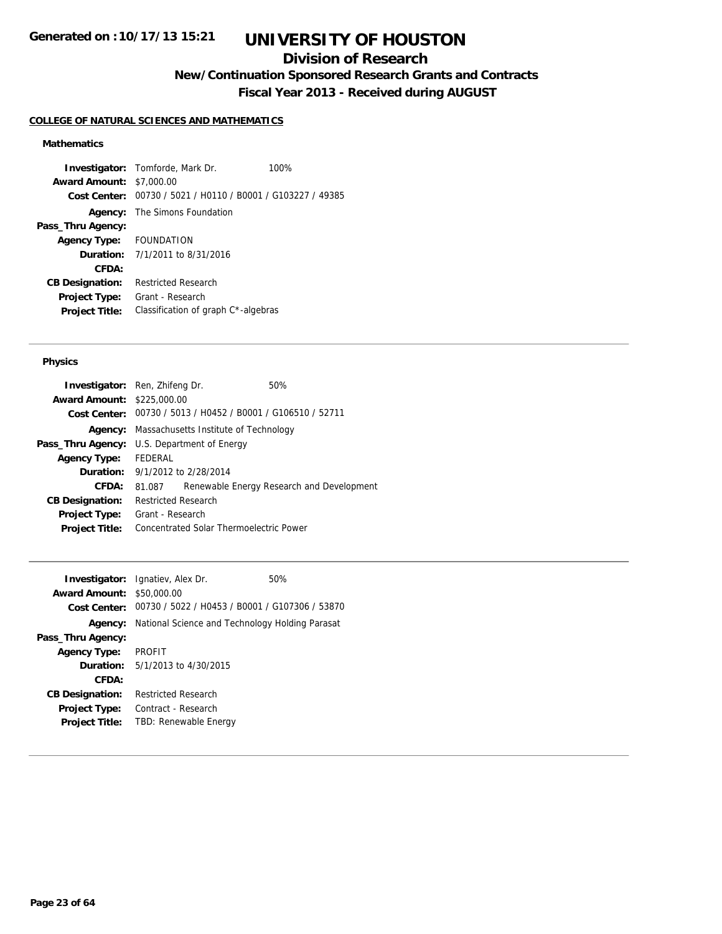# **Division of Research**

**New/Continuation Sponsored Research Grants and Contracts**

**Fiscal Year 2013 - Received during AUGUST**

#### **COLLEGE OF NATURAL SCIENCES AND MATHEMATICS**

## **Mathematics**

**Investigator:** Tomforde, Mark Dr. 100% **Award Amount:** \$7,000.00 **Cost Center:** 00730 / 5021 / H0110 / B0001 / G103227 / 49385 **Agency:** The Simons Foundation **Pass\_Thru Agency: Agency Type:** FOUNDATION **Duration:** 7/1/2011 to 8/31/2016 **CFDA: CB Designation:** Restricted Research **Project Type:** Grant - Research **Project Title:** Classification of graph C\*-algebras

### **Physics**

| <b>Investigator:</b> Ren, Zhifeng Dr. |                            |                                        | 50%                                                         |  |
|---------------------------------------|----------------------------|----------------------------------------|-------------------------------------------------------------|--|
| <b>Award Amount: \$225,000.00</b>     |                            |                                        |                                                             |  |
|                                       |                            |                                        | Cost Center: 00730 / 5013 / H0452 / B0001 / G106510 / 52711 |  |
| Agency:                               |                            |                                        | Massachusetts Institute of Technology                       |  |
| Pass_Thru Agency:                     | U.S. Department of Energy  |                                        |                                                             |  |
| <b>Agency Type:</b>                   | FEDERAL                    |                                        |                                                             |  |
|                                       |                            | <b>Duration:</b> 9/1/2012 to 2/28/2014 |                                                             |  |
| CFDA:                                 | 81.087                     |                                        | Renewable Energy Research and Development                   |  |
| <b>CB Designation:</b>                | <b>Restricted Research</b> |                                        |                                                             |  |
| <b>Project Type:</b>                  | Grant - Research           |                                        |                                                             |  |
| <b>Project Title:</b>                 |                            |                                        | Concentrated Solar Thermoelectric Power                     |  |
|                                       |                            |                                        |                                                             |  |

|                        | <b>Investigator:</b> Ignatiev, Alex Dr.                     | 50% |
|------------------------|-------------------------------------------------------------|-----|
| <b>Award Amount:</b>   | \$50,000.00                                                 |     |
|                        | Cost Center: 00730 / 5022 / H0453 / B0001 / G107306 / 53870 |     |
| Agency:                | National Science and Technology Holding Parasat             |     |
| Pass_Thru Agency:      |                                                             |     |
| <b>Agency Type:</b>    | <b>PROFIT</b>                                               |     |
|                        | <b>Duration:</b> $5/1/2013$ to $4/30/2015$                  |     |
| CFDA:                  |                                                             |     |
| <b>CB Designation:</b> | <b>Restricted Research</b>                                  |     |
| <b>Project Type:</b>   | Contract - Research                                         |     |
| <b>Project Title:</b>  | TBD: Renewable Energy                                       |     |
|                        |                                                             |     |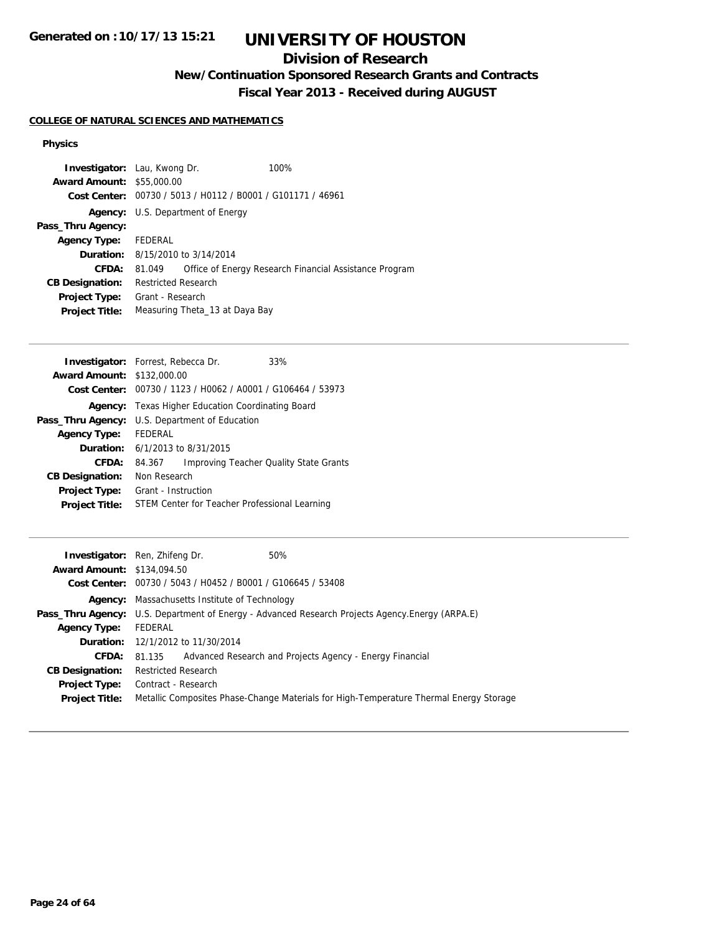# **Division of Research**

**New/Continuation Sponsored Research Grants and Contracts**

**Fiscal Year 2013 - Received during AUGUST**

## **COLLEGE OF NATURAL SCIENCES AND MATHEMATICS**

### **Physics**

| <b>Investigator:</b> Lau, Kwong Dr. |                            |                                                             | 100%                                                   |
|-------------------------------------|----------------------------|-------------------------------------------------------------|--------------------------------------------------------|
| <b>Award Amount: \$55,000.00</b>    |                            |                                                             |                                                        |
|                                     |                            | Cost Center: 00730 / 5013 / H0112 / B0001 / G101171 / 46961 |                                                        |
|                                     |                            | <b>Agency:</b> U.S. Department of Energy                    |                                                        |
| Pass_Thru Agency:                   |                            |                                                             |                                                        |
| <b>Agency Type:</b>                 | FEDERAL                    |                                                             |                                                        |
|                                     |                            | <b>Duration:</b> 8/15/2010 to 3/14/2014                     |                                                        |
| <b>CFDA:</b>                        | 81.049                     |                                                             | Office of Energy Research Financial Assistance Program |
| <b>CB Designation:</b>              | <b>Restricted Research</b> |                                                             |                                                        |
| <b>Project Type:</b>                | Grant - Research           |                                                             |                                                        |
| <b>Project Title:</b>               |                            | Measuring Theta_13 at Daya Bay                              |                                                        |

|                                   | <b>Investigator:</b> Forrest, Rebecca Dr.                   | 33%                                           |
|-----------------------------------|-------------------------------------------------------------|-----------------------------------------------|
| <b>Award Amount: \$132,000.00</b> |                                                             |                                               |
|                                   | Cost Center: 00730 / 1123 / H0062 / A0001 / G106464 / 53973 |                                               |
| Agency:                           | Texas Higher Education Coordinating Board                   |                                               |
| Pass_Thru Agency:                 | U.S. Department of Education                                |                                               |
| <b>Agency Type:</b>               | <b>FFDFRAL</b>                                              |                                               |
|                                   | <b>Duration:</b> $6/1/2013$ to $8/31/2015$                  |                                               |
| CFDA:                             | 84.367                                                      | <b>Improving Teacher Quality State Grants</b> |
| <b>CB Designation:</b>            | Non Research                                                |                                               |
| <b>Project Type:</b>              | Grant - Instruction                                         |                                               |
| <b>Project Title:</b>             | STEM Center for Teacher Professional Learning               |                                               |

| 50%<br><b>Investigator:</b> Ren, Zhifeng Dr.                                                            |
|---------------------------------------------------------------------------------------------------------|
| <b>Award Amount: \$134,094.50</b>                                                                       |
| Cost Center: 00730 / 5043 / H0452 / B0001 / G106645 / 53408                                             |
| <b>Agency:</b> Massachusetts Institute of Technology                                                    |
| <b>Pass_Thru Agency:</b> U.S. Department of Energy - Advanced Research Projects Agency. Energy (ARPA.E) |
| FEDERAL                                                                                                 |
| <b>Duration:</b> 12/1/2012 to 11/30/2014                                                                |
| Advanced Research and Projects Agency - Energy Financial<br>81.135                                      |
| <b>Restricted Research</b>                                                                              |
| Contract - Research                                                                                     |
| Metallic Composites Phase-Change Materials for High-Temperature Thermal Energy Storage                  |
|                                                                                                         |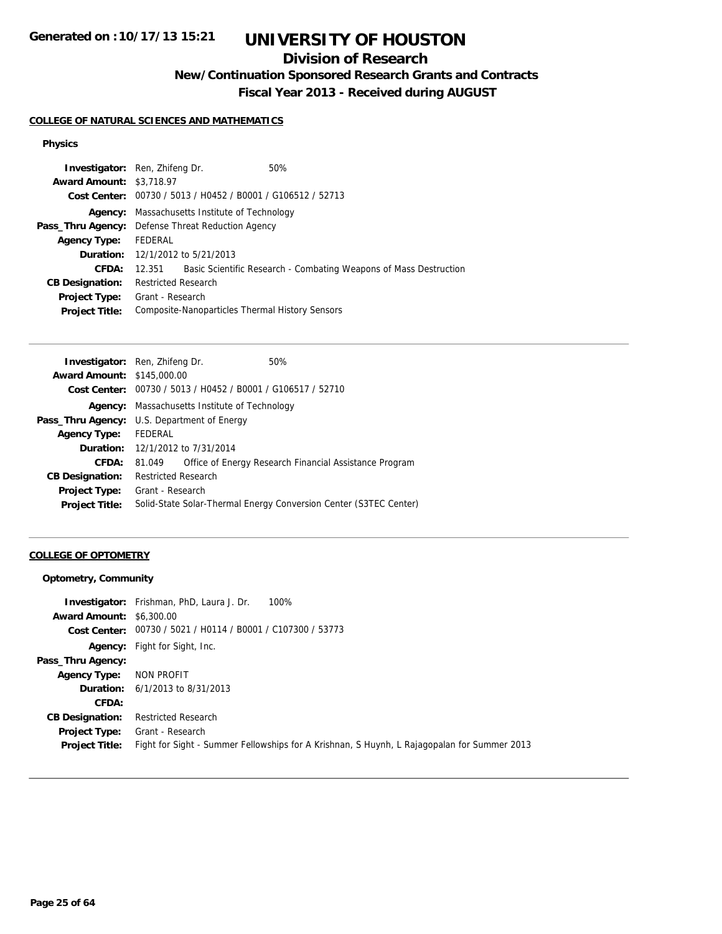# **Division of Research**

**New/Continuation Sponsored Research Grants and Contracts**

**Fiscal Year 2013 - Received during AUGUST**

#### **COLLEGE OF NATURAL SCIENCES AND MATHEMATICS**

### **Physics**

|                                 | 50%                                                                                                                                                                                                                                                                                                                                                                         |
|---------------------------------|-----------------------------------------------------------------------------------------------------------------------------------------------------------------------------------------------------------------------------------------------------------------------------------------------------------------------------------------------------------------------------|
| <b>Award Amount: \$3,718.97</b> |                                                                                                                                                                                                                                                                                                                                                                             |
|                                 |                                                                                                                                                                                                                                                                                                                                                                             |
|                                 |                                                                                                                                                                                                                                                                                                                                                                             |
|                                 |                                                                                                                                                                                                                                                                                                                                                                             |
| FEDERAL                         |                                                                                                                                                                                                                                                                                                                                                                             |
|                                 |                                                                                                                                                                                                                                                                                                                                                                             |
|                                 | Basic Scientific Research - Combating Weapons of Mass Destruction                                                                                                                                                                                                                                                                                                           |
|                                 |                                                                                                                                                                                                                                                                                                                                                                             |
|                                 |                                                                                                                                                                                                                                                                                                                                                                             |
|                                 |                                                                                                                                                                                                                                                                                                                                                                             |
|                                 | <b>Investigator:</b> Ren, Zhifeng Dr.<br>Cost Center: 00730 / 5013 / H0452 / B0001 / G106512 / 52713<br><b>Agency:</b> Massachusetts Institute of Technology<br><b>Pass_Thru Agency:</b> Defense Threat Reduction Agency<br><b>Duration:</b> 12/1/2012 to 5/21/2013<br>12.351<br>Restricted Research<br>Grant - Research<br>Composite-Nanoparticles Thermal History Sensors |

| <b>Investigator:</b> Ren, Zhifeng Dr.              |                            |                                                             | 50%                                                               |
|----------------------------------------------------|----------------------------|-------------------------------------------------------------|-------------------------------------------------------------------|
| <b>Award Amount: \$145,000.00</b>                  |                            |                                                             |                                                                   |
|                                                    |                            | Cost Center: 00730 / 5013 / H0452 / B0001 / G106517 / 52710 |                                                                   |
|                                                    |                            | <b>Agency:</b> Massachusetts Institute of Technology        |                                                                   |
| <b>Pass_Thru Agency:</b> U.S. Department of Energy |                            |                                                             |                                                                   |
| <b>Agency Type:</b>                                | FEDERAL                    |                                                             |                                                                   |
|                                                    |                            | <b>Duration:</b> 12/1/2012 to 7/31/2014                     |                                                                   |
| CFDA:                                              | 81.049                     |                                                             | Office of Energy Research Financial Assistance Program            |
| <b>CB Designation:</b>                             | <b>Restricted Research</b> |                                                             |                                                                   |
| <b>Project Type:</b>                               | Grant - Research           |                                                             |                                                                   |
| <b>Project Title:</b>                              |                            |                                                             | Solid-State Solar-Thermal Energy Conversion Center (S3TEC Center) |
|                                                    |                            |                                                             |                                                                   |

## **COLLEGE OF OPTOMETRY**

## **Optometry, Community**

|                                 | 100%<br><b>Investigator:</b> Frishman, PhD, Laura J. Dr.                                    |
|---------------------------------|---------------------------------------------------------------------------------------------|
| <b>Award Amount: \$6,300.00</b> |                                                                                             |
|                                 | Cost Center: 00730 / 5021 / H0114 / B0001 / C107300 / 53773                                 |
|                                 | <b>Agency:</b> Fight for Sight, Inc.                                                        |
| Pass_Thru Agency:               |                                                                                             |
| <b>Agency Type:</b>             | NON PROFIT                                                                                  |
|                                 | <b>Duration:</b> $6/1/2013$ to $8/31/2013$                                                  |
| CFDA:                           |                                                                                             |
| <b>CB Designation:</b>          | <b>Restricted Research</b>                                                                  |
| Project Type:                   | Grant - Research                                                                            |
| <b>Project Title:</b>           | Fight for Sight - Summer Fellowships for A Krishnan, S Huynh, L Rajagopalan for Summer 2013 |
|                                 |                                                                                             |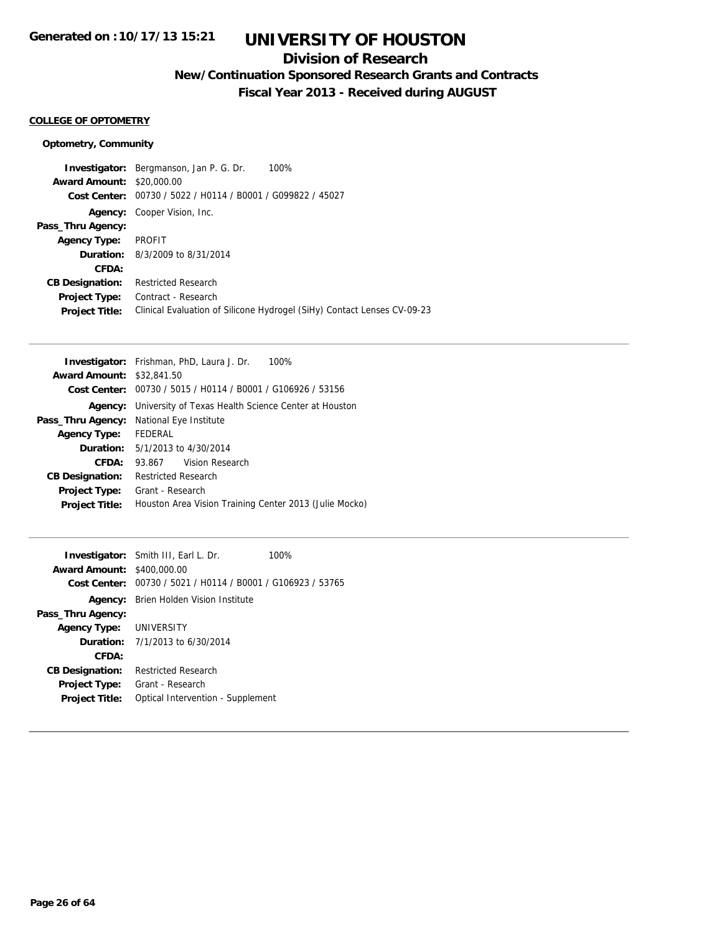## **Division of Research**

**New/Continuation Sponsored Research Grants and Contracts**

**Fiscal Year 2013 - Received during AUGUST**

## **COLLEGE OF OPTOMETRY**

#### **Optometry, Community**

**Investigator:** Bergmanson, Jan P. G. Dr. 100% **Award Amount:** \$20,000.00 **Cost Center:** 00730 / 5022 / H0114 / B0001 / G099822 / 45027 **Agency:** Cooper Vision, Inc. **Pass\_Thru Agency: Agency Type:** PROFIT **Duration:** 8/3/2009 to 8/31/2014 **CFDA: CB Designation:** Restricted Research **Project Type:** Contract - Research **Project Title:** Clinical Evaluation of Silicone Hydrogel (SiHy) Contact Lenses CV-09-23

| <b>Award Amount: \$32,841.50</b><br>Cost Center: 00730 / 5015 / H0114 / B0001 / G106926 / 53156<br><b>Agency:</b> University of Texas Health Science Center at Houston<br>Pass_Thru Agency: National Eye Institute<br>FEDERAL<br>Agency Type:<br><b>Duration:</b> $5/1/2013$ to $4/30/2014$<br>Vision Research<br>CFDA:<br>93.867<br><b>Restricted Research</b><br><b>CB Designation:</b><br>Grant - Research<br><b>Project Type:</b><br>Houston Area Vision Training Center 2013 (Julie Mocko)<br><b>Project Title:</b> | <b>Investigator:</b> Frishman, PhD, Laura J. Dr.<br>100% |  |  |
|--------------------------------------------------------------------------------------------------------------------------------------------------------------------------------------------------------------------------------------------------------------------------------------------------------------------------------------------------------------------------------------------------------------------------------------------------------------------------------------------------------------------------|----------------------------------------------------------|--|--|
|                                                                                                                                                                                                                                                                                                                                                                                                                                                                                                                          |                                                          |  |  |
|                                                                                                                                                                                                                                                                                                                                                                                                                                                                                                                          |                                                          |  |  |
|                                                                                                                                                                                                                                                                                                                                                                                                                                                                                                                          |                                                          |  |  |
|                                                                                                                                                                                                                                                                                                                                                                                                                                                                                                                          |                                                          |  |  |
|                                                                                                                                                                                                                                                                                                                                                                                                                                                                                                                          |                                                          |  |  |
|                                                                                                                                                                                                                                                                                                                                                                                                                                                                                                                          |                                                          |  |  |
|                                                                                                                                                                                                                                                                                                                                                                                                                                                                                                                          |                                                          |  |  |
|                                                                                                                                                                                                                                                                                                                                                                                                                                                                                                                          |                                                          |  |  |
|                                                                                                                                                                                                                                                                                                                                                                                                                                                                                                                          |                                                          |  |  |
|                                                                                                                                                                                                                                                                                                                                                                                                                                                                                                                          |                                                          |  |  |

|                                   | <b>Investigator:</b> Smith III, Earl L. Dr.                 | 100% |
|-----------------------------------|-------------------------------------------------------------|------|
| <b>Award Amount: \$400,000.00</b> |                                                             |      |
|                                   | Cost Center: 00730 / 5021 / H0114 / B0001 / G106923 / 53765 |      |
| Agency:                           | Brien Holden Vision Institute                               |      |
| Pass_Thru Agency:                 |                                                             |      |
| <b>Agency Type: UNIVERSITY</b>    |                                                             |      |
|                                   | <b>Duration:</b> $7/1/2013$ to $6/30/2014$                  |      |
| CFDA:                             |                                                             |      |
| <b>CB Designation:</b>            | <b>Restricted Research</b>                                  |      |
| <b>Project Type:</b>              | Grant - Research                                            |      |
| <b>Project Title:</b>             | Optical Intervention - Supplement                           |      |
|                                   |                                                             |      |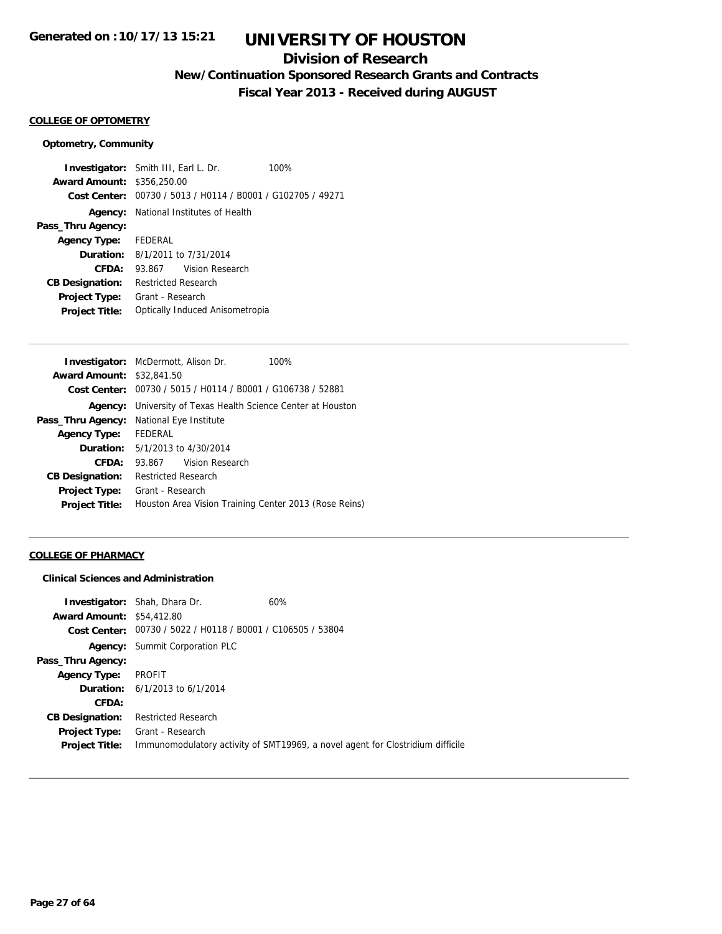## **Division of Research**

**New/Continuation Sponsored Research Grants and Contracts**

**Fiscal Year 2013 - Received during AUGUST**

#### **COLLEGE OF OPTOMETRY**

#### **Optometry, Community**

**Investigator:** Smith III, Earl L. Dr. 100% **Award Amount:** \$356,250.00 **Cost Center:** 00730 / 5013 / H0114 / B0001 / G102705 / 49271 **Agency:** National Institutes of Health **Pass\_Thru Agency: Agency Type:** FEDERAL **Duration:** 8/1/2011 to 7/31/2014 **CFDA:** 93.867 Vision Research **CB Designation:** Restricted Research **Project Type:** Grant - Research **Project Title:** Optically Induced Anisometropia

| 100%<br><b>Investigator:</b> McDermott, Alison Dr.          |
|-------------------------------------------------------------|
| <b>Award Amount: \$32,841.50</b>                            |
| Cost Center: 00730 / 5015 / H0114 / B0001 / G106738 / 52881 |
| University of Texas Health Science Center at Houston        |
| National Eye Institute                                      |
| Agency Type: FEDERAL                                        |
| <b>Duration:</b> 5/1/2013 to 4/30/2014                      |
| 93.867 Vision Research                                      |
| <b>Restricted Research</b>                                  |
| Grant - Research                                            |
| Houston Area Vision Training Center 2013 (Rose Reins)       |
|                                                             |

#### **COLLEGE OF PHARMACY**

#### **Clinical Sciences and Administration**

|                                  | <b>Investigator:</b> Shah, Dhara Dr.                        | 60%                                                                            |
|----------------------------------|-------------------------------------------------------------|--------------------------------------------------------------------------------|
| <b>Award Amount: \$54,412.80</b> |                                                             |                                                                                |
|                                  | Cost Center: 00730 / 5022 / H0118 / B0001 / C106505 / 53804 |                                                                                |
|                                  | <b>Agency:</b> Summit Corporation PLC                       |                                                                                |
| Pass_Thru Agency:                |                                                             |                                                                                |
| <b>Agency Type:</b>              | PROFIT                                                      |                                                                                |
|                                  | <b>Duration:</b> $6/1/2013$ to $6/1/2014$                   |                                                                                |
| CFDA:                            |                                                             |                                                                                |
| <b>CB Designation:</b>           | <b>Restricted Research</b>                                  |                                                                                |
| <b>Project Type:</b>             | Grant - Research                                            |                                                                                |
| <b>Project Title:</b>            |                                                             | Immunomodulatory activity of SMT19969, a novel agent for Clostridium difficile |
|                                  |                                                             |                                                                                |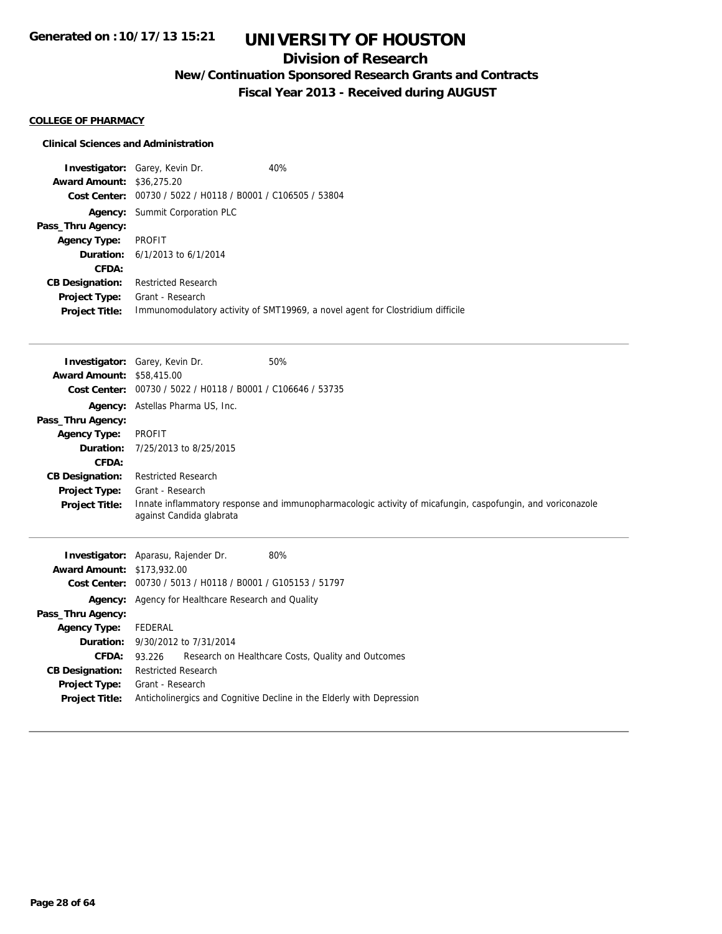# **Division of Research**

**New/Continuation Sponsored Research Grants and Contracts**

**Fiscal Year 2013 - Received during AUGUST**

## **COLLEGE OF PHARMACY**

### **Clinical Sciences and Administration**

| <b>Investigator:</b> Garey, Kevin Dr.                       | 40%                                                                            |
|-------------------------------------------------------------|--------------------------------------------------------------------------------|
| <b>Award Amount: \$36,275.20</b>                            |                                                                                |
| Cost Center: 00730 / 5022 / H0118 / B0001 / C106505 / 53804 |                                                                                |
| <b>Agency:</b> Summit Corporation PLC                       |                                                                                |
|                                                             |                                                                                |
| <b>PROFIT</b>                                               |                                                                                |
| <b>Duration:</b> $6/1/2013$ to $6/1/2014$                   |                                                                                |
|                                                             |                                                                                |
| <b>Restricted Research</b>                                  |                                                                                |
| Grant - Research                                            |                                                                                |
|                                                             | Immunomodulatory activity of SMT19969, a novel agent for Clostridium difficile |
|                                                             |                                                                                |

**CFDA:** 93.226 Research on Healthcare Costs, Quality and Outcomes

**Project Title:** Anticholinergics and Cognitive Decline in the Elderly with Depression

| <b>Award Amount: \$58,415.00</b>  | <b>Investigator:</b> Garey, Kevin Dr.                       | 50%                                                                                                        |
|-----------------------------------|-------------------------------------------------------------|------------------------------------------------------------------------------------------------------------|
|                                   | Cost Center: 00730 / 5022 / H0118 / B0001 / C106646 / 53735 |                                                                                                            |
|                                   | Agency: Astellas Pharma US, Inc.                            |                                                                                                            |
| Pass_Thru Agency:                 |                                                             |                                                                                                            |
| <b>Agency Type:</b>               | PROFIT                                                      |                                                                                                            |
| Duration:                         | 7/25/2013 to 8/25/2015                                      |                                                                                                            |
| <b>CFDA:</b>                      |                                                             |                                                                                                            |
| <b>CB Designation:</b>            | <b>Restricted Research</b>                                  |                                                                                                            |
| Project Type:                     | Grant - Research                                            |                                                                                                            |
| <b>Project Title:</b>             | against Candida glabrata                                    | Innate inflammatory response and immunopharmacologic activity of micafungin, caspofungin, and voriconazole |
|                                   | <b>Investigator:</b> Aparasu, Rajender Dr.                  | 80%                                                                                                        |
| <b>Award Amount: \$173,932.00</b> |                                                             |                                                                                                            |
| <b>Cost Center:</b>               | 00730 / 5013 / H0118 / B0001 / G105153 / 51797              |                                                                                                            |
|                                   | <b>Agency:</b> Agency for Healthcare Research and Quality   |                                                                                                            |
| Pass_Thru Agency:                 |                                                             |                                                                                                            |

**Agency Type:** FEDERAL

**CB Designation:** Restricted Research **Project Type:** Grant - Research

**Duration:** 9/30/2012 to 7/31/2014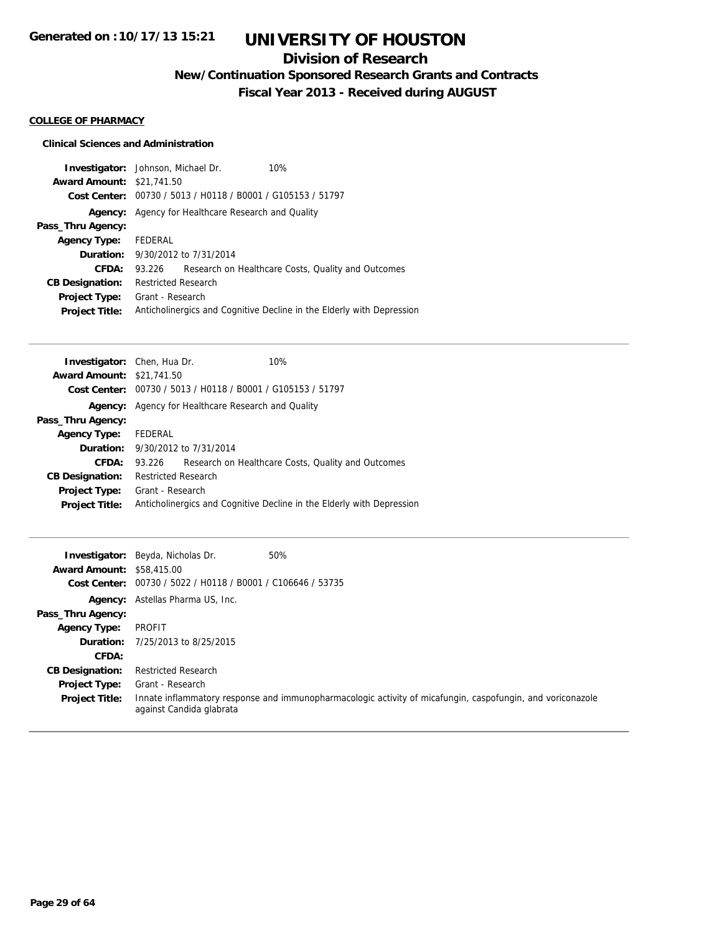## **Division of Research**

**New/Continuation Sponsored Research Grants and Contracts**

**Fiscal Year 2013 - Received during AUGUST**

### **COLLEGE OF PHARMACY**

### **Clinical Sciences and Administration**

| <b>Investigator:</b> Johnson, Michael Dr. |                                                                       |                                                             | 10%                                                |
|-------------------------------------------|-----------------------------------------------------------------------|-------------------------------------------------------------|----------------------------------------------------|
| <b>Award Amount: \$21,741.50</b>          |                                                                       |                                                             |                                                    |
|                                           |                                                                       | Cost Center: 00730 / 5013 / H0118 / B0001 / G105153 / 51797 |                                                    |
|                                           |                                                                       | <b>Agency:</b> Agency for Healthcare Research and Quality   |                                                    |
| Pass_Thru Agency:                         |                                                                       |                                                             |                                                    |
| <b>Agency Type:</b>                       | FEDERAL                                                               |                                                             |                                                    |
|                                           |                                                                       | <b>Duration:</b> 9/30/2012 to 7/31/2014                     |                                                    |
| CFDA:                                     | 93.226                                                                |                                                             | Research on Healthcare Costs, Quality and Outcomes |
| <b>CB Designation:</b>                    | <b>Restricted Research</b>                                            |                                                             |                                                    |
| <b>Project Type:</b>                      | Grant - Research                                                      |                                                             |                                                    |
| <b>Project Title:</b>                     | Anticholinergics and Cognitive Decline in the Elderly with Depression |                                                             |                                                    |

| <b>Investigator:</b> Chen, Hua Dr. |                            |                                                             | 10%                                                                   |
|------------------------------------|----------------------------|-------------------------------------------------------------|-----------------------------------------------------------------------|
| <b>Award Amount: \$21,741.50</b>   |                            |                                                             |                                                                       |
|                                    |                            | Cost Center: 00730 / 5013 / H0118 / B0001 / G105153 / 51797 |                                                                       |
|                                    |                            | <b>Agency:</b> Agency for Healthcare Research and Quality   |                                                                       |
| Pass_Thru Agency:                  |                            |                                                             |                                                                       |
| <b>Agency Type:</b>                | FEDERAL                    |                                                             |                                                                       |
|                                    |                            | <b>Duration:</b> $9/30/2012$ to $7/31/2014$                 |                                                                       |
| CFDA:                              | 93.226                     |                                                             | Research on Healthcare Costs, Quality and Outcomes                    |
| <b>CB Designation:</b>             | <b>Restricted Research</b> |                                                             |                                                                       |
| Project Type:                      | Grant - Research           |                                                             |                                                                       |
| <b>Project Title:</b>              |                            |                                                             | Anticholinergics and Cognitive Decline in the Elderly with Depression |
|                                    |                            |                                                             |                                                                       |

| <b>Award Amount: \$58,415.00</b> | 50%<br><b>Investigator:</b> Beyda, Nicholas Dr.                                                                                        |  |
|----------------------------------|----------------------------------------------------------------------------------------------------------------------------------------|--|
|                                  | Cost Center: 00730 / 5022 / H0118 / B0001 / C106646 / 53735                                                                            |  |
|                                  | <b>Agency:</b> Astellas Pharma US, Inc.                                                                                                |  |
| Pass_Thru Agency:                |                                                                                                                                        |  |
| <b>Agency Type:</b>              | PROFIT                                                                                                                                 |  |
|                                  | <b>Duration:</b> 7/25/2013 to 8/25/2015                                                                                                |  |
| CFDA:                            |                                                                                                                                        |  |
| <b>CB Designation:</b>           | <b>Restricted Research</b>                                                                                                             |  |
| <b>Project Type:</b>             | Grant - Research                                                                                                                       |  |
| <b>Project Title:</b>            | Innate inflammatory response and immunopharmacologic activity of micafungin, caspofungin, and voriconazole<br>against Candida glabrata |  |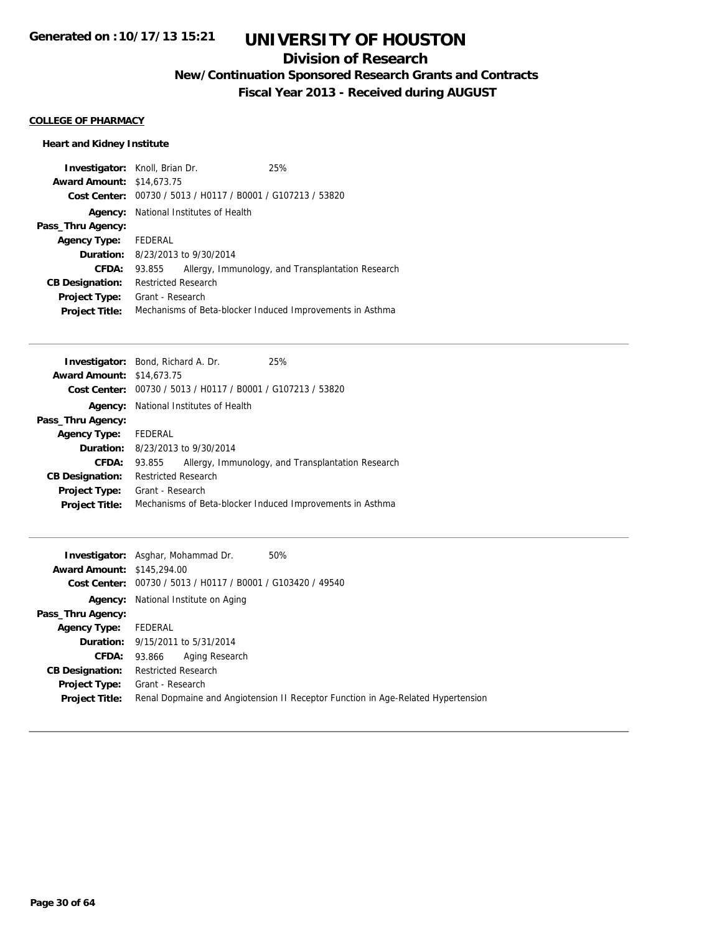## **Division of Research**

**New/Continuation Sponsored Research Grants and Contracts**

**Fiscal Year 2013 - Received during AUGUST**

#### **COLLEGE OF PHARMACY**

## **Heart and Kidney Institute**

| <b>Investigator:</b> Knoll, Brian Dr. |                                                           |                                                             | 25%                                               |
|---------------------------------------|-----------------------------------------------------------|-------------------------------------------------------------|---------------------------------------------------|
| <b>Award Amount: \$14,673.75</b>      |                                                           |                                                             |                                                   |
|                                       |                                                           | Cost Center: 00730 / 5013 / H0117 / B0001 / G107213 / 53820 |                                                   |
| Agency:                               |                                                           | National Institutes of Health                               |                                                   |
| Pass_Thru Agency:                     |                                                           |                                                             |                                                   |
| <b>Agency Type:</b>                   | FEDERAL                                                   |                                                             |                                                   |
| Duration:                             |                                                           | 8/23/2013 to 9/30/2014                                      |                                                   |
| CFDA:                                 | 93.855                                                    |                                                             | Allergy, Immunology, and Transplantation Research |
| <b>CB Designation:</b>                | <b>Restricted Research</b>                                |                                                             |                                                   |
| <b>Project Type:</b>                  | Grant - Research                                          |                                                             |                                                   |
| <b>Project Title:</b>                 | Mechanisms of Beta-blocker Induced Improvements in Asthma |                                                             |                                                   |

|                                  | <b>Investigator:</b> Bond, Richard A. Dr.                   | 25%                                                       |
|----------------------------------|-------------------------------------------------------------|-----------------------------------------------------------|
| <b>Award Amount: \$14,673.75</b> |                                                             |                                                           |
|                                  | Cost Center: 00730 / 5013 / H0117 / B0001 / G107213 / 53820 |                                                           |
| Agency:                          | National Institutes of Health                               |                                                           |
| Pass_Thru Agency:                |                                                             |                                                           |
| <b>Agency Type:</b>              | FEDERAL                                                     |                                                           |
|                                  | <b>Duration:</b> $8/23/2013$ to $9/30/2014$                 |                                                           |
| CFDA:                            | 93.855                                                      | Allergy, Immunology, and Transplantation Research         |
| <b>CB Designation:</b>           | Restricted Research                                         |                                                           |
| <b>Project Type:</b>             | Grant - Research                                            |                                                           |
| <b>Project Title:</b>            |                                                             | Mechanisms of Beta-blocker Induced Improvements in Asthma |
|                                  |                                                             |                                                           |

|                                   | <b>Investigator:</b> Asghar, Mohammad Dr.<br>50%                                 |  |
|-----------------------------------|----------------------------------------------------------------------------------|--|
| <b>Award Amount: \$145,294.00</b> |                                                                                  |  |
|                                   | Cost Center: 00730 / 5013 / H0117 / B0001 / G103420 / 49540                      |  |
|                                   | <b>Agency:</b> National Institute on Aging                                       |  |
| Pass_Thru Agency:                 |                                                                                  |  |
| <b>Agency Type:</b>               | FEDERAL                                                                          |  |
|                                   | <b>Duration:</b> 9/15/2011 to 5/31/2014                                          |  |
| <b>CFDA:</b>                      | Aging Research<br>93.866                                                         |  |
| <b>CB Designation:</b>            | <b>Restricted Research</b>                                                       |  |
| Project Type:                     | Grant - Research                                                                 |  |
| <b>Project Title:</b>             | Renal Dopmaine and Angiotension II Receptor Function in Age-Related Hypertension |  |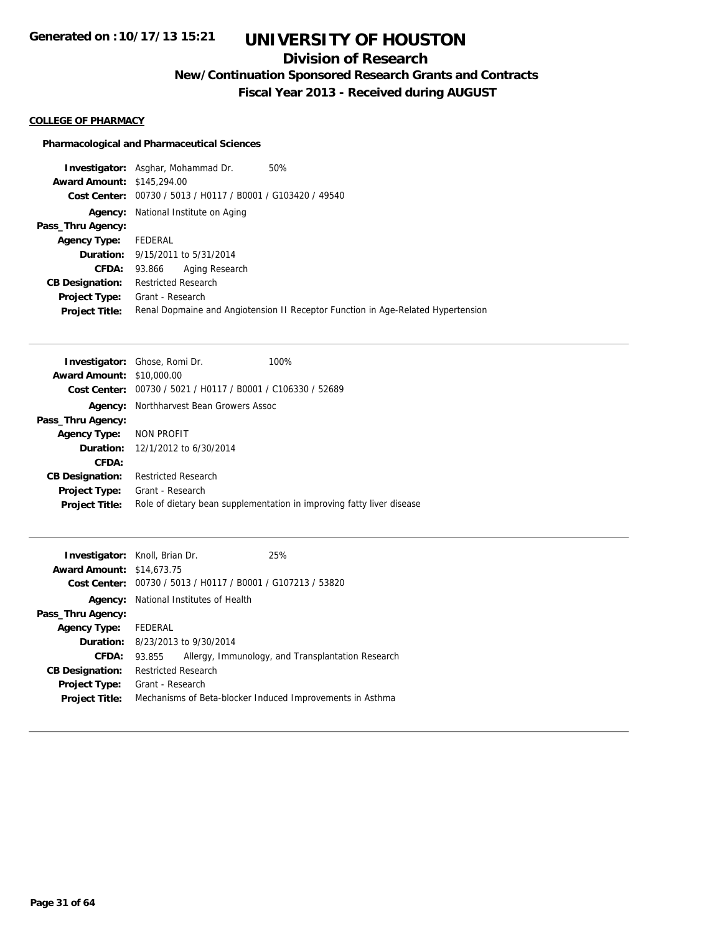# **Division of Research**

**New/Continuation Sponsored Research Grants and Contracts**

**Fiscal Year 2013 - Received during AUGUST**

### **COLLEGE OF PHARMACY**

### **Pharmacological and Pharmaceutical Sciences**

**Investigator:** Asghar, Mohammad Dr. 50% **Award Amount:** \$145,294.00 **Cost Center:** 00730 / 5013 / H0117 / B0001 / G103420 / 49540 **Agency:** National Institute on Aging **Pass\_Thru Agency: Agency Type:** FEDERAL **Duration:** 9/15/2011 to 5/31/2014 **CFDA:** 93.866 Aging Research **CB Designation:** Restricted Research **Project Type:** Grant - Research **Project Title:** Renal Dopmaine and Angiotension II Receptor Function in Age-Related Hypertension

|                                  | <b>Investigator:</b> Ghose, Romi Dr.                        | 100%                                                                  |
|----------------------------------|-------------------------------------------------------------|-----------------------------------------------------------------------|
| <b>Award Amount: \$10,000.00</b> |                                                             |                                                                       |
|                                  | Cost Center: 00730 / 5021 / H0117 / B0001 / C106330 / 52689 |                                                                       |
| Agency:                          | Northharvest Bean Growers Assoc                             |                                                                       |
| Pass_Thru Agency:                |                                                             |                                                                       |
| <b>Agency Type:</b>              | NON PROFIT                                                  |                                                                       |
|                                  | <b>Duration:</b> 12/1/2012 to 6/30/2014                     |                                                                       |
| CFDA:                            |                                                             |                                                                       |
| <b>CB Designation:</b>           | <b>Restricted Research</b>                                  |                                                                       |
| <b>Project Type:</b>             | Grant - Research                                            |                                                                       |
| <b>Project Title:</b>            |                                                             | Role of dietary bean supplementation in improving fatty liver disease |

| <b>Investigator:</b> Knoll, Brian Dr. |                                                           |                                                | 25%                                               |
|---------------------------------------|-----------------------------------------------------------|------------------------------------------------|---------------------------------------------------|
| <b>Award Amount: \$14,673.75</b>      |                                                           |                                                |                                                   |
| Cost Center:                          |                                                           | 00730 / 5013 / H0117 / B0001 / G107213 / 53820 |                                                   |
| Agency:                               |                                                           | National Institutes of Health                  |                                                   |
| Pass_Thru Agency:                     |                                                           |                                                |                                                   |
| <b>Agency Type:</b>                   | FEDERAL                                                   |                                                |                                                   |
|                                       |                                                           | <b>Duration:</b> 8/23/2013 to 9/30/2014        |                                                   |
| CFDA:                                 | 93.855                                                    |                                                | Allergy, Immunology, and Transplantation Research |
| <b>CB Designation:</b>                | <b>Restricted Research</b>                                |                                                |                                                   |
| <b>Project Type:</b>                  | Grant - Research                                          |                                                |                                                   |
| <b>Project Title:</b>                 | Mechanisms of Beta-blocker Induced Improvements in Asthma |                                                |                                                   |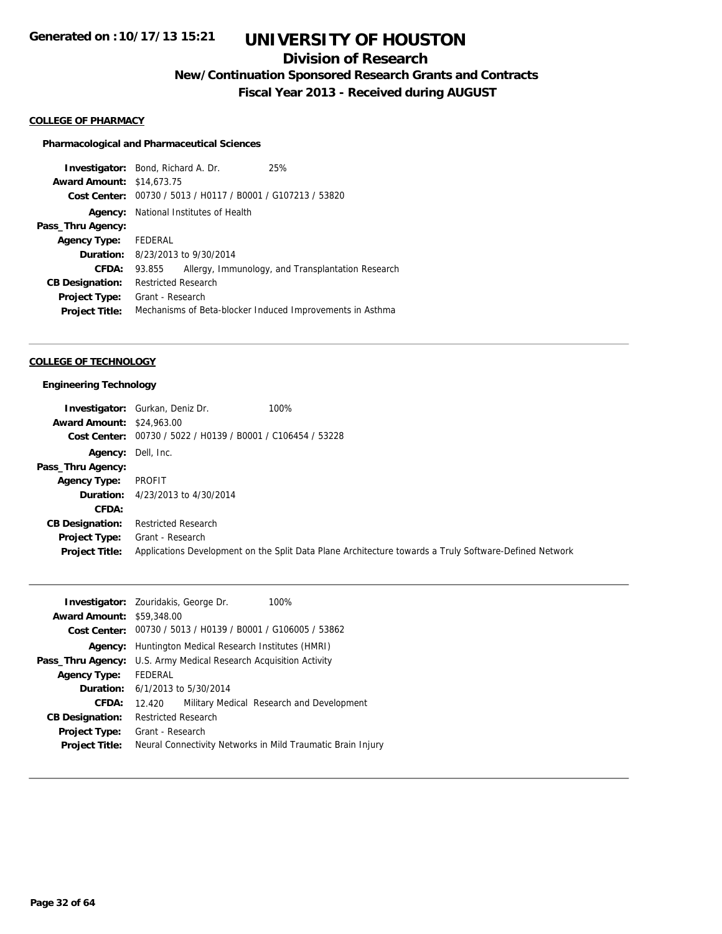# **Division of Research**

**New/Continuation Sponsored Research Grants and Contracts**

**Fiscal Year 2013 - Received during AUGUST**

#### **COLLEGE OF PHARMACY**

#### **Pharmacological and Pharmaceutical Sciences**

**Investigator:** Bond, Richard A. Dr. 25% **Award Amount:** \$14,673.75 **Cost Center:** 00730 / 5013 / H0117 / B0001 / G107213 / 53820 **Agency:** National Institutes of Health **Pass\_Thru Agency: Agency Type:** FEDERAL **Duration:** 8/23/2013 to 9/30/2014 **CFDA:** 93.855 Allergy, Immunology, and Transplantation Research **CB Designation:** Restricted Research **Project Type:** Grant - Research **Project Title:** Mechanisms of Beta-blocker Induced Improvements in Asthma

### **COLLEGE OF TECHNOLOGY**

#### **Engineering Technology**

|                                  | <b>Investigator:</b> Gurkan, Deniz Dr.<br>100%                                                         |  |
|----------------------------------|--------------------------------------------------------------------------------------------------------|--|
| <b>Award Amount: \$24,963.00</b> |                                                                                                        |  |
|                                  | Cost Center: 00730 / 5022 / H0139 / B0001 / C106454 / 53228                                            |  |
| Agency: Dell, Inc.               |                                                                                                        |  |
| Pass_Thru Agency:                |                                                                                                        |  |
| <b>Agency Type:</b>              | PROFIT                                                                                                 |  |
| Duration:                        | 4/23/2013 to 4/30/2014                                                                                 |  |
| CFDA:                            |                                                                                                        |  |
| <b>CB Designation:</b>           | <b>Restricted Research</b>                                                                             |  |
| <b>Project Type:</b>             | Grant - Research                                                                                       |  |
| <b>Project Title:</b>            | Applications Development on the Split Data Plane Architecture towards a Truly Software-Defined Network |  |

|                                  | <b>Investigator:</b> Zouridakis, George Dr.<br>100%          |  |  |
|----------------------------------|--------------------------------------------------------------|--|--|
| <b>Award Amount: \$59,348.00</b> |                                                              |  |  |
|                                  | Cost Center: 00730 / 5013 / H0139 / B0001 / G106005 / 53862  |  |  |
|                                  | <b>Agency:</b> Huntington Medical Research Institutes (HMRI) |  |  |
| Pass_Thru Agency:                | U.S. Army Medical Research Acquisition Activity              |  |  |
| <b>Agency Type:</b>              | FEDERAL                                                      |  |  |
|                                  | <b>Duration:</b> $6/1/2013$ to $5/30/2014$                   |  |  |
| CFDA:                            | Military Medical Research and Development<br>12.420          |  |  |
| <b>CB Designation:</b>           | <b>Restricted Research</b>                                   |  |  |
| <b>Project Type:</b>             | Grant - Research                                             |  |  |
| <b>Project Title:</b>            | Neural Connectivity Networks in Mild Traumatic Brain Injury  |  |  |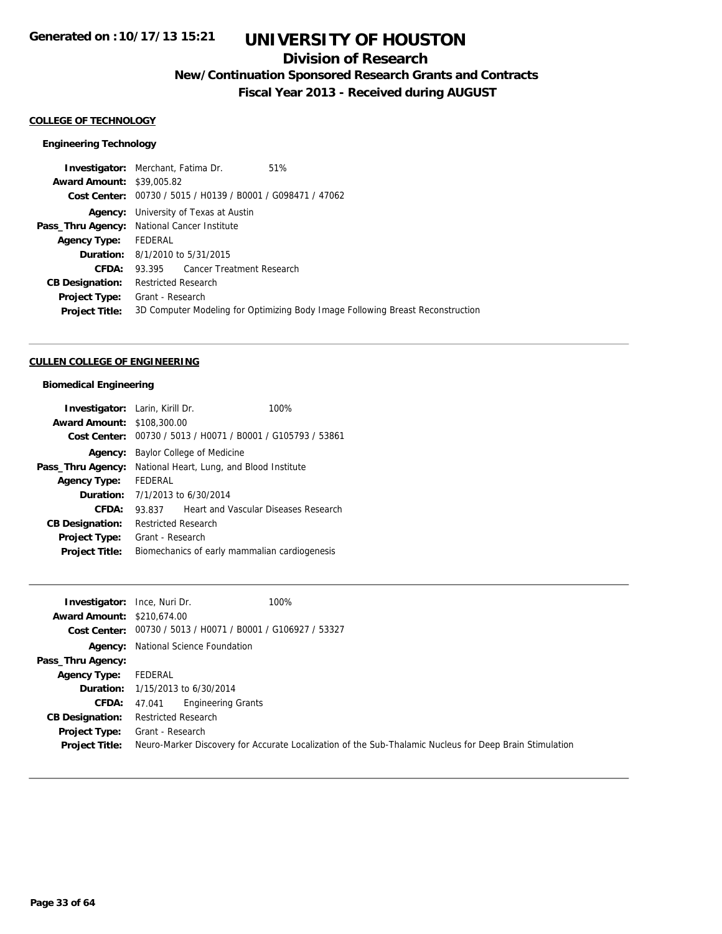# **Division of Research**

**New/Continuation Sponsored Research Grants and Contracts**

**Fiscal Year 2013 - Received during AUGUST**

### **COLLEGE OF TECHNOLOGY**

## **Engineering Technology**

|                                  | <b>Investigator:</b> Merchant, Fatima Dr.                   | 51%                                                                            |
|----------------------------------|-------------------------------------------------------------|--------------------------------------------------------------------------------|
| <b>Award Amount: \$39,005.82</b> |                                                             |                                                                                |
|                                  | Cost Center: 00730 / 5015 / H0139 / B0001 / G098471 / 47062 |                                                                                |
| Agency:                          | University of Texas at Austin                               |                                                                                |
|                                  | <b>Pass_Thru Agency:</b> National Cancer Institute          |                                                                                |
| <b>Agency Type:</b>              | FEDERAL                                                     |                                                                                |
|                                  | <b>Duration:</b> 8/1/2010 to 5/31/2015                      |                                                                                |
| CFDA:                            | 93.395 Cancer Treatment Research                            |                                                                                |
| <b>CB Designation:</b>           | <b>Restricted Research</b>                                  |                                                                                |
| <b>Project Type:</b>             | Grant - Research                                            |                                                                                |
| <b>Project Title:</b>            |                                                             | 3D Computer Modeling for Optimizing Body Image Following Breast Reconstruction |
|                                  |                                                             |                                                                                |

#### **CULLEN COLLEGE OF ENGINEERING**

## **Biomedical Engineering**

| <b>Investigator:</b> Larin, Kirill Dr. |                                               | 100%                                                        |
|----------------------------------------|-----------------------------------------------|-------------------------------------------------------------|
| <b>Award Amount: \$108,300.00</b>      |                                               |                                                             |
|                                        |                                               | Cost Center: 00730 / 5013 / H0071 / B0001 / G105793 / 53861 |
| Agency:                                | Baylor College of Medicine                    |                                                             |
| Pass_Thru Agency:                      | National Heart, Lung, and Blood Institute     |                                                             |
| <b>Agency Type:</b>                    | <b>FEDERAL</b>                                |                                                             |
| Duration:                              | 7/1/2013 to 6/30/2014                         |                                                             |
| CFDA:                                  | 93.837                                        | Heart and Vascular Diseases Research                        |
| <b>CB Designation:</b>                 | <b>Restricted Research</b>                    |                                                             |
| <b>Project Type:</b>                   | Grant - Research                              |                                                             |
| <b>Project Title:</b>                  | Biomechanics of early mammalian cardiogenesis |                                                             |

| <b>Award Amount: \$210.674.00</b><br>Cost Center: 00730 / 5013 / H0071 / B0001 / G106927 / 53327                                 |
|----------------------------------------------------------------------------------------------------------------------------------|
|                                                                                                                                  |
|                                                                                                                                  |
| <b>Agency:</b> National Science Foundation                                                                                       |
| Pass_Thru Agency:                                                                                                                |
| FEDERAL<br><b>Agency Type:</b>                                                                                                   |
| <b>Duration:</b> 1/15/2013 to 6/30/2014                                                                                          |
| <b>Engineering Grants</b><br><b>CFDA:</b><br>47.041                                                                              |
| <b>CB Designation:</b><br><b>Restricted Research</b>                                                                             |
| Grant - Research<br><b>Project Type:</b>                                                                                         |
| Neuro-Marker Discovery for Accurate Localization of the Sub-Thalamic Nucleus for Deep Brain Stimulation<br><b>Project Title:</b> |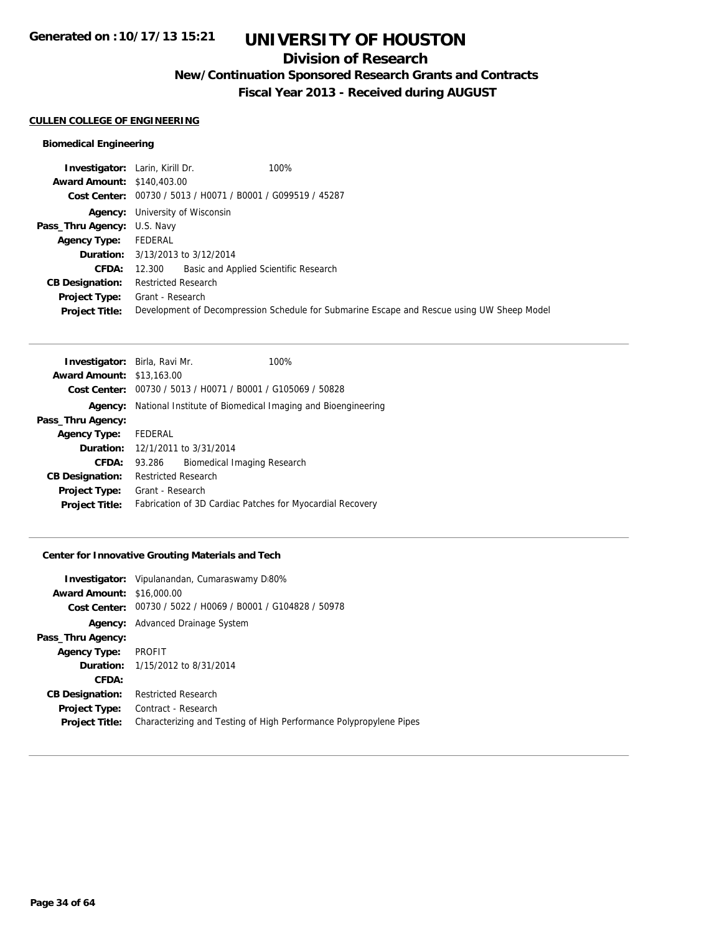# **Division of Research**

**New/Continuation Sponsored Research Grants and Contracts**

**Fiscal Year 2013 - Received during AUGUST**

#### **CULLEN COLLEGE OF ENGINEERING**

## **Biomedical Engineering**

| <b>Investigator:</b> Larin, Kirill Dr. | 100%                                                                                       |
|----------------------------------------|--------------------------------------------------------------------------------------------|
| <b>Award Amount: \$140,403.00</b>      |                                                                                            |
|                                        | Cost Center: 00730 / 5013 / H0071 / B0001 / G099519 / 45287                                |
|                                        | <b>Agency:</b> University of Wisconsin                                                     |
| <b>Pass_Thru Agency: U.S. Navy</b>     |                                                                                            |
| <b>Agency Type:</b>                    | FEDERAL                                                                                    |
|                                        | <b>Duration:</b> 3/13/2013 to 3/12/2014                                                    |
| CFDA:                                  | Basic and Applied Scientific Research<br>12.300                                            |
| <b>CB Designation:</b>                 | <b>Restricted Research</b>                                                                 |
| <b>Project Type:</b>                   | Grant - Research                                                                           |
| <b>Project Title:</b>                  | Development of Decompression Schedule for Submarine Escape and Rescue using UW Sheep Model |

|        | 100%                                                                                                                                                                             |
|--------|----------------------------------------------------------------------------------------------------------------------------------------------------------------------------------|
|        |                                                                                                                                                                                  |
|        | Cost Center: 00730 / 5013 / H0071 / B0001 / G105069 / 50828                                                                                                                      |
|        | National Institute of Biomedical Imaging and Bioengineering                                                                                                                      |
|        |                                                                                                                                                                                  |
|        |                                                                                                                                                                                  |
|        |                                                                                                                                                                                  |
| 93.286 | Biomedical Imaging Research                                                                                                                                                      |
|        |                                                                                                                                                                                  |
|        |                                                                                                                                                                                  |
|        | Fabrication of 3D Cardiac Patches for Myocardial Recovery                                                                                                                        |
|        | <b>Investigator:</b> Birla, Ravi Mr.<br><b>Award Amount: \$13,163.00</b><br>FEDERAL<br><b>Duration:</b> 12/1/2011 to 3/31/2014<br><b>Restricted Research</b><br>Grant - Research |

## **Center for Innovative Grouting Materials and Tech**

| <b>Investigator:</b> Vipulanandan, Cumaraswamy D80%                |
|--------------------------------------------------------------------|
| <b>Award Amount: \$16,000.00</b>                                   |
| Cost Center: 00730 / 5022 / H0069 / B0001 / G104828 / 50978        |
| Advanced Drainage System                                           |
|                                                                    |
| <b>PROFIT</b>                                                      |
| <b>Duration:</b> 1/15/2012 to 8/31/2014                            |
|                                                                    |
| <b>Restricted Research</b>                                         |
| Contract - Research                                                |
| Characterizing and Testing of High Performance Polypropylene Pipes |
|                                                                    |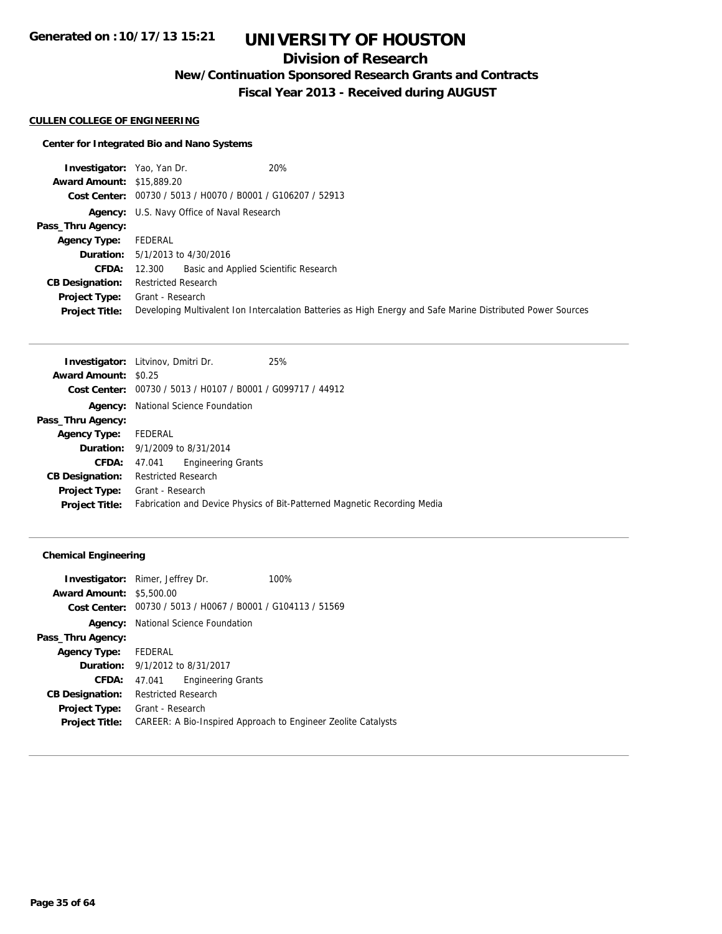# **Division of Research**

**New/Continuation Sponsored Research Grants and Contracts**

**Fiscal Year 2013 - Received during AUGUST**

#### **CULLEN COLLEGE OF ENGINEERING**

## **Center for Integrated Bio and Nano Systems**

| <b>Investigator:</b> Yao, Yan Dr. | 20%                                                                                                         |
|-----------------------------------|-------------------------------------------------------------------------------------------------------------|
| <b>Award Amount: \$15,889.20</b>  |                                                                                                             |
|                                   | Cost Center: 00730 / 5013 / H0070 / B0001 / G106207 / 52913                                                 |
|                                   | <b>Agency:</b> U.S. Navy Office of Naval Research                                                           |
| Pass_Thru Agency:                 |                                                                                                             |
| <b>Agency Type:</b>               | FEDERAL                                                                                                     |
|                                   | <b>Duration:</b> $5/1/2013$ to $4/30/2016$                                                                  |
| <b>CFDA:</b>                      | 12.300 Basic and Applied Scientific Research                                                                |
| <b>CB Designation:</b>            | <b>Restricted Research</b>                                                                                  |
|                                   | <b>Project Type:</b> Grant - Research                                                                       |
| <b>Project Title:</b>             | Developing Multivalent Ion Intercalation Batteries as High Energy and Safe Marine Distributed Power Sources |

| <b>Investigator:</b> Litvinov, Dmitri Dr. |                            |                                                             | 25%                                                                      |
|-------------------------------------------|----------------------------|-------------------------------------------------------------|--------------------------------------------------------------------------|
| <b>Award Amount: \$0.25</b>               |                            |                                                             |                                                                          |
|                                           |                            | Cost Center: 00730 / 5013 / H0107 / B0001 / G099717 / 44912 |                                                                          |
|                                           |                            | <b>Agency:</b> National Science Foundation                  |                                                                          |
| Pass_Thru Agency:                         |                            |                                                             |                                                                          |
| <b>Agency Type:</b>                       | FEDERAL                    |                                                             |                                                                          |
| <b>Duration:</b> 9/1/2009 to 8/31/2014    |                            |                                                             |                                                                          |
| CFDA:                                     | 47.041                     | <b>Engineering Grants</b>                                   |                                                                          |
| <b>CB Designation:</b>                    | <b>Restricted Research</b> |                                                             |                                                                          |
| <b>Project Type:</b>                      | Grant - Research           |                                                             |                                                                          |
| <b>Project Title:</b>                     |                            |                                                             | Fabrication and Device Physics of Bit-Patterned Magnetic Recording Media |
|                                           |                            |                                                             |                                                                          |

## **Chemical Engineering**

|                                 | <b>Investigator:</b> Rimer, Jeffrey Dr.                     | 100%                                                          |
|---------------------------------|-------------------------------------------------------------|---------------------------------------------------------------|
| <b>Award Amount: \$5,500.00</b> |                                                             |                                                               |
|                                 | Cost Center: 00730 / 5013 / H0067 / B0001 / G104113 / 51569 |                                                               |
|                                 | <b>Agency:</b> National Science Foundation                  |                                                               |
| Pass_Thru Agency:               |                                                             |                                                               |
| Agency Type: FEDERAL            |                                                             |                                                               |
|                                 | <b>Duration:</b> 9/1/2012 to 8/31/2017                      |                                                               |
| CFDA:                           | <b>Engineering Grants</b><br>47.041                         |                                                               |
| <b>CB Designation:</b>          | <b>Restricted Research</b>                                  |                                                               |
| Project Type:                   | Grant - Research                                            |                                                               |
| <b>Project Title:</b>           |                                                             | CAREER: A Bio-Inspired Approach to Engineer Zeolite Catalysts |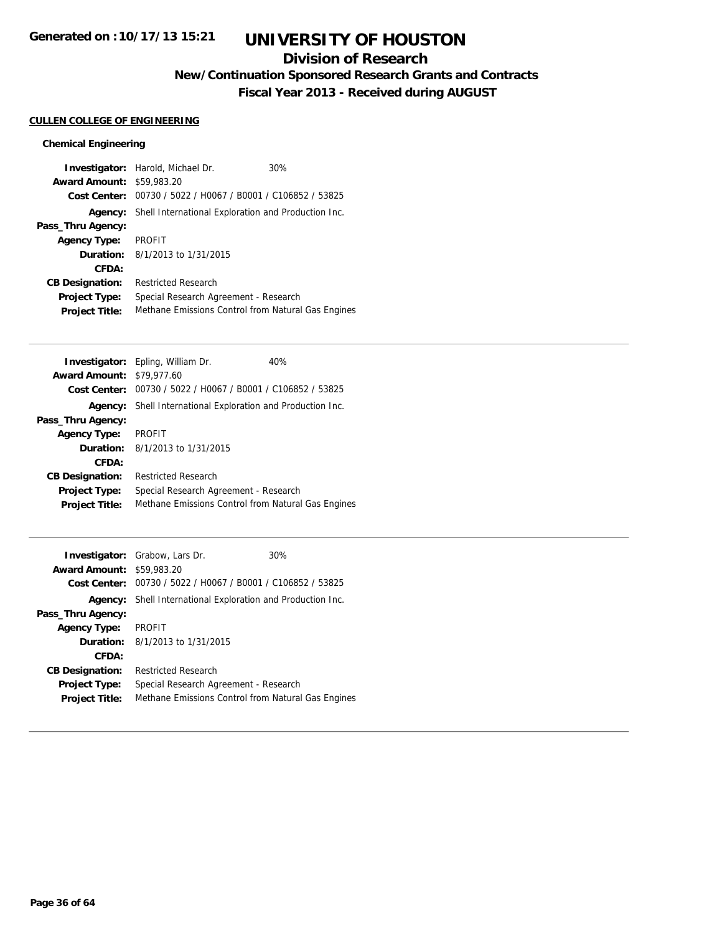## **Division of Research**

**New/Continuation Sponsored Research Grants and Contracts**

**Fiscal Year 2013 - Received during AUGUST**

## **CULLEN COLLEGE OF ENGINEERING**

## **Chemical Engineering**

|                                  | <b>Investigator:</b> Harold, Michael Dr.<br>30%     |  |
|----------------------------------|-----------------------------------------------------|--|
| <b>Award Amount: \$59,983.20</b> |                                                     |  |
| Cost Center:                     | 00730 / 5022 / H0067 / B0001 / C106852 / 53825      |  |
| Agency:                          | Shell International Exploration and Production Inc. |  |
| Pass_Thru Agency:                |                                                     |  |
| <b>Agency Type:</b>              | <b>PROFIT</b>                                       |  |
|                                  | <b>Duration:</b> $8/1/2013$ to $1/31/2015$          |  |
| CFDA:                            |                                                     |  |
| <b>CB Designation:</b>           | <b>Restricted Research</b>                          |  |
| <b>Project Type:</b>             | Special Research Agreement - Research               |  |
| <b>Project Title:</b>            | Methane Emissions Control from Natural Gas Engines  |  |

| <b>Investigator:</b> Epling, William Dr.<br>40%             |  |
|-------------------------------------------------------------|--|
| <b>Award Amount: \$79,977.60</b>                            |  |
| Cost Center: 00730 / 5022 / H0067 / B0001 / C106852 / 53825 |  |
| Shell International Exploration and Production Inc.         |  |
|                                                             |  |
| <b>PROFIT</b>                                               |  |
| <b>Duration:</b> 8/1/2013 to 1/31/2015                      |  |
|                                                             |  |
| Restricted Research                                         |  |
| Special Research Agreement - Research                       |  |
| Methane Emissions Control from Natural Gas Engines          |  |
|                                                             |  |

| <b>Award Amount: \$59,983.20</b> | <b>Investigator:</b> Grabow, Lars Dr.               | 30%                                                         |
|----------------------------------|-----------------------------------------------------|-------------------------------------------------------------|
|                                  |                                                     | Cost Center: 00730 / 5022 / H0067 / B0001 / C106852 / 53825 |
| Agency:                          | Shell International Exploration and Production Inc. |                                                             |
| Pass_Thru Agency:                |                                                     |                                                             |
| <b>Agency Type:</b>              | PROFIT                                              |                                                             |
|                                  | <b>Duration:</b> 8/1/2013 to 1/31/2015              |                                                             |
| CFDA:                            |                                                     |                                                             |
| <b>CB Designation:</b>           | <b>Restricted Research</b>                          |                                                             |
| <b>Project Type:</b>             | Special Research Agreement - Research               |                                                             |
| <b>Project Title:</b>            |                                                     | Methane Emissions Control from Natural Gas Engines          |
|                                  |                                                     |                                                             |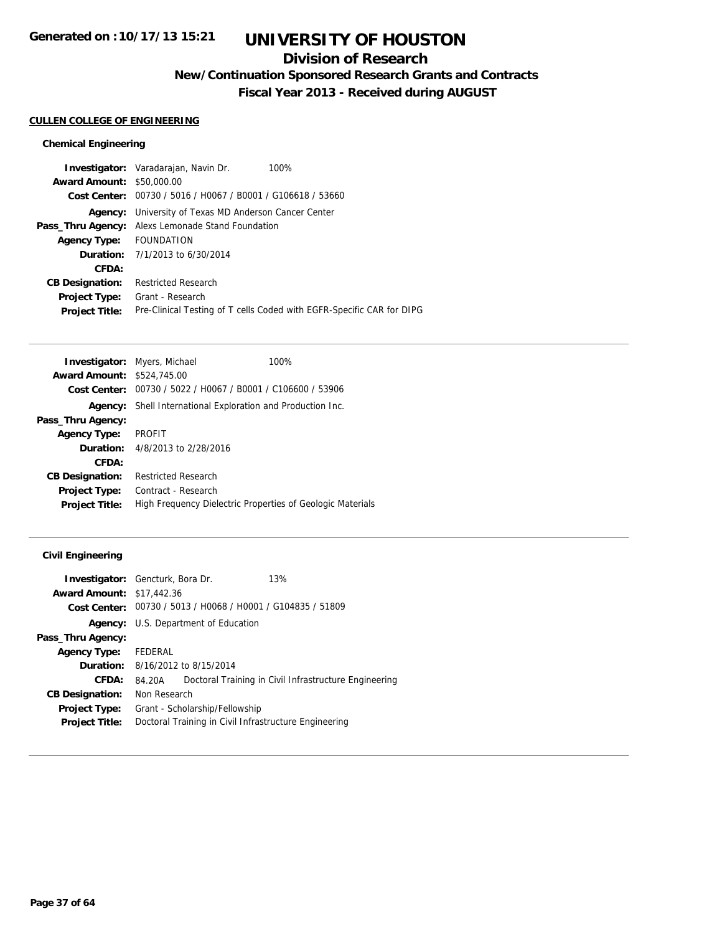# **Division of Research**

**New/Continuation Sponsored Research Grants and Contracts**

**Fiscal Year 2013 - Received during AUGUST**

## **CULLEN COLLEGE OF ENGINEERING**

## **Chemical Engineering**

| Investigator: Varadarajan, Navin Dr.<br>100%                          |
|-----------------------------------------------------------------------|
| <b>Award Amount:</b><br>\$50,000.00                                   |
| Cost Center: 00730 / 5016 / H0067 / B0001 / G106618 / 53660           |
| University of Texas MD Anderson Cancer Center                         |
| Alexs Lemonade Stand Foundation                                       |
| FOUNDATION                                                            |
| <b>Duration:</b> 7/1/2013 to 6/30/2014                                |
|                                                                       |
| <b>Restricted Research</b>                                            |
| Grant - Research                                                      |
| Pre-Clinical Testing of T cells Coded with EGFR-Specific CAR for DIPG |
|                                                                       |

| <b>Investigator:</b> Myers, Michael |                                        | 100%                                                        |
|-------------------------------------|----------------------------------------|-------------------------------------------------------------|
| <b>Award Amount: \$524,745.00</b>   |                                        |                                                             |
|                                     |                                        | Cost Center: 00730 / 5022 / H0067 / B0001 / C106600 / 53906 |
|                                     |                                        | Agency: Shell International Exploration and Production Inc. |
| Pass_Thru Agency:                   |                                        |                                                             |
| <b>Agency Type: PROFIT</b>          |                                        |                                                             |
|                                     | <b>Duration:</b> 4/8/2013 to 2/28/2016 |                                                             |
| CFDA:                               |                                        |                                                             |
| <b>CB Designation:</b>              | <b>Restricted Research</b>             |                                                             |
| <b>Project Type:</b>                | Contract - Research                    |                                                             |
| <b>Project Title:</b>               |                                        | High Frequency Dielectric Properties of Geologic Materials  |

| <b>Investigator:</b> Gencturk, Bora Dr. |                                         |                                             | 13%                                                         |
|-----------------------------------------|-----------------------------------------|---------------------------------------------|-------------------------------------------------------------|
| <b>Award Amount: \$17,442.36</b>        |                                         |                                             |                                                             |
|                                         |                                         |                                             | Cost Center: 00730 / 5013 / H0068 / H0001 / G104835 / 51809 |
|                                         |                                         | <b>Agency:</b> U.S. Department of Education |                                                             |
| Pass_Thru Agency:                       |                                         |                                             |                                                             |
| <b>Agency Type:</b>                     | FEDERAL                                 |                                             |                                                             |
|                                         | <b>Duration:</b> 8/16/2012 to 8/15/2014 |                                             |                                                             |
| CFDA:                                   | 84.20A                                  |                                             | Doctoral Training in Civil Infrastructure Engineering       |
| <b>CB Designation:</b>                  | Non Research                            |                                             |                                                             |
| <b>Project Type:</b>                    |                                         | Grant - Scholarship/Fellowship              |                                                             |
| <b>Project Title:</b>                   |                                         |                                             | Doctoral Training in Civil Infrastructure Engineering       |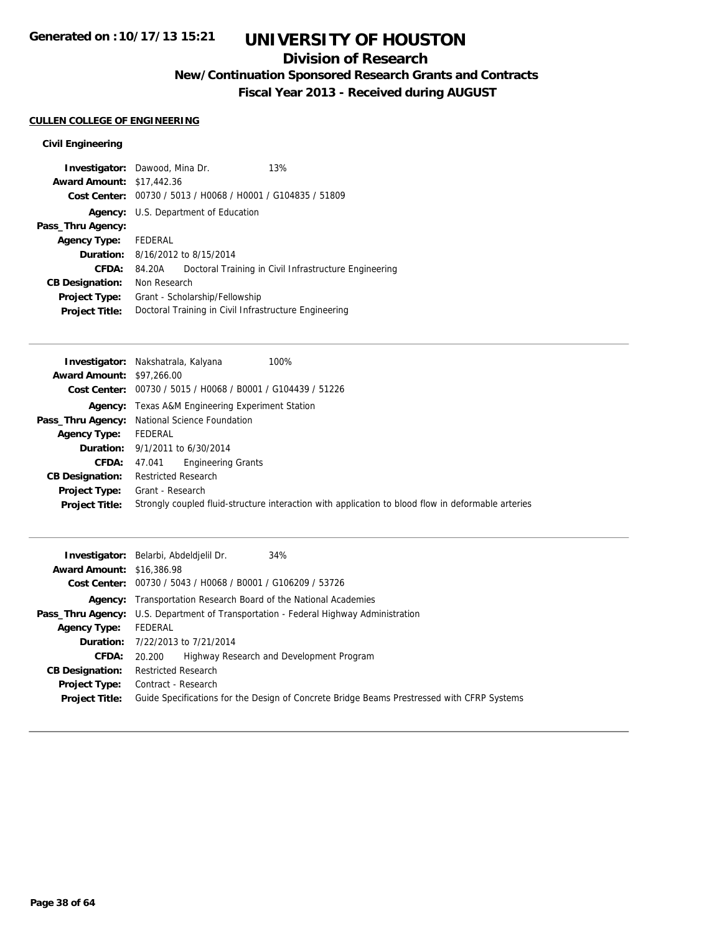## **Division of Research**

**New/Continuation Sponsored Research Grants and Contracts**

**Fiscal Year 2013 - Received during AUGUST**

## **CULLEN COLLEGE OF ENGINEERING**

| <b>Investigator:</b> Dawood, Mina Dr. |              |                                                             | 13%                                                   |
|---------------------------------------|--------------|-------------------------------------------------------------|-------------------------------------------------------|
| <b>Award Amount: \$17,442.36</b>      |              |                                                             |                                                       |
|                                       |              | Cost Center: 00730 / 5013 / H0068 / H0001 / G104835 / 51809 |                                                       |
|                                       |              | Agency: U.S. Department of Education                        |                                                       |
| Pass_Thru Agency:                     |              |                                                             |                                                       |
| <b>Agency Type:</b>                   | FEDERAL      |                                                             |                                                       |
|                                       |              | <b>Duration:</b> 8/16/2012 to 8/15/2014                     |                                                       |
| CFDA:                                 | 84.20A       |                                                             | Doctoral Training in Civil Infrastructure Engineering |
| <b>CB Designation:</b>                | Non Research |                                                             |                                                       |
| <b>Project Type:</b>                  |              | Grant - Scholarship/Fellowship                              |                                                       |
| <b>Project Title:</b>                 |              |                                                             | Doctoral Training in Civil Infrastructure Engineering |

| 100%<br><b>Investigator:</b> Nakshatrala, Kalyana                                                  |
|----------------------------------------------------------------------------------------------------|
| <b>Award Amount: \$97,266.00</b>                                                                   |
| Cost Center: $00730 / 5015 / 10068 / 80001 / 6104439 / 51226$                                      |
| <b>Agency:</b> Texas A&M Engineering Experiment Station                                            |
| <b>Pass_Thru Agency:</b> National Science Foundation                                               |
| FEDERAL                                                                                            |
| <b>Duration:</b> $9/1/2011$ to $6/30/2014$                                                         |
| <b>Engineering Grants</b><br>47.041                                                                |
| <b>Restricted Research</b>                                                                         |
| Grant - Research                                                                                   |
| Strongly coupled fluid-structure interaction with application to blood flow in deformable arteries |
|                                                                                                    |

|                                  | 34%<br><b>Investigator:</b> Belarbi, Abdeldielil Dr.                                       |
|----------------------------------|--------------------------------------------------------------------------------------------|
| <b>Award Amount: \$16,386.98</b> |                                                                                            |
|                                  | Cost Center: 00730 / 5043 / H0068 / B0001 / G106209 / 53726                                |
|                                  | <b>Agency:</b> Transportation Research Board of the National Academies                     |
|                                  | Pass_Thru Agency: U.S. Department of Transportation - Federal Highway Administration       |
| <b>Agency Type:</b>              | FEDERAL                                                                                    |
|                                  | <b>Duration:</b> 7/22/2013 to 7/21/2014                                                    |
| CFDA:                            | Highway Research and Development Program<br>20.200                                         |
| <b>CB Designation:</b>           | <b>Restricted Research</b>                                                                 |
| <b>Project Type:</b>             | Contract - Research                                                                        |
| <b>Project Title:</b>            | Guide Specifications for the Design of Concrete Bridge Beams Prestressed with CFRP Systems |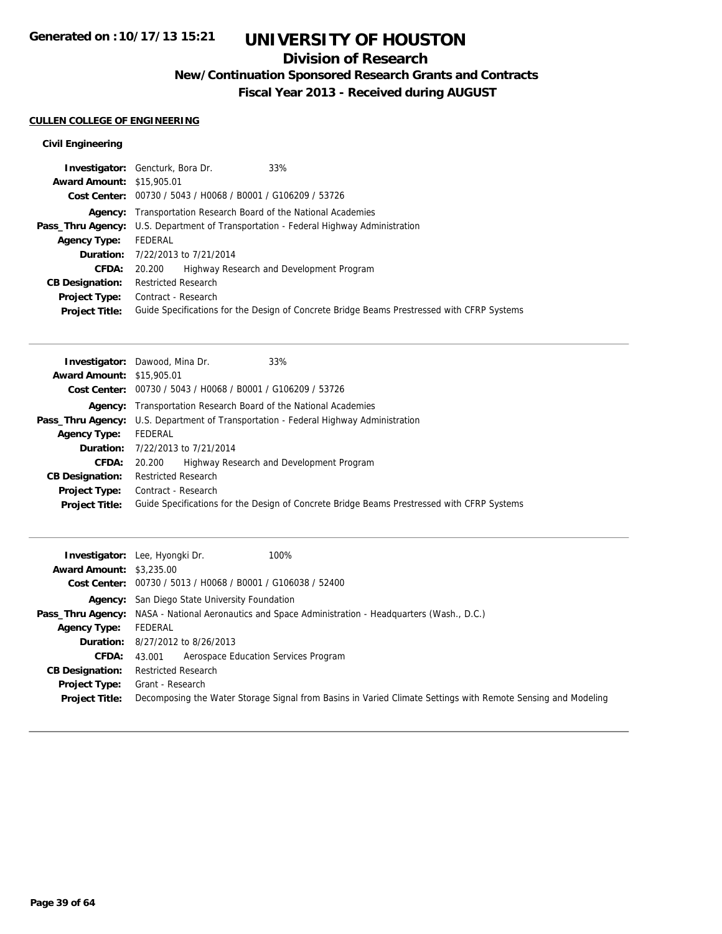# **Division of Research**

**New/Continuation Sponsored Research Grants and Contracts**

**Fiscal Year 2013 - Received during AUGUST**

## **CULLEN COLLEGE OF ENGINEERING**

|                                  | 33%<br><b>Investigator:</b> Gencturk, Bora Dr.                                              |                                                                                            |
|----------------------------------|---------------------------------------------------------------------------------------------|--------------------------------------------------------------------------------------------|
| <b>Award Amount: \$15,905.01</b> |                                                                                             |                                                                                            |
|                                  | Cost Center: 00730 / 5043 / H0068 / B0001 / G106209 / 53726                                 |                                                                                            |
|                                  | <b>Agency:</b> Transportation Research Board of the National Academies                      |                                                                                            |
|                                  | <b>Pass_Thru Agency:</b> U.S. Department of Transportation - Federal Highway Administration |                                                                                            |
| <b>Agency Type:</b>              | FEDERAL                                                                                     |                                                                                            |
|                                  | <b>Duration:</b> 7/22/2013 to 7/21/2014                                                     |                                                                                            |
| <b>CFDA:</b>                     | Highway Research and Development Program<br>20.200                                          |                                                                                            |
| <b>CB Designation:</b>           | <b>Restricted Research</b>                                                                  |                                                                                            |
|                                  | <b>Project Type:</b> Contract - Research                                                    |                                                                                            |
| <b>Project Title:</b>            |                                                                                             | Guide Specifications for the Design of Concrete Bridge Beams Prestressed with CFRP Systems |

| 33%<br><b>Investigator:</b> Dawood, Mina Dr.                                                |
|---------------------------------------------------------------------------------------------|
| <b>Award Amount: \$15,905.01</b>                                                            |
| Cost Center: 00730 / 5043 / H0068 / B0001 / G106209 / 53726                                 |
| <b>Agency:</b> Transportation Research Board of the National Academies                      |
| <b>Pass_Thru Agency:</b> U.S. Department of Transportation - Federal Highway Administration |
| FEDERAL                                                                                     |
| <b>Duration:</b> 7/22/2013 to 7/21/2014                                                     |
| Highway Research and Development Program<br>20.200                                          |
| <b>Restricted Research</b>                                                                  |
| Contract - Research                                                                         |
| Guide Specifications for the Design of Concrete Bridge Beams Prestressed with CFRP Systems  |
|                                                                                             |

| <b>Award Amount: \$3,235.00</b> | 100%<br><b>Investigator:</b> Lee, Hyongki Dr.<br>Cost Center: 00730 / 5013 / H0068 / B0001 / G106038 / 52400 |
|---------------------------------|--------------------------------------------------------------------------------------------------------------|
|                                 | <b>Agency:</b> San Diego State University Foundation                                                         |
|                                 | <b>Pass_Thru Agency:</b> NASA - National Aeronautics and Space Administration - Headquarters (Wash., D.C.)   |
| <b>Agency Type:</b>             | FEDERAL                                                                                                      |
|                                 | <b>Duration:</b> 8/27/2012 to 8/26/2013                                                                      |
| <b>CFDA:</b>                    | Aerospace Education Services Program<br>43.001                                                               |
| <b>CB Designation:</b>          | <b>Restricted Research</b>                                                                                   |
| <b>Project Type:</b>            | Grant - Research                                                                                             |
| <b>Project Title:</b>           | Decomposing the Water Storage Signal from Basins in Varied Climate Settings with Remote Sensing and Modeling |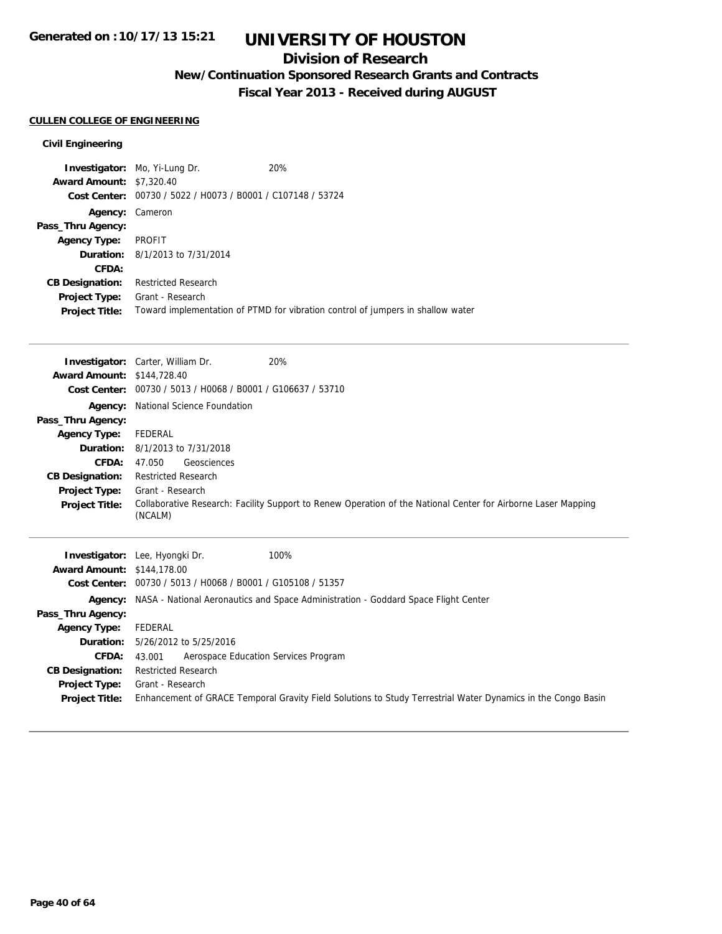# **Division of Research**

**New/Continuation Sponsored Research Grants and Contracts**

**Fiscal Year 2013 - Received during AUGUST**

## **CULLEN COLLEGE OF ENGINEERING**

| <b>Award Amount: \$7,320.40</b> | <b>Investigator:</b> Mo, Yi-Lung Dr.           | 20%                                                                             |
|---------------------------------|------------------------------------------------|---------------------------------------------------------------------------------|
| Cost Center:                    | 00730 / 5022 / H0073 / B0001 / C107148 / 53724 |                                                                                 |
| Agency:                         | Cameron                                        |                                                                                 |
| Pass_Thru Agency:               |                                                |                                                                                 |
| <b>Agency Type:</b>             | PROFIT                                         |                                                                                 |
|                                 | <b>Duration:</b> 8/1/2013 to 7/31/2014         |                                                                                 |
| CFDA:                           |                                                |                                                                                 |
| <b>CB Designation:</b>          | <b>Restricted Research</b>                     |                                                                                 |
| <b>Project Type:</b>            | Grant - Research                               |                                                                                 |
| <b>Project Title:</b>           |                                                | Toward implementation of PTMD for vibration control of jumpers in shallow water |

|                                   | 20%<br><b>Investigator:</b> Carter, William Dr.             |                                                                                                               |
|-----------------------------------|-------------------------------------------------------------|---------------------------------------------------------------------------------------------------------------|
| <b>Award Amount: \$144,728.40</b> |                                                             |                                                                                                               |
|                                   | Cost Center: 00730 / 5013 / H0068 / B0001 / G106637 / 53710 |                                                                                                               |
|                                   | <b>Agency:</b> National Science Foundation                  |                                                                                                               |
| Pass_Thru Agency:                 |                                                             |                                                                                                               |
| <b>Agency Type:</b>               | FEDERAL                                                     |                                                                                                               |
| Duration:                         | 8/1/2013 to 7/31/2018                                       |                                                                                                               |
| CFDA:                             | Geosciences<br>47.050                                       |                                                                                                               |
| <b>CB Designation:</b>            | <b>Restricted Research</b>                                  |                                                                                                               |
| <b>Project Type:</b>              | Grant - Research                                            |                                                                                                               |
| <b>Project Title:</b>             | (NCALM)                                                     | Collaborative Research: Facility Support to Renew Operation of the National Center for Airborne Laser Mapping |
|                                   |                                                             |                                                                                                               |
|                                   | 100%<br>Investigator: Lee, Hyongki Dr.                      |                                                                                                               |
| <b>Award Amount: \$144,178.00</b> |                                                             |                                                                                                               |
|                                   | Cost Center: 00730 / 5013 / H0068 / B0001 / G105108 / 51357 |                                                                                                               |
| Agency:                           |                                                             | NASA - National Aeronautics and Space Administration - Goddard Space Flight Center                            |
| Pass_Thru Agency:                 |                                                             |                                                                                                               |
| <b>Agency Type:</b>               | FEDERAL                                                     |                                                                                                               |
| Duration:                         | 5/26/2012 to 5/25/2016                                      |                                                                                                               |
| CFDA:                             | Aerospace Education Services Program<br>43.001              |                                                                                                               |
| <b>CB Designation:</b>            | <b>Restricted Research</b>                                  |                                                                                                               |
| <b>Project Type:</b>              | Grant - Research                                            |                                                                                                               |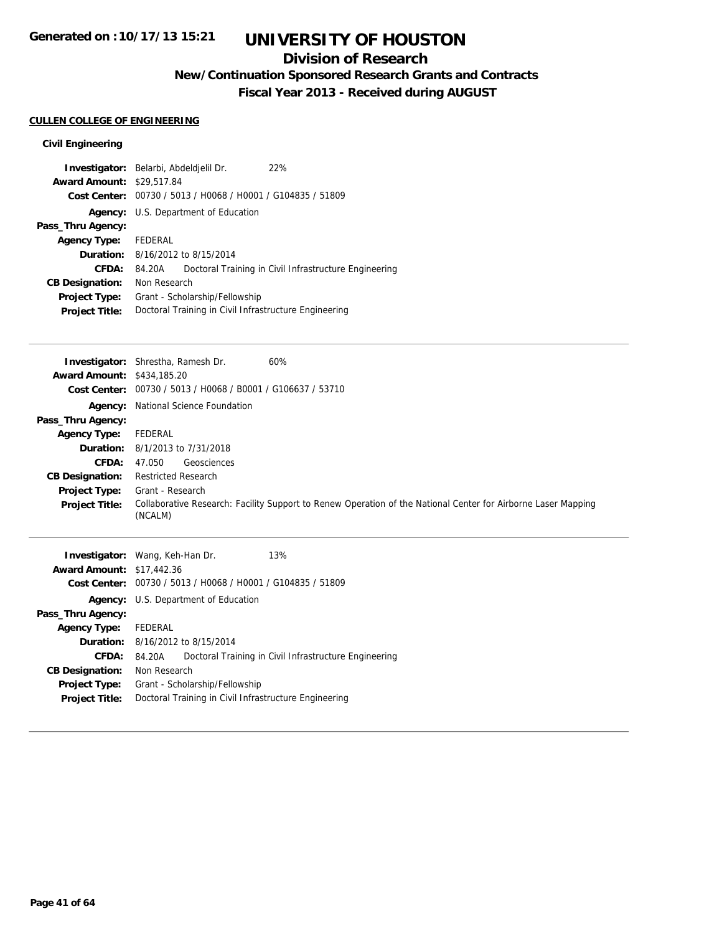## **Division of Research**

**New/Continuation Sponsored Research Grants and Contracts**

**Fiscal Year 2013 - Received during AUGUST**

## **CULLEN COLLEGE OF ENGINEERING**

| <b>Investigator:</b> Belarbi, Abdeldjelil Dr. |              |                                                | 22%                                                   |
|-----------------------------------------------|--------------|------------------------------------------------|-------------------------------------------------------|
| <b>Award Amount:</b>                          | \$29,517.84  |                                                |                                                       |
| Cost Center:                                  |              | 00730 / 5013 / H0068 / H0001 / G104835 / 51809 |                                                       |
|                                               |              | Agency: U.S. Department of Education           |                                                       |
| Pass_Thru Agency:                             |              |                                                |                                                       |
| <b>Agency Type:</b>                           | FEDERAL      |                                                |                                                       |
| Duration:                                     |              | 8/16/2012 to 8/15/2014                         |                                                       |
| CFDA:                                         | 84.20A       |                                                | Doctoral Training in Civil Infrastructure Engineering |
| <b>CB Designation:</b>                        | Non Research |                                                |                                                       |
| <b>Project Type:</b>                          |              | Grant - Scholarship/Fellowship                 |                                                       |
| <b>Project Title:</b>                         |              |                                                | Doctoral Training in Civil Infrastructure Engineering |

|                                   | <b>Investigator:</b> Shrestha, Ramesh Dr.<br>60%                                                                         |
|-----------------------------------|--------------------------------------------------------------------------------------------------------------------------|
| <b>Award Amount: \$434,185.20</b> |                                                                                                                          |
|                                   | Cost Center: 00730 / 5013 / H0068 / B0001 / G106637 / 53710                                                              |
|                                   | <b>Agency:</b> National Science Foundation                                                                               |
| Pass_Thru Agency:                 |                                                                                                                          |
| <b>Agency Type:</b>               | FEDERAL                                                                                                                  |
|                                   | <b>Duration:</b> $8/1/2013$ to $7/31/2018$                                                                               |
| <b>CFDA:</b>                      | Geosciences<br>47.050                                                                                                    |
| <b>CB Designation:</b>            | <b>Restricted Research</b>                                                                                               |
| <b>Project Type:</b>              | Grant - Research                                                                                                         |
| <b>Project Title:</b>             | Collaborative Research: Facility Support to Renew Operation of the National Center for Airborne Laser Mapping<br>(NCALM) |
| <b>Award Amount: \$17,442.36</b>  | 13%<br><b>Investigator:</b> Wang, Keh-Han Dr.                                                                            |

| <b>Award Amount: \$17,442.36</b> |                                                             |                                                       |  |
|----------------------------------|-------------------------------------------------------------|-------------------------------------------------------|--|
|                                  | Cost Center: 00730 / 5013 / H0068 / H0001 / G104835 / 51809 |                                                       |  |
|                                  | <b>Agency:</b> U.S. Department of Education                 |                                                       |  |
| Pass_Thru Agency:                |                                                             |                                                       |  |
| Agency Type:                     | FEDERAL                                                     |                                                       |  |
|                                  | <b>Duration:</b> 8/16/2012 to 8/15/2014                     |                                                       |  |
| CFDA:                            | 84.20A                                                      | Doctoral Training in Civil Infrastructure Engineering |  |
| <b>CB Designation:</b>           | Non Research                                                |                                                       |  |
| <b>Project Type:</b>             | Grant - Scholarship/Fellowship                              |                                                       |  |
| <b>Project Title:</b>            | Doctoral Training in Civil Infrastructure Engineering       |                                                       |  |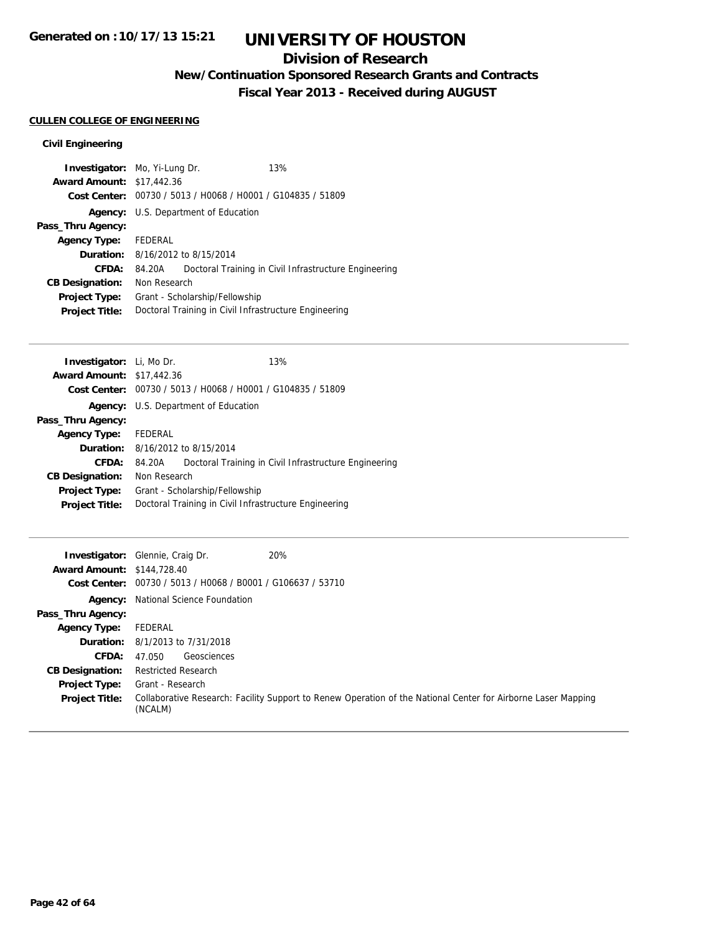## **Division of Research**

**New/Continuation Sponsored Research Grants and Contracts**

**Fiscal Year 2013 - Received during AUGUST**

## **CULLEN COLLEGE OF ENGINEERING**

| <b>Investigator:</b> Mo, Yi-Lung Dr. |              |                                                | 13%                                                   |
|--------------------------------------|--------------|------------------------------------------------|-------------------------------------------------------|
| <b>Award Amount: \$17,442.36</b>     |              |                                                |                                                       |
| Cost Center:                         |              | 00730 / 5013 / H0068 / H0001 / G104835 / 51809 |                                                       |
|                                      |              | <b>Agency:</b> U.S. Department of Education    |                                                       |
| Pass_Thru Agency:                    |              |                                                |                                                       |
| <b>Agency Type:</b>                  | FEDERAL      |                                                |                                                       |
| Duration:                            |              | 8/16/2012 to 8/15/2014                         |                                                       |
| CFDA:                                | 84.20A       |                                                | Doctoral Training in Civil Infrastructure Engineering |
| <b>CB Designation:</b>               | Non Research |                                                |                                                       |
| <b>Project Type:</b>                 |              | Grant - Scholarship/Fellowship                 |                                                       |
| <b>Project Title:</b>                |              |                                                | Doctoral Training in Civil Infrastructure Engineering |

| <b>Investigator:</b> Li, Mo Dr.                             |  | 13%                                                                                                                                                                                                                    |
|-------------------------------------------------------------|--|------------------------------------------------------------------------------------------------------------------------------------------------------------------------------------------------------------------------|
|                                                             |  |                                                                                                                                                                                                                        |
| Cost Center: 00730 / 5013 / H0068 / H0001 / G104835 / 51809 |  |                                                                                                                                                                                                                        |
|                                                             |  |                                                                                                                                                                                                                        |
|                                                             |  |                                                                                                                                                                                                                        |
| FEDERAL                                                     |  |                                                                                                                                                                                                                        |
|                                                             |  |                                                                                                                                                                                                                        |
| 84.20A                                                      |  | Doctoral Training in Civil Infrastructure Engineering                                                                                                                                                                  |
|                                                             |  |                                                                                                                                                                                                                        |
|                                                             |  |                                                                                                                                                                                                                        |
|                                                             |  |                                                                                                                                                                                                                        |
|                                                             |  | <b>Award Amount: \$17,442.36</b><br>U.S. Department of Education<br><b>Duration:</b> 8/16/2012 to 8/15/2014<br>Non Research<br>Grant - Scholarship/Fellowship<br>Doctoral Training in Civil Infrastructure Engineering |

| <b>Award Amount: \$144,728.40</b> | 20%<br><b>Investigator:</b> Glennie, Craig Dr.<br>Cost Center: 00730 / 5013 / H0068 / B0001 / G106637 / 53710            |
|-----------------------------------|--------------------------------------------------------------------------------------------------------------------------|
| Agency:                           | National Science Foundation                                                                                              |
| Pass_Thru Agency:                 |                                                                                                                          |
| <b>Agency Type:</b>               | FEDERAL                                                                                                                  |
|                                   | <b>Duration:</b> 8/1/2013 to 7/31/2018                                                                                   |
| <b>CFDA:</b>                      | Geosciences<br>47.050                                                                                                    |
| <b>CB Designation:</b>            | <b>Restricted Research</b>                                                                                               |
| <b>Project Type:</b>              | Grant - Research                                                                                                         |
| <b>Project Title:</b>             | Collaborative Research: Facility Support to Renew Operation of the National Center for Airborne Laser Mapping<br>(NCALM) |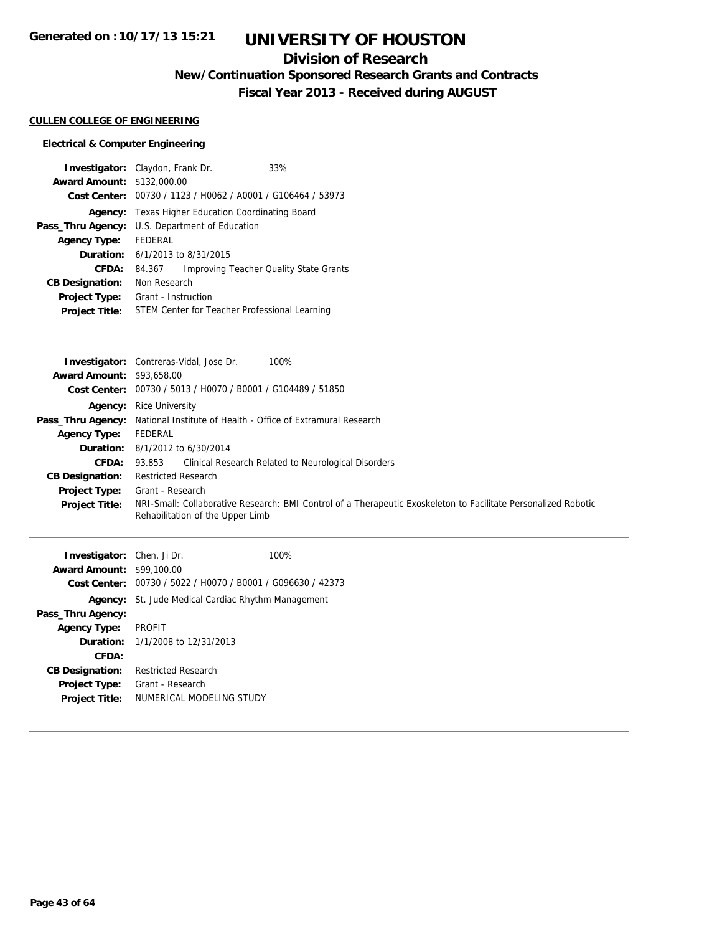# **Division of Research**

**New/Continuation Sponsored Research Grants and Contracts**

**Fiscal Year 2013 - Received during AUGUST**

## **CULLEN COLLEGE OF ENGINEERING**

## **Electrical & Computer Engineering**

| <b>Investigator:</b> Claydon, Frank Dr.<br><b>Award Amount: \$132,000.00</b> |                                            | Cost Center: 00730 / 1123 / H0062 / A0001 / G106464 / 53973 | 33%                                    |
|------------------------------------------------------------------------------|--------------------------------------------|-------------------------------------------------------------|----------------------------------------|
|                                                                              |                                            |                                                             |                                        |
| Agency:                                                                      |                                            | Texas Higher Education Coordinating Board                   |                                        |
| Pass_Thru Agency:                                                            |                                            | U.S. Department of Education                                |                                        |
| <b>Agency Type:</b>                                                          | <b>FFDFRAL</b>                             |                                                             |                                        |
|                                                                              | <b>Duration:</b> $6/1/2013$ to $8/31/2015$ |                                                             |                                        |
| <b>CFDA:</b>                                                                 | 84.367                                     |                                                             | Improving Teacher Quality State Grants |
| <b>CB Designation:</b>                                                       | Non Research                               |                                                             |                                        |
| <b>Project Type:</b>                                                         | Grant - Instruction                        |                                                             |                                        |
| <b>Project Title:</b>                                                        |                                            | STEM Center for Teacher Professional Learning               |                                        |

|                                  | 100%<br><b>Investigator:</b> Contreras-Vidal, Jose Dr.                                                                                             |
|----------------------------------|----------------------------------------------------------------------------------------------------------------------------------------------------|
| <b>Award Amount: \$93,658.00</b> |                                                                                                                                                    |
|                                  | Cost Center: 00730 / 5013 / H0070 / B0001 / G104489 / 51850                                                                                        |
|                                  | <b>Agency:</b> Rice University                                                                                                                     |
|                                  | Pass_Thru Agency: National Institute of Health - Office of Extramural Research                                                                     |
| <b>Agency Type:</b>              | FEDERAL                                                                                                                                            |
|                                  | <b>Duration:</b> $8/1/2012$ to $6/30/2014$                                                                                                         |
| <b>CFDA:</b>                     | 93.853 Clinical Research Related to Neurological Disorders                                                                                         |
| <b>CB Designation:</b>           | <b>Restricted Research</b>                                                                                                                         |
| <b>Project Type:</b>             | Grant - Research                                                                                                                                   |
| <b>Project Title:</b>            | NRI-Small: Collaborative Research: BMI Control of a Therapeutic Exoskeleton to Facilitate Personalized Robotic<br>Rehabilitation of the Upper Limb |

| <b>Investigator:</b> Chen, Ji Dr. |                                                             | 100% |
|-----------------------------------|-------------------------------------------------------------|------|
| <b>Award Amount: \$99,100.00</b>  |                                                             |      |
|                                   | Cost Center: 00730 / 5022 / H0070 / B0001 / G096630 / 42373 |      |
|                                   | <b>Agency:</b> St. Jude Medical Cardiac Rhythm Management   |      |
| Pass_Thru Agency:                 |                                                             |      |
| <b>Agency Type:</b>               | <b>PROFIT</b>                                               |      |
|                                   | <b>Duration:</b> $1/1/2008$ to $12/31/2013$                 |      |
| CFDA:                             |                                                             |      |
| <b>CB Designation:</b>            | <b>Restricted Research</b>                                  |      |
| <b>Project Type:</b>              | Grant - Research                                            |      |
| <b>Project Title:</b>             | NUMERICAL MODELING STUDY                                    |      |
|                                   |                                                             |      |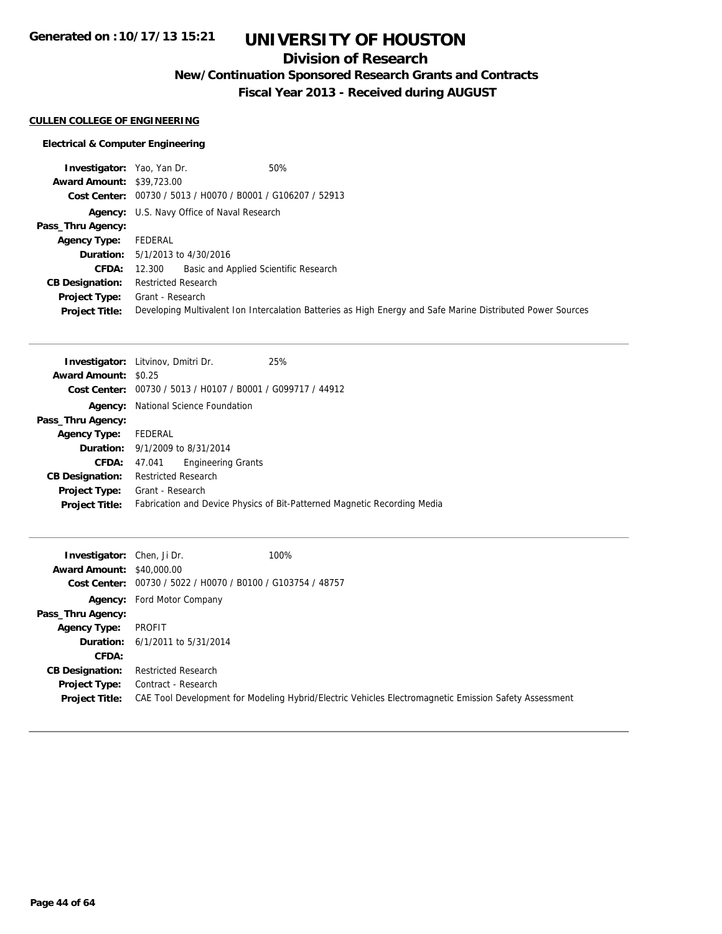## **Division of Research**

**New/Continuation Sponsored Research Grants and Contracts**

**Fiscal Year 2013 - Received during AUGUST**

## **CULLEN COLLEGE OF ENGINEERING**

## **Electrical & Computer Engineering**

| <b>Investigator:</b> Yao, Yan Dr. | 50%                                                                                                         |
|-----------------------------------|-------------------------------------------------------------------------------------------------------------|
| <b>Award Amount: \$39,723.00</b>  |                                                                                                             |
|                                   | Cost Center: 00730 / 5013 / H0070 / B0001 / G106207 / 52913                                                 |
|                                   | Agency: U.S. Navy Office of Naval Research                                                                  |
| Pass_Thru Agency:                 |                                                                                                             |
| <b>Agency Type:</b>               | FEDERAL                                                                                                     |
|                                   | <b>Duration:</b> 5/1/2013 to 4/30/2016                                                                      |
| <b>CFDA:</b>                      | 12.300 Basic and Applied Scientific Research                                                                |
| <b>CB Designation:</b>            | <b>Restricted Research</b>                                                                                  |
|                                   | <b>Project Type:</b> Grant - Research                                                                       |
| <b>Project Title:</b>             | Developing Multivalent Ion Intercalation Batteries as High Energy and Safe Marine Distributed Power Sources |

|                             | <b>Investigator:</b> Litvinov, Dmitri Dr.  | 25%                                                                      |
|-----------------------------|--------------------------------------------|--------------------------------------------------------------------------|
| <b>Award Amount: \$0.25</b> |                                            |                                                                          |
|                             |                                            | Cost Center: 00730 / 5013 / H0107 / B0001 / G099717 / 44912              |
|                             | <b>Agency:</b> National Science Foundation |                                                                          |
| Pass_Thru Agency:           |                                            |                                                                          |
| <b>Agency Type:</b>         | FEDERAL                                    |                                                                          |
|                             | <b>Duration:</b> 9/1/2009 to 8/31/2014     |                                                                          |
| CFDA:                       | <b>Engineering Grants</b><br>47.041        |                                                                          |
| <b>CB Designation:</b>      | <b>Restricted Research</b>                 |                                                                          |
| Project Type:               | Grant - Research                           |                                                                          |
| <b>Project Title:</b>       |                                            | Fabrication and Device Physics of Bit-Patterned Magnetic Recording Media |
|                             |                                            |                                                                          |

| <b>Investigator:</b> Chen, Ji Dr.<br><b>Award Amount: \$40,000.00</b> | Cost Center: 00730 / 5022 / H0070 / B0100 / G103754 / 48757 | 100%                                                                                                  |
|-----------------------------------------------------------------------|-------------------------------------------------------------|-------------------------------------------------------------------------------------------------------|
|                                                                       | <b>Agency:</b> Ford Motor Company                           |                                                                                                       |
| Pass_Thru Agency:                                                     |                                                             |                                                                                                       |
| <b>Agency Type:</b>                                                   | PROFIT                                                      |                                                                                                       |
|                                                                       | <b>Duration:</b> $6/1/2011$ to $5/31/2014$                  |                                                                                                       |
| CFDA:                                                                 |                                                             |                                                                                                       |
| <b>CB Designation:</b>                                                | <b>Restricted Research</b>                                  |                                                                                                       |
| Project Type:                                                         | Contract - Research                                         |                                                                                                       |
| <b>Project Title:</b>                                                 |                                                             | CAE Tool Development for Modeling Hybrid/Electric Vehicles Electromagnetic Emission Safety Assessment |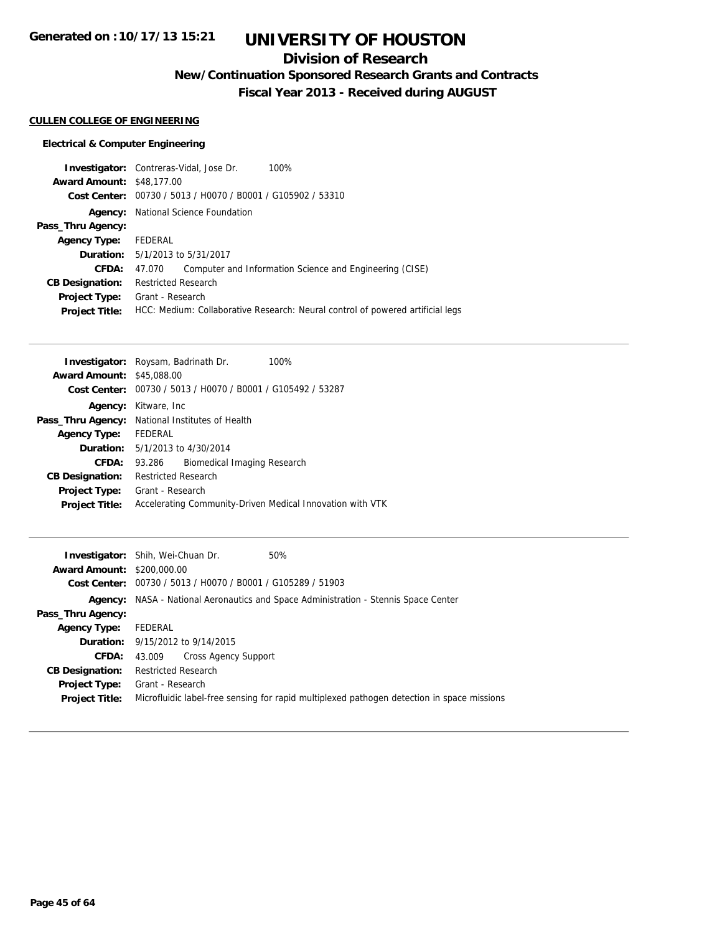# **Division of Research**

**New/Continuation Sponsored Research Grants and Contracts**

**Fiscal Year 2013 - Received during AUGUST**

# **CULLEN COLLEGE OF ENGINEERING**

## **Electrical & Computer Engineering**

|                                  | <b>Investigator:</b> Contreras-Vidal, Jose Dr.<br>100%                         |  |  |
|----------------------------------|--------------------------------------------------------------------------------|--|--|
| <b>Award Amount: \$48,177,00</b> |                                                                                |  |  |
|                                  | Cost Center: 00730 / 5013 / H0070 / B0001 / G105902 / 53310                    |  |  |
| Agency:                          | National Science Foundation                                                    |  |  |
| Pass_Thru Agency:                |                                                                                |  |  |
| <b>Agency Type:</b>              | FEDERAL                                                                        |  |  |
|                                  | <b>Duration:</b> 5/1/2013 to 5/31/2017                                         |  |  |
| CFDA:                            | Computer and Information Science and Engineering (CISE)<br>47.070              |  |  |
| <b>CB Designation:</b>           | <b>Restricted Research</b>                                                     |  |  |
| <b>Project Type:</b>             | Grant - Research                                                               |  |  |
| <b>Project Title:</b>            | HCC: Medium: Collaborative Research: Neural control of powered artificial legs |  |  |
|                                  |                                                                                |  |  |

| <b>Investigator:</b> Roysam, Badrinath Dr.<br>100%          |  |  |
|-------------------------------------------------------------|--|--|
| <b>Award Amount: \$45,088,00</b>                            |  |  |
| Cost Center: 00730 / 5013 / H0070 / B0001 / G105492 / 53287 |  |  |
| Kitware, Inc                                                |  |  |
| Pass_Thru Agency: National Institutes of Health             |  |  |
| FEDERAL                                                     |  |  |
| <b>Duration:</b> 5/1/2013 to 4/30/2014                      |  |  |
| Biomedical Imaging Research<br>93.286                       |  |  |
| <b>Restricted Research</b>                                  |  |  |
| Grant - Research                                            |  |  |
| Accelerating Community-Driven Medical Innovation with VTK   |  |  |
|                                                             |  |  |

|                                   | 50%<br><b>Investigator:</b> Shih, Wei-Chuan Dr.                                            |
|-----------------------------------|--------------------------------------------------------------------------------------------|
| <b>Award Amount: \$200,000.00</b> |                                                                                            |
|                                   | Cost Center: 00730 / 5013 / H0070 / B0001 / G105289 / 51903                                |
|                                   | Agency: NASA - National Aeronautics and Space Administration - Stennis Space Center        |
| Pass_Thru Agency:                 |                                                                                            |
| <b>Agency Type:</b>               | FEDERAL                                                                                    |
|                                   | <b>Duration:</b> $9/15/2012$ to $9/14/2015$                                                |
| CFDA:                             | Cross Agency Support<br>43.009                                                             |
| <b>CB Designation:</b>            | <b>Restricted Research</b>                                                                 |
| <b>Project Type:</b>              | Grant - Research                                                                           |
| <b>Project Title:</b>             | Microfluidic label-free sensing for rapid multiplexed pathogen detection in space missions |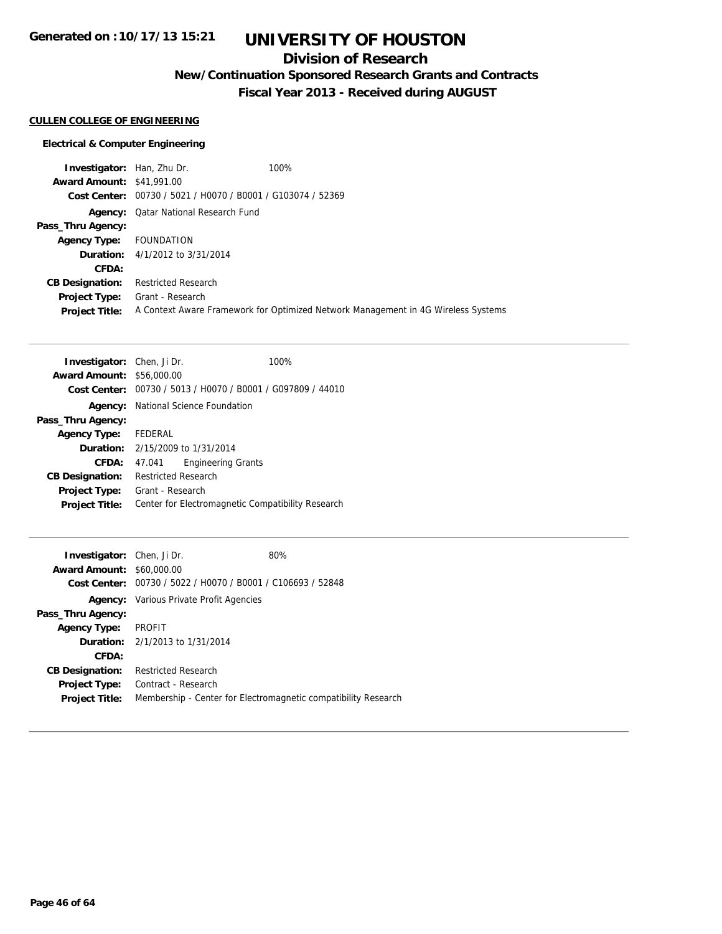## **Division of Research**

**New/Continuation Sponsored Research Grants and Contracts**

**Fiscal Year 2013 - Received during AUGUST**

#### **CULLEN COLLEGE OF ENGINEERING**

#### **Electrical & Computer Engineering**

**Investigator:** Han, Zhu Dr. 100% **Award Amount:** \$41,991.00 **Cost Center:** 00730 / 5021 / H0070 / B0001 / G103074 / 52369 **Agency:** Qatar National Research Fund **Pass\_Thru Agency: Agency Type:** FOUNDATION **Duration:** 4/1/2012 to 3/31/2014 **CFDA: CB Designation:** Restricted Research **Project Type:** Grant - Research **Project Title:** A Context Aware Framework for Optimized Network Management in 4G Wireless Systems

| <b>Investigator:</b> Chen, Ji Dr. |                                         |                                                   | 100% |
|-----------------------------------|-----------------------------------------|---------------------------------------------------|------|
| <b>Award Amount: \$56,000.00</b>  |                                         |                                                   |      |
| Cost Center:                      |                                         | 00730 / 5013 / H0070 / B0001 / G097809 / 44010    |      |
| Agency:                           |                                         | National Science Foundation                       |      |
| Pass_Thru Agency:                 |                                         |                                                   |      |
| <b>Agency Type:</b>               | FEDERAL                                 |                                                   |      |
|                                   | <b>Duration:</b> 2/15/2009 to 1/31/2014 |                                                   |      |
| CFDA:                             | 47.041                                  | <b>Engineering Grants</b>                         |      |
| <b>CB Designation:</b>            | <b>Restricted Research</b>              |                                                   |      |
| <b>Project Type:</b>              | Grant - Research                        |                                                   |      |
| <b>Project Title:</b>             |                                         | Center for Electromagnetic Compatibility Research |      |

| <b>Investigator:</b> Chen, Ji Dr. |                                                             | 80%                                                            |
|-----------------------------------|-------------------------------------------------------------|----------------------------------------------------------------|
| <b>Award Amount: \$60,000.00</b>  |                                                             |                                                                |
|                                   | Cost Center: 00730 / 5022 / H0070 / B0001 / C106693 / 52848 |                                                                |
|                                   | <b>Agency:</b> Various Private Profit Agencies              |                                                                |
| Pass_Thru Agency:                 |                                                             |                                                                |
| <b>Agency Type:</b>               | PROFIT                                                      |                                                                |
|                                   | <b>Duration:</b> 2/1/2013 to 1/31/2014                      |                                                                |
| CFDA:                             |                                                             |                                                                |
| <b>CB Designation:</b>            | <b>Restricted Research</b>                                  |                                                                |
| Project Type:                     | Contract - Research                                         |                                                                |
| <b>Project Title:</b>             |                                                             | Membership - Center for Electromagnetic compatibility Research |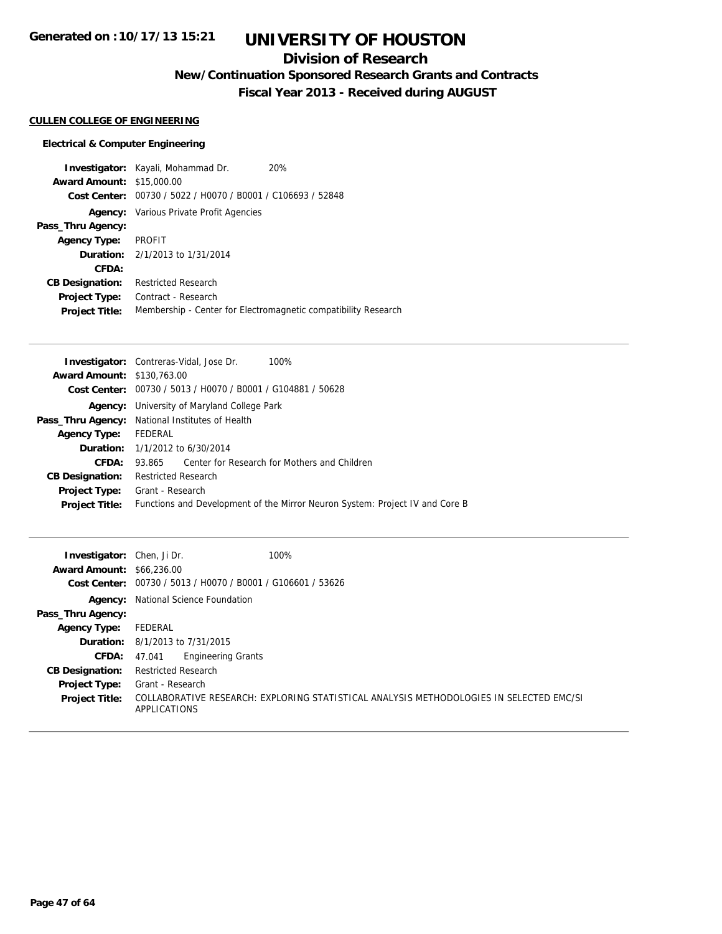## **Division of Research**

**New/Continuation Sponsored Research Grants and Contracts**

**Fiscal Year 2013 - Received during AUGUST**

#### **CULLEN COLLEGE OF ENGINEERING**

#### **Electrical & Computer Engineering**

**Investigator:** Kayali, Mohammad Dr. 20% **Award Amount:** \$15,000.00 **Cost Center:** 00730 / 5022 / H0070 / B0001 / C106693 / 52848 **Agency:** Various Private Profit Agencies **Pass\_Thru Agency: Agency Type:** PROFIT **Duration:** 2/1/2013 to 1/31/2014 **CFDA: CB Designation:** Restricted Research **Project Type:** Contract - Research **Project Title:** Membership - Center for Electromagnetic compatibility Research

|                                   | <b>Investigator:</b> Contreras-Vidal, Jose Dr.<br>100%                       |  |
|-----------------------------------|------------------------------------------------------------------------------|--|
| <b>Award Amount: \$130,763.00</b> |                                                                              |  |
|                                   | Cost Center: 00730 / 5013 / H0070 / B0001 / G104881 / 50628                  |  |
| Agency:                           | University of Maryland College Park                                          |  |
|                                   | Pass_Thru Agency: National Institutes of Health                              |  |
| <b>Agency Type:</b>               | FEDERAL                                                                      |  |
|                                   | <b>Duration:</b> 1/1/2012 to 6/30/2014                                       |  |
| CFDA:                             | Center for Research for Mothers and Children<br>93.865                       |  |
| <b>CB Designation:</b>            | <b>Restricted Research</b>                                                   |  |
| <b>Project Type:</b>              | Grant - Research                                                             |  |
| <b>Project Title:</b>             | Functions and Development of the Mirror Neuron System: Project IV and Core B |  |
|                                   |                                                                              |  |

| <b>Investigator:</b> Chen, Ji Dr.<br><b>Award Amount: \$66,236,00</b> | 100%                                                                                                                        |
|-----------------------------------------------------------------------|-----------------------------------------------------------------------------------------------------------------------------|
|                                                                       | Cost Center: 00730 / 5013 / H0070 / B0001 / G106601 / 53626                                                                 |
|                                                                       | <b>Agency:</b> National Science Foundation                                                                                  |
| Pass_Thru Agency:                                                     |                                                                                                                             |
| <b>Agency Type:</b>                                                   | FEDERAL                                                                                                                     |
|                                                                       | <b>Duration:</b> 8/1/2013 to 7/31/2015                                                                                      |
| <b>CFDA:</b>                                                          | <b>Engineering Grants</b><br>47.041                                                                                         |
| <b>CB Designation:</b>                                                | <b>Restricted Research</b>                                                                                                  |
| <b>Project Type:</b><br><b>Project Title:</b>                         | Grant - Research<br>COLLABORATIVE RESEARCH: EXPLORING STATISTICAL ANALYSIS METHODOLOGIES IN SELECTED EMC/SI<br>APPLICATIONS |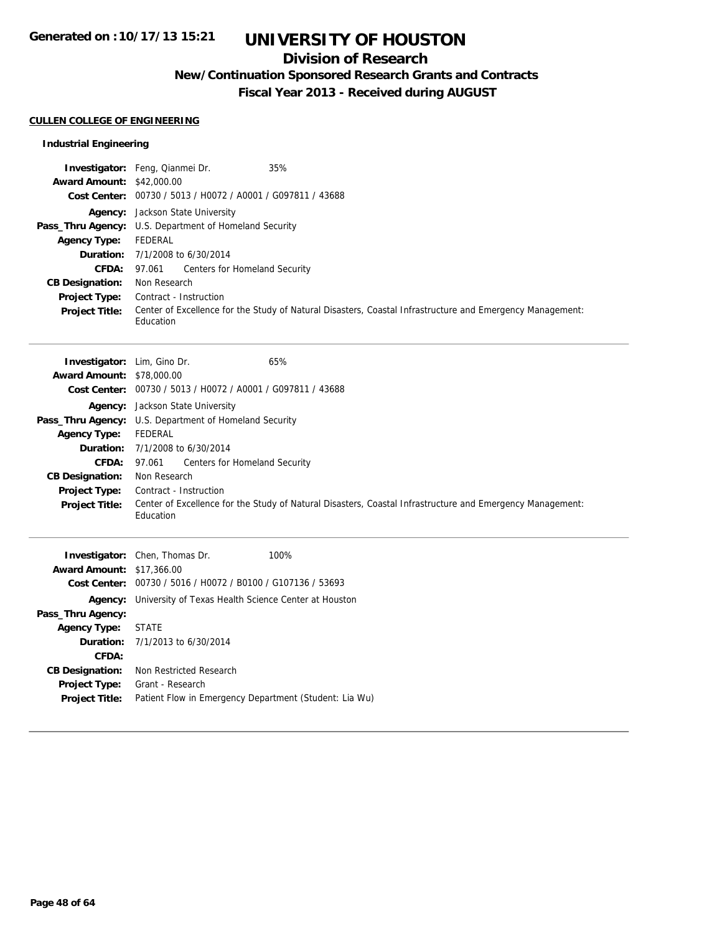# **Division of Research**

**New/Continuation Sponsored Research Grants and Contracts**

**Fiscal Year 2013 - Received during AUGUST**

#### **CULLEN COLLEGE OF ENGINEERING**

## **Industrial Engineering**

|                                  | Investigator: Feng, Qianmei Dr.<br>35%                                                                                 |
|----------------------------------|------------------------------------------------------------------------------------------------------------------------|
| <b>Award Amount: \$42,000.00</b> |                                                                                                                        |
|                                  | Cost Center: 00730 / 5013 / H0072 / A0001 / G097811 / 43688                                                            |
|                                  | Agency: Jackson State University                                                                                       |
|                                  | Pass_Thru Agency: U.S. Department of Homeland Security                                                                 |
| <b>Agency Type:</b>              | FEDERAL                                                                                                                |
| Duration:                        | 7/1/2008 to 6/30/2014                                                                                                  |
| CFDA:                            | 97.061<br><b>Centers for Homeland Security</b>                                                                         |
| <b>CB Designation:</b>           | Non Research                                                                                                           |
| <b>Project Type:</b>             | Contract - Instruction                                                                                                 |
| <b>Project Title:</b>            | Center of Excellence for the Study of Natural Disasters, Coastal Infrastructure and Emergency Management:<br>Education |
|                                  |                                                                                                                        |
|                                  |                                                                                                                        |
| Investigator: Lim, Gino Dr.      | 65%                                                                                                                    |
| <b>Award Amount: \$78,000.00</b> |                                                                                                                        |
|                                  | Cost Center: 00730 / 5013 / H0072 / A0001 / G097811 / 43688                                                            |
|                                  | Agency: Jackson State University                                                                                       |
|                                  | Pass_Thru Agency: U.S. Department of Homeland Security                                                                 |
| <b>Agency Type:</b>              | <b>FEDERAL</b>                                                                                                         |
| Duration:                        | 7/1/2008 to 6/30/2014                                                                                                  |
| <b>CFDA:</b>                     | Centers for Homeland Security<br>97.061                                                                                |
| <b>CB Designation:</b>           | Non Research                                                                                                           |
| Project Type:                    | Contract - Instruction                                                                                                 |
| <b>Project Title:</b>            | Center of Excellence for the Study of Natural Disasters, Coastal Infrastructure and Emergency Management:<br>Education |
|                                  |                                                                                                                        |
|                                  | 100%<br><b>Investigator:</b> Chen, Thomas Dr.                                                                          |
| <b>Award Amount: \$17,366.00</b> |                                                                                                                        |
|                                  | Cost Center: 00730 / 5016 / H0072 / B0100 / G107136 / 53693                                                            |
|                                  | Agency: University of Texas Health Science Center at Houston                                                           |
| Pass_Thru Agency:                |                                                                                                                        |
| <b>Agency Type:</b>              | <b>STATE</b>                                                                                                           |
| Duration:                        | 7/1/2013 to 6/30/2014                                                                                                  |
| CFDA:                            |                                                                                                                        |
| <b>CB Designation:</b>           | Non Restricted Research                                                                                                |

**Project Type:** Grant - Research

**Project Title:** Patient Flow in Emergency Department (Student: Lia Wu)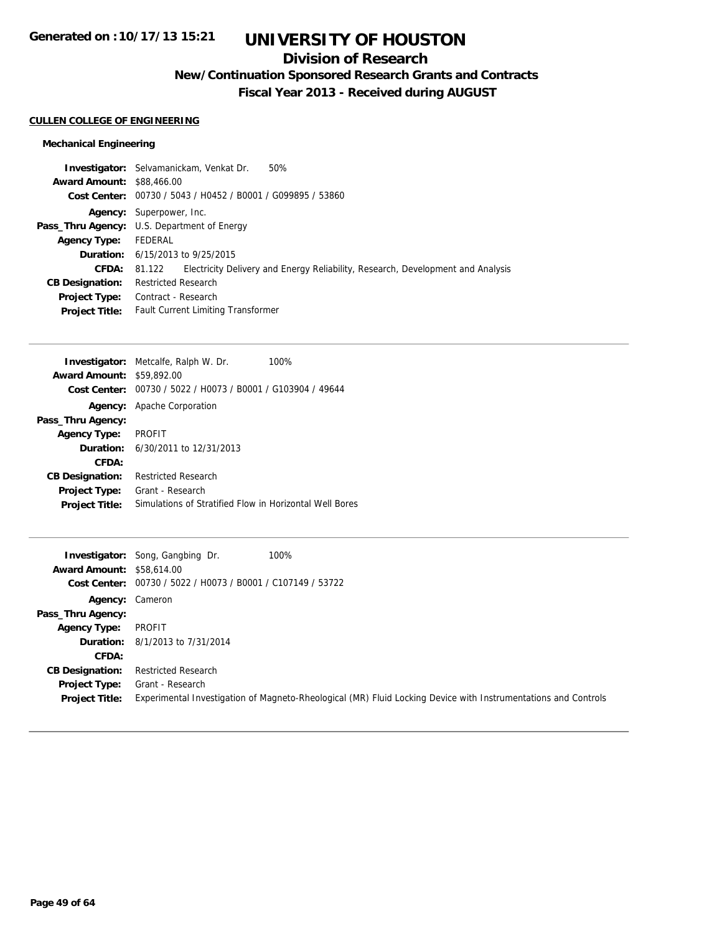# **Division of Research**

**New/Continuation Sponsored Research Grants and Contracts**

**Fiscal Year 2013 - Received during AUGUST**

## **CULLEN COLLEGE OF ENGINEERING**

## **Mechanical Engineering**

| <b>Investigator:</b> Selvamanickam, Venkat Dr.              | 50%                                                                             |  |
|-------------------------------------------------------------|---------------------------------------------------------------------------------|--|
| <b>Award Amount: \$88,466.00</b>                            |                                                                                 |  |
| Cost Center: 00730 / 5043 / H0452 / B0001 / G099895 / 53860 |                                                                                 |  |
|                                                             |                                                                                 |  |
| <b>Pass_Thru Agency:</b> U.S. Department of Energy          |                                                                                 |  |
| FEDERAL                                                     |                                                                                 |  |
| <b>Duration:</b> 6/15/2013 to 9/25/2015                     |                                                                                 |  |
| 81.122                                                      | Electricity Delivery and Energy Reliability, Research, Development and Analysis |  |
| <b>Restricted Research</b>                                  |                                                                                 |  |
| Contract - Research                                         |                                                                                 |  |
|                                                             |                                                                                 |  |
|                                                             | <b>Agency:</b> Superpower, Inc.<br><b>Fault Current Limiting Transformer</b>    |  |

|                                  | <b>Investigator:</b> Metcalfe, Ralph W. Dr.<br>100%     |
|----------------------------------|---------------------------------------------------------|
| <b>Award Amount: \$59,892.00</b> |                                                         |
| Cost Center:                     | 00730 / 5022 / H0073 / B0001 / G103904 / 49644          |
|                                  | <b>Agency:</b> Apache Corporation                       |
| Pass_Thru Agency:                |                                                         |
| <b>Agency Type:</b>              | <b>PROFIT</b>                                           |
|                                  | <b>Duration:</b> 6/30/2011 to 12/31/2013                |
| CFDA:                            |                                                         |
| <b>CB Designation:</b>           | <b>Restricted Research</b>                              |
| <b>Project Type:</b>             | Grant - Research                                        |
| <b>Project Title:</b>            | Simulations of Stratified Flow in Horizontal Well Bores |
|                                  |                                                         |

| <b>Award Amount: \$58,614.00</b><br>Cost Center: | 100%<br><b>Investigator:</b> Song, Gangbing Dr.<br>00730 / 5022 / H0073 / B0001 / C107149 / 53722                                  |
|--------------------------------------------------|------------------------------------------------------------------------------------------------------------------------------------|
| Agency: Cameron                                  |                                                                                                                                    |
| Pass_Thru Agency:                                |                                                                                                                                    |
| <b>Agency Type:</b>                              | PROFIT                                                                                                                             |
|                                                  | <b>Duration:</b> 8/1/2013 to 7/31/2014                                                                                             |
| CFDA:                                            |                                                                                                                                    |
| <b>CB Designation:</b>                           | <b>Restricted Research</b>                                                                                                         |
| Project Type:<br><b>Project Title:</b>           | Grant - Research<br>Experimental Investigation of Magneto-Rheological (MR) Fluid Locking Device with Instrumentations and Controls |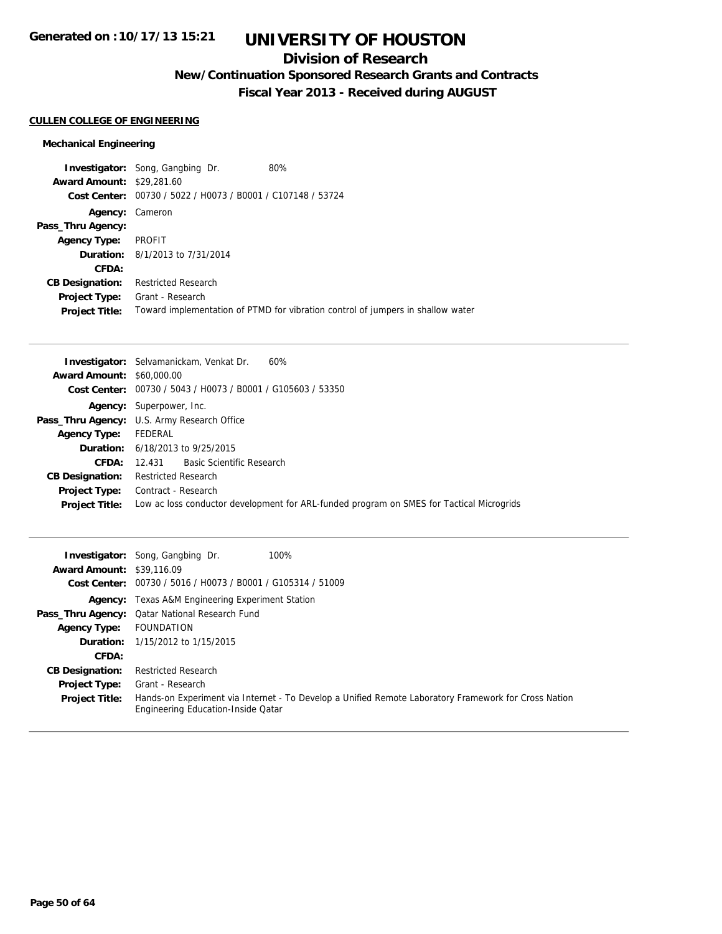## **Division of Research**

**New/Continuation Sponsored Research Grants and Contracts**

**Fiscal Year 2013 - Received during AUGUST**

## **CULLEN COLLEGE OF ENGINEERING**

## **Mechanical Engineering**

| <b>Investigator:</b> Song, Gangbing Dr.        | 80%                                                                             |
|------------------------------------------------|---------------------------------------------------------------------------------|
| <b>Award Amount: \$29,281.60</b>               |                                                                                 |
| 00730 / 5022 / H0073 / B0001 / C107148 / 53724 |                                                                                 |
| Cameron                                        |                                                                                 |
|                                                |                                                                                 |
| PROFIT                                         |                                                                                 |
| <b>Duration:</b> 8/1/2013 to 7/31/2014         |                                                                                 |
|                                                |                                                                                 |
| <b>Restricted Research</b>                     |                                                                                 |
| Grant - Research                               |                                                                                 |
|                                                | Toward implementation of PTMD for vibration control of jumpers in shallow water |
|                                                |                                                                                 |

|                                  | 60%<br><b>Investigator:</b> Selvamanickam, Venkat Dr.                                    |
|----------------------------------|------------------------------------------------------------------------------------------|
| <b>Award Amount: \$60,000.00</b> |                                                                                          |
|                                  | <b>Cost Center:</b> $00730 / 5043 / 40073 / 80001 / 6105603 / 53350$                     |
|                                  | <b>Agency:</b> Superpower, Inc.                                                          |
|                                  | <b>Pass_Thru Agency:</b> U.S. Army Research Office                                       |
| <b>Agency Type:</b>              | FEDERAL                                                                                  |
|                                  | <b>Duration:</b> $6/18/2013$ to $9/25/2015$                                              |
| <b>CFDA:</b>                     | 12.431 Basic Scientific Research                                                         |
| <b>CB Designation:</b>           | <b>Restricted Research</b>                                                               |
| <b>Project Type:</b>             | Contract - Research                                                                      |
| <b>Project Title:</b>            | Low ac loss conductor development for ARL-funded program on SMES for Tactical Microgrids |

| <b>Award Amount: \$39,116.09</b> | <b>Investigator:</b> Song, Gangbing Dr.<br>100%                                                                                            |
|----------------------------------|--------------------------------------------------------------------------------------------------------------------------------------------|
|                                  |                                                                                                                                            |
|                                  | Cost Center: 00730 / 5016 / H0073 / B0001 / G105314 / 51009                                                                                |
|                                  | <b>Agency:</b> Texas A&M Engineering Experiment Station                                                                                    |
|                                  | Pass_Thru Agency: Qatar National Research Fund                                                                                             |
| <b>Agency Type:</b>              | FOUNDATION                                                                                                                                 |
|                                  | <b>Duration:</b> 1/15/2012 to 1/15/2015                                                                                                    |
| CFDA:                            |                                                                                                                                            |
| <b>CB Designation:</b>           | <b>Restricted Research</b>                                                                                                                 |
| <b>Project Type:</b>             | Grant - Research                                                                                                                           |
| <b>Project Title:</b>            | Hands-on Experiment via Internet - To Develop a Unified Remote Laboratory Framework for Cross Nation<br>Engineering Education-Inside Qatar |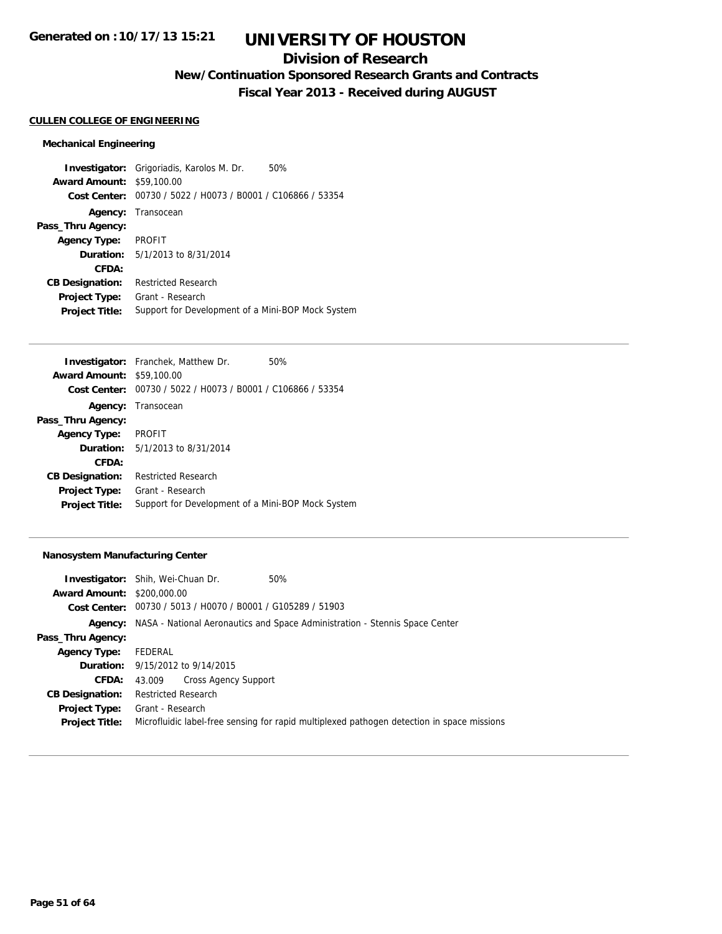## **Division of Research**

**New/Continuation Sponsored Research Grants and Contracts**

**Fiscal Year 2013 - Received during AUGUST**

## **CULLEN COLLEGE OF ENGINEERING**

#### **Mechanical Engineering**

**Investigator:** Grigoriadis, Karolos M. Dr. 50% **Award Amount:** \$59,100.00 **Cost Center:** 00730 / 5022 / H0073 / B0001 / C106866 / 53354 **Agency:** Transocean **Pass\_Thru Agency: Agency Type:** PROFIT **Duration:** 5/1/2013 to 8/31/2014 **CFDA: CB Designation:** Restricted Research **Project Type:** Grant - Research **Project Title:** Support for Development of a Mini-BOP Mock System

| <b>Investigator:</b> Franchek, Matthew Dr.<br>50%              |
|----------------------------------------------------------------|
| <b>Award Amount: \$59,100.00</b>                               |
| 00730 / 5022 / H0073 / B0001 / C106866 / 53354<br>Cost Center: |
| <b>Agency:</b> Transocean                                      |
|                                                                |
| PROFIT                                                         |
| <b>Duration:</b> 5/1/2013 to 8/31/2014                         |
|                                                                |
| <b>Restricted Research</b>                                     |
| Grant - Research                                               |
| Support for Development of a Mini-BOP Mock System              |
|                                                                |

#### **Nanosystem Manufacturing Center**

|                                   | 50%<br><b>Investigator:</b> Shih, Wei-Chuan Dr.             |                                                                                            |
|-----------------------------------|-------------------------------------------------------------|--------------------------------------------------------------------------------------------|
| <b>Award Amount: \$200,000.00</b> |                                                             |                                                                                            |
|                                   | Cost Center: 00730 / 5013 / H0070 / B0001 / G105289 / 51903 |                                                                                            |
|                                   |                                                             | <b>Agency:</b> NASA - National Aeronautics and Space Administration - Stennis Space Center |
| Pass_Thru Agency:                 |                                                             |                                                                                            |
| <b>Agency Type:</b>               | FEDERAL                                                     |                                                                                            |
|                                   | <b>Duration:</b> 9/15/2012 to 9/14/2015                     |                                                                                            |
| CFDA:                             | Cross Agency Support<br>43.009                              |                                                                                            |
| <b>CB Designation:</b>            | <b>Restricted Research</b>                                  |                                                                                            |
| <b>Project Type:</b>              | Grant - Research                                            |                                                                                            |
| <b>Project Title:</b>             |                                                             | Microfluidic label-free sensing for rapid multiplexed pathogen detection in space missions |
|                                   |                                                             |                                                                                            |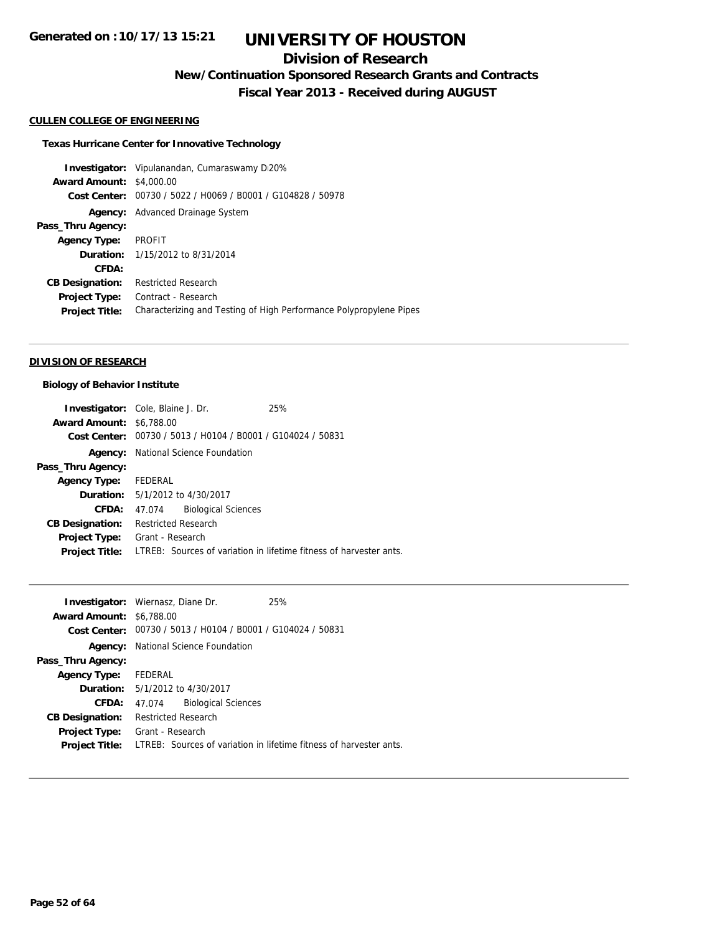# **Division of Research**

**New/Continuation Sponsored Research Grants and Contracts**

**Fiscal Year 2013 - Received during AUGUST**

#### **CULLEN COLLEGE OF ENGINEERING**

#### **Texas Hurricane Center for Innovative Technology**

**Investigator:** Vipulanandan, Cumaraswamy Di20% **Award Amount:** \$4,000.00 **Cost Center:** 00730 / 5022 / H0069 / B0001 / G104828 / 50978 **Agency:** Advanced Drainage System **Pass\_Thru Agency: Agency Type:** PROFIT **Duration:** 1/15/2012 to 8/31/2014 **CFDA: CB Designation:** Restricted Research **Project Type:** Contract - Research **Project Title:** Characterizing and Testing of High Performance Polypropylene Pipes

#### **DIVISION OF RESEARCH**

#### **Biology of Behavior Institute**

| <b>Investigator:</b> Cole, Blaine J. Dr. |                            |                                            | 25%                                                                |
|------------------------------------------|----------------------------|--------------------------------------------|--------------------------------------------------------------------|
| <b>Award Amount: \$6,788.00</b>          |                            |                                            |                                                                    |
|                                          |                            |                                            | Cost Center: 00730 / 5013 / H0104 / B0001 / G104024 / 50831        |
|                                          |                            | <b>Agency:</b> National Science Foundation |                                                                    |
| Pass_Thru Agency:                        |                            |                                            |                                                                    |
| <b>Agency Type:</b>                      | FEDERAL                    |                                            |                                                                    |
| <b>Duration:</b> 5/1/2012 to 4/30/2017   |                            |                                            |                                                                    |
| CFDA:                                    | 47.074                     | <b>Biological Sciences</b>                 |                                                                    |
| <b>CB Designation:</b>                   | <b>Restricted Research</b> |                                            |                                                                    |
| <b>Project Type:</b>                     | Grant - Research           |                                            |                                                                    |
| <b>Project Title:</b>                    |                            |                                            | LTREB: Sources of variation in lifetime fitness of harvester ants. |

|                                 | <b>Investigator:</b> Wiernasz, Diane Dr.                    | 25%                                                                |
|---------------------------------|-------------------------------------------------------------|--------------------------------------------------------------------|
| <b>Award Amount: \$6,788.00</b> |                                                             |                                                                    |
|                                 | Cost Center: 00730 / 5013 / H0104 / B0001 / G104024 / 50831 |                                                                    |
|                                 | <b>Agency:</b> National Science Foundation                  |                                                                    |
| Pass_Thru Agency:               |                                                             |                                                                    |
| Agency Type: FEDERAL            |                                                             |                                                                    |
|                                 | <b>Duration:</b> 5/1/2012 to 4/30/2017                      |                                                                    |
| <b>CFDA:</b>                    | <b>Biological Sciences</b><br>47.074                        |                                                                    |
| <b>CB Designation:</b>          | <b>Restricted Research</b>                                  |                                                                    |
| <b>Project Type:</b>            | Grant - Research                                            |                                                                    |
| <b>Project Title:</b>           |                                                             | LTREB: Sources of variation in lifetime fitness of harvester ants. |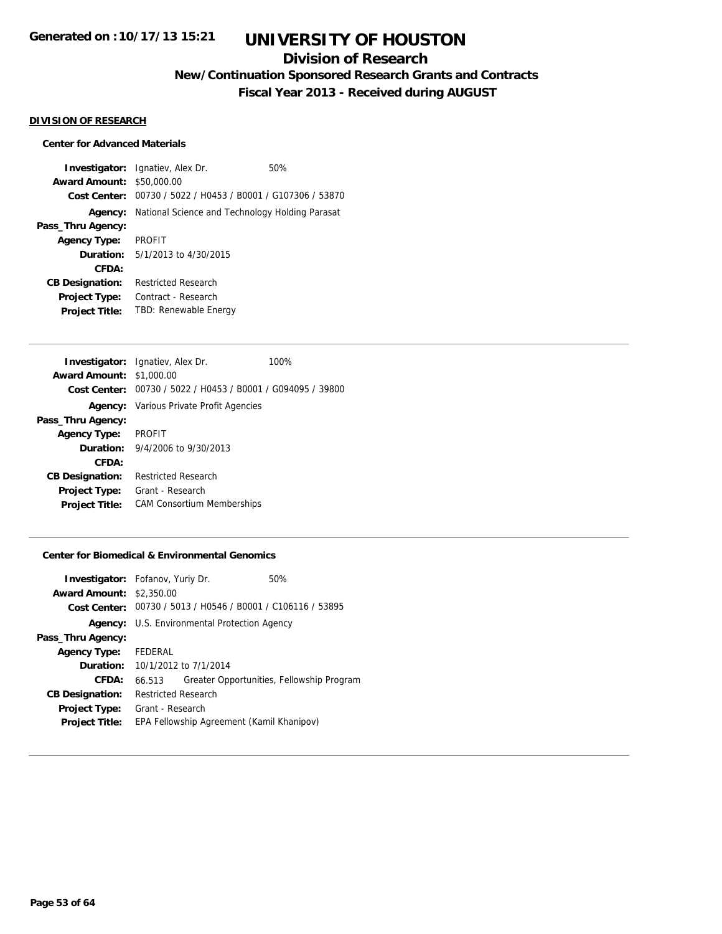## **Division of Research**

**New/Continuation Sponsored Research Grants and Contracts**

**Fiscal Year 2013 - Received during AUGUST**

## **DIVISION OF RESEARCH**

### **Center for Advanced Materials**

**Investigator:** Ignatiev, Alex Dr. 60% **Award Amount:** \$50,000.00 **Cost Center:** 00730 / 5022 / H0453 / B0001 / G107306 / 53870 **Agency:** National Science and Technology Holding Parasat **Pass\_Thru Agency: Agency Type:** PROFIT **Duration:** 5/1/2013 to 4/30/2015 **CFDA: CB Designation:** Restricted Research **Project Type:** Contract - Research **Project Title:** TBD: Renewable Energy

| <b>Investigator:</b> Ignatiev, Alex Dr.<br>100%             |  |
|-------------------------------------------------------------|--|
| <b>Award Amount: \$1,000.00</b>                             |  |
| Cost Center: 00730 / 5022 / H0453 / B0001 / G094095 / 39800 |  |
| <b>Agency:</b> Various Private Profit Agencies              |  |
| Pass_Thru Agency:                                           |  |
| <b>Agency Type: PROFIT</b>                                  |  |
| <b>Duration:</b> 9/4/2006 to 9/30/2013                      |  |
| CFDA:                                                       |  |
| <b>Restricted Research</b><br><b>CB Designation:</b>        |  |
| Grant - Research<br><b>Project Type:</b>                    |  |
| <b>CAM Consortium Memberships</b><br><b>Project Title:</b>  |  |

#### **Center for Biomedical & Environmental Genomics**

|                                 | 50%                                                                                                                                                                                                                                                                                   |
|---------------------------------|---------------------------------------------------------------------------------------------------------------------------------------------------------------------------------------------------------------------------------------------------------------------------------------|
| <b>Award Amount: \$2,350.00</b> |                                                                                                                                                                                                                                                                                       |
|                                 |                                                                                                                                                                                                                                                                                       |
|                                 |                                                                                                                                                                                                                                                                                       |
|                                 |                                                                                                                                                                                                                                                                                       |
| FEDERAL                         |                                                                                                                                                                                                                                                                                       |
|                                 |                                                                                                                                                                                                                                                                                       |
| 66.513                          | Greater Opportunities, Fellowship Program                                                                                                                                                                                                                                             |
|                                 |                                                                                                                                                                                                                                                                                       |
|                                 |                                                                                                                                                                                                                                                                                       |
|                                 |                                                                                                                                                                                                                                                                                       |
|                                 | <b>Investigator:</b> Fofanov, Yuriy Dr.<br>Cost Center: 00730 / 5013 / H0546 / B0001 / C106116 / 53895<br><b>Agency:</b> U.S. Environmental Protection Agency<br>10/1/2012 to 7/1/2014<br><b>Restricted Research</b><br>Grant - Research<br>EPA Fellowship Agreement (Kamil Khanipov) |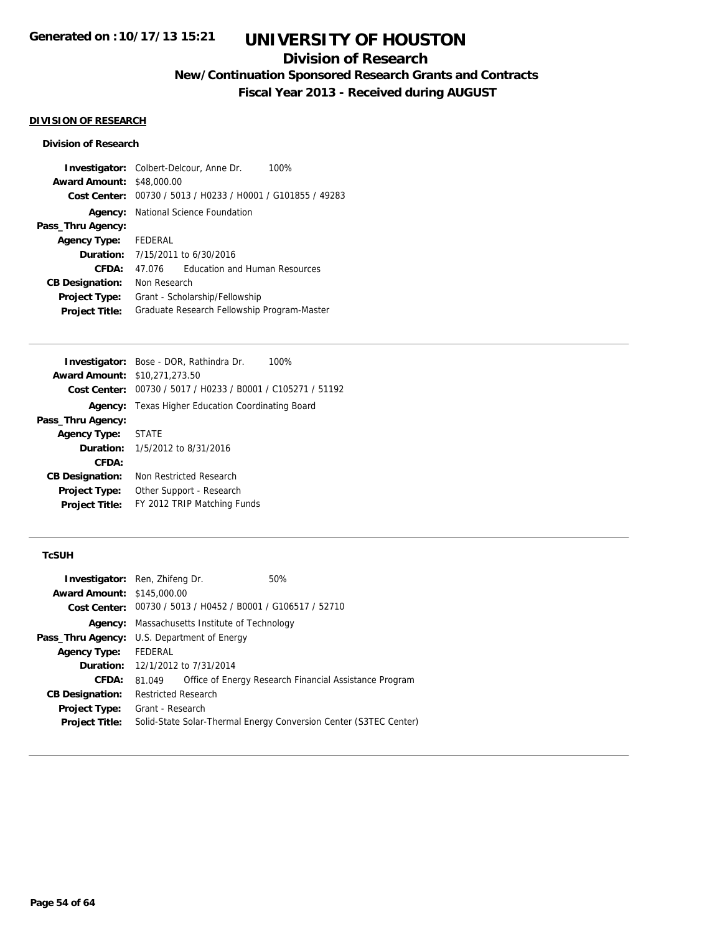# **Division of Research**

**New/Continuation Sponsored Research Grants and Contracts**

**Fiscal Year 2013 - Received during AUGUST**

## **DIVISION OF RESEARCH**

#### **Division of Research**

| <b>Investigator:</b> Colbert-Delcour, Anne Dr. |                                         |                                             | 100%                                           |
|------------------------------------------------|-----------------------------------------|---------------------------------------------|------------------------------------------------|
| <b>Award Amount: \$48,000.00</b>               |                                         |                                             |                                                |
| Cost Center:                                   |                                         |                                             | 00730 / 5013 / H0233 / H0001 / G101855 / 49283 |
|                                                |                                         | <b>Agency:</b> National Science Foundation  |                                                |
| Pass_Thru Agency:                              |                                         |                                             |                                                |
| <b>Agency Type:</b>                            | FEDERAL                                 |                                             |                                                |
|                                                | <b>Duration:</b> 7/15/2011 to 6/30/2016 |                                             |                                                |
| CFDA:                                          | 47.076                                  | <b>Education and Human Resources</b>        |                                                |
| <b>CB Designation:</b>                         | Non Research                            |                                             |                                                |
| <b>Project Type:</b>                           |                                         | Grant - Scholarship/Fellowship              |                                                |
| <b>Project Title:</b>                          |                                         | Graduate Research Fellowship Program-Master |                                                |

|                        | <b>Investigator:</b> Bose - DOR, Rathindra Dr.<br>100%      |
|------------------------|-------------------------------------------------------------|
| <b>Award Amount:</b>   | \$10,271,273.50                                             |
|                        | Cost Center: 00730 / 5017 / H0233 / B0001 / C105271 / 51192 |
|                        | <b>Agency:</b> Texas Higher Education Coordinating Board    |
| Pass_Thru Agency:      |                                                             |
| Agency Type: STATE     |                                                             |
|                        | <b>Duration:</b> $1/5/2012$ to $8/31/2016$                  |
| CFDA:                  |                                                             |
| <b>CB Designation:</b> | Non Restricted Research                                     |
| <b>Project Type:</b>   | Other Support - Research                                    |
| <b>Project Title:</b>  | FY 2012 TRIP Matching Funds                                 |
|                        |                                                             |

## **TcSUH**

|         | 50%                                                                                                                                                                                                                                                                                                                                            |
|---------|------------------------------------------------------------------------------------------------------------------------------------------------------------------------------------------------------------------------------------------------------------------------------------------------------------------------------------------------|
|         |                                                                                                                                                                                                                                                                                                                                                |
|         |                                                                                                                                                                                                                                                                                                                                                |
|         |                                                                                                                                                                                                                                                                                                                                                |
|         |                                                                                                                                                                                                                                                                                                                                                |
| FEDERAL |                                                                                                                                                                                                                                                                                                                                                |
|         |                                                                                                                                                                                                                                                                                                                                                |
| 81.049  | Office of Energy Research Financial Assistance Program                                                                                                                                                                                                                                                                                         |
|         |                                                                                                                                                                                                                                                                                                                                                |
|         |                                                                                                                                                                                                                                                                                                                                                |
|         | Solid-State Solar-Thermal Energy Conversion Center (S3TEC Center)                                                                                                                                                                                                                                                                              |
|         | <b>Investigator:</b> Ren, Zhifeng Dr.<br><b>Award Amount: \$145,000.00</b><br><b>Cost Center:</b> $00730 / 5013 / 40452 / 80001 / 6106517 / 52710$<br>Massachusetts Institute of Technology<br><b>Pass_Thru Agency:</b> U.S. Department of Energy<br><b>Duration:</b> 12/1/2012 to 7/31/2014<br><b>Restricted Research</b><br>Grant - Research |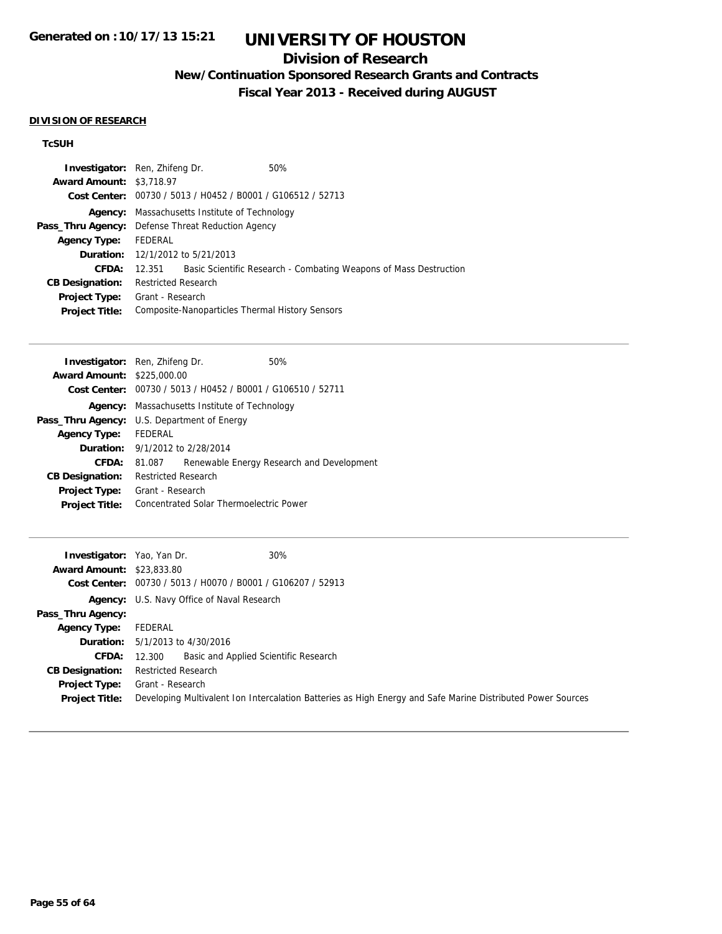## **Division of Research**

**New/Continuation Sponsored Research Grants and Contracts**

**Fiscal Year 2013 - Received during AUGUST**

#### **DIVISION OF RESEARCH**

## **TcSUH**

|                                 | 50%                                                                                                                                                                                                                                                                                                                                                                      |
|---------------------------------|--------------------------------------------------------------------------------------------------------------------------------------------------------------------------------------------------------------------------------------------------------------------------------------------------------------------------------------------------------------------------|
| <b>Award Amount: \$3,718.97</b> |                                                                                                                                                                                                                                                                                                                                                                          |
|                                 |                                                                                                                                                                                                                                                                                                                                                                          |
|                                 |                                                                                                                                                                                                                                                                                                                                                                          |
|                                 |                                                                                                                                                                                                                                                                                                                                                                          |
| FEDERAL                         |                                                                                                                                                                                                                                                                                                                                                                          |
|                                 |                                                                                                                                                                                                                                                                                                                                                                          |
| 12.351                          | Basic Scientific Research - Combating Weapons of Mass Destruction                                                                                                                                                                                                                                                                                                        |
|                                 |                                                                                                                                                                                                                                                                                                                                                                          |
|                                 |                                                                                                                                                                                                                                                                                                                                                                          |
|                                 |                                                                                                                                                                                                                                                                                                                                                                          |
|                                 | <b>Investigator:</b> Ren, Zhifeng Dr.<br>Cost Center: 00730 / 5013 / H0452 / B0001 / G106512 / 52713<br><b>Agency:</b> Massachusetts Institute of Technology<br><b>Pass_Thru Agency:</b> Defense Threat Reduction Agency<br><b>Duration:</b> 12/1/2012 to 5/21/2013<br><b>Restricted Research</b><br>Grant - Research<br>Composite-Nanoparticles Thermal History Sensors |

| <b>Investigator:</b> Ren, Zhifeng Dr.              |                            | 50%                                                         |                                           |
|----------------------------------------------------|----------------------------|-------------------------------------------------------------|-------------------------------------------|
| <b>Award Amount: \$225,000.00</b>                  |                            |                                                             |                                           |
|                                                    |                            | Cost Center: 00730 / 5013 / H0452 / B0001 / G106510 / 52711 |                                           |
| Agency:                                            |                            | Massachusetts Institute of Technology                       |                                           |
| <b>Pass_Thru Agency:</b> U.S. Department of Energy |                            |                                                             |                                           |
| <b>Agency Type:</b>                                | FEDERAL                    |                                                             |                                           |
| <b>Duration:</b> 9/1/2012 to 2/28/2014             |                            |                                                             |                                           |
| CFDA:                                              | 81.087                     |                                                             | Renewable Energy Research and Development |
| <b>CB Designation:</b>                             | <b>Restricted Research</b> |                                                             |                                           |
| <b>Project Type:</b>                               | Grant - Research           |                                                             |                                           |
| <b>Project Title:</b>                              |                            | Concentrated Solar Thermoelectric Power                     |                                           |
|                                                    |                            |                                                             |                                           |

| <b>Investigator:</b> Yao, Yan Dr. | 30%                                                                                                         |
|-----------------------------------|-------------------------------------------------------------------------------------------------------------|
| <b>Award Amount: \$23,833.80</b>  |                                                                                                             |
|                                   | Cost Center: 00730 / 5013 / H0070 / B0001 / G106207 / 52913                                                 |
|                                   | Agency: U.S. Navy Office of Naval Research                                                                  |
| Pass_Thru Agency:                 |                                                                                                             |
| <b>Agency Type:</b>               | FEDERAL                                                                                                     |
|                                   | <b>Duration:</b> $5/1/2013$ to $4/30/2016$                                                                  |
| <b>CFDA:</b>                      | Basic and Applied Scientific Research<br>12.300                                                             |
| <b>CB Designation:</b>            | <b>Restricted Research</b>                                                                                  |
| Project Type:                     | Grant - Research                                                                                            |
| <b>Project Title:</b>             | Developing Multivalent Ion Intercalation Batteries as High Energy and Safe Marine Distributed Power Sources |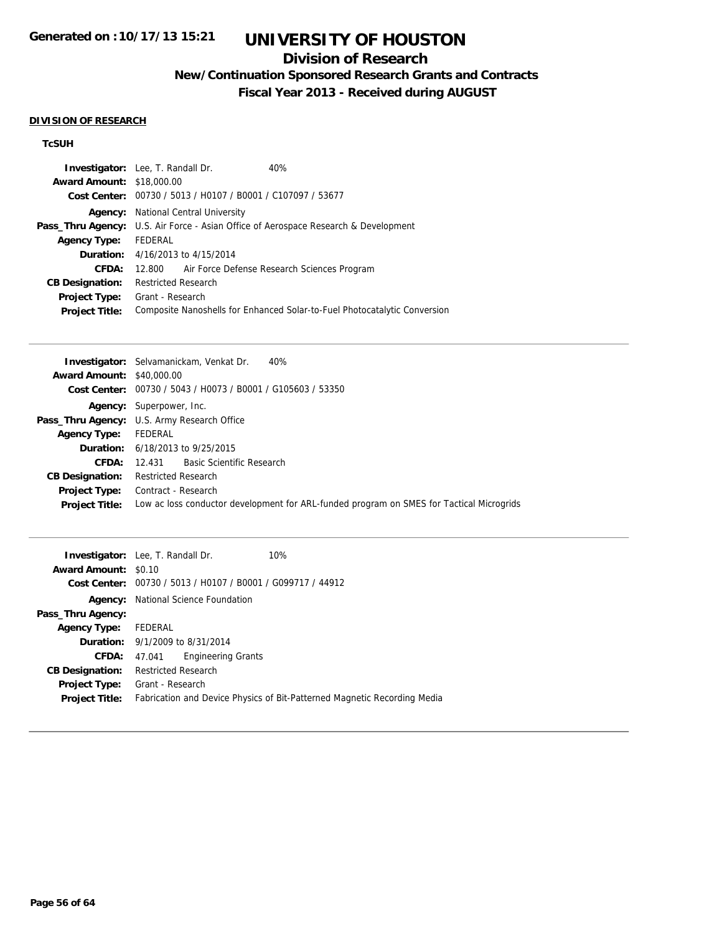## **Division of Research**

**New/Continuation Sponsored Research Grants and Contracts**

**Fiscal Year 2013 - Received during AUGUST**

#### **DIVISION OF RESEARCH**

## **TcSUH**

| <b>Investigator:</b> Lee, T. Randall Dr. |                                                                                            |                                         | 40%                                                                       |  |
|------------------------------------------|--------------------------------------------------------------------------------------------|-----------------------------------------|---------------------------------------------------------------------------|--|
| <b>Award Amount: \$18,000.00</b>         |                                                                                            |                                         |                                                                           |  |
|                                          | Cost Center: 00730 / 5013 / H0107 / B0001 / C107097 / 53677                                |                                         |                                                                           |  |
|                                          | <b>Agency:</b> National Central University                                                 |                                         |                                                                           |  |
|                                          | <b>Pass_Thru Agency:</b> U.S. Air Force - Asian Office of Aerospace Research & Development |                                         |                                                                           |  |
| <b>Agency Type:</b>                      | FEDERAL                                                                                    |                                         |                                                                           |  |
|                                          |                                                                                            | <b>Duration:</b> 4/16/2013 to 4/15/2014 |                                                                           |  |
| CFDA:                                    |                                                                                            |                                         | 12.800 Air Force Defense Research Sciences Program                        |  |
| <b>CB Designation:</b>                   | <b>Restricted Research</b>                                                                 |                                         |                                                                           |  |
| Project Type:                            | Grant - Research                                                                           |                                         |                                                                           |  |
| <b>Project Title:</b>                    |                                                                                            |                                         | Composite Nanoshells for Enhanced Solar-to-Fuel Photocatalytic Conversion |  |

|                                  | 40%<br><b>Investigator:</b> Selvamanickam, Venkat Dr.                                    |
|----------------------------------|------------------------------------------------------------------------------------------|
| <b>Award Amount: \$40,000.00</b> |                                                                                          |
|                                  | Cost Center: 00730 / 5043 / H0073 / B0001 / G105603 / 53350                              |
|                                  | <b>Agency:</b> Superpower, Inc.                                                          |
|                                  | <b>Pass_Thru Agency:</b> U.S. Army Research Office                                       |
| <b>Agency Type:</b>              | FEDERAL                                                                                  |
|                                  | <b>Duration:</b> 6/18/2013 to 9/25/2015                                                  |
| CFDA:                            | 12.431 Basic Scientific Research                                                         |
| <b>CB Designation:</b>           | <b>Restricted Research</b>                                                               |
|                                  | <b>Project Type:</b> Contract - Research                                                 |
| <b>Project Title:</b>            | Low ac loss conductor development for ARL-funded program on SMES for Tactical Microgrids |
|                                  |                                                                                          |

| <b>Investigator:</b> Lee, T. Randall Dr. |                            |                                                | 10%                                                                      |
|------------------------------------------|----------------------------|------------------------------------------------|--------------------------------------------------------------------------|
| <b>Award Amount: \$0.10</b>              |                            |                                                |                                                                          |
| Cost Center:                             |                            | 00730 / 5013 / H0107 / B0001 / G099717 / 44912 |                                                                          |
| Agency:                                  |                            | National Science Foundation                    |                                                                          |
| Pass_Thru Agency:                        |                            |                                                |                                                                          |
| <b>Agency Type:</b>                      | FEDERAL                    |                                                |                                                                          |
| <b>Duration:</b> 9/1/2009 to 8/31/2014   |                            |                                                |                                                                          |
| <b>CFDA:</b>                             | 47.041                     | <b>Engineering Grants</b>                      |                                                                          |
| <b>CB Designation:</b>                   | <b>Restricted Research</b> |                                                |                                                                          |
| <b>Project Type:</b>                     | Grant - Research           |                                                |                                                                          |
| <b>Project Title:</b>                    |                            |                                                | Fabrication and Device Physics of Bit-Patterned Magnetic Recording Media |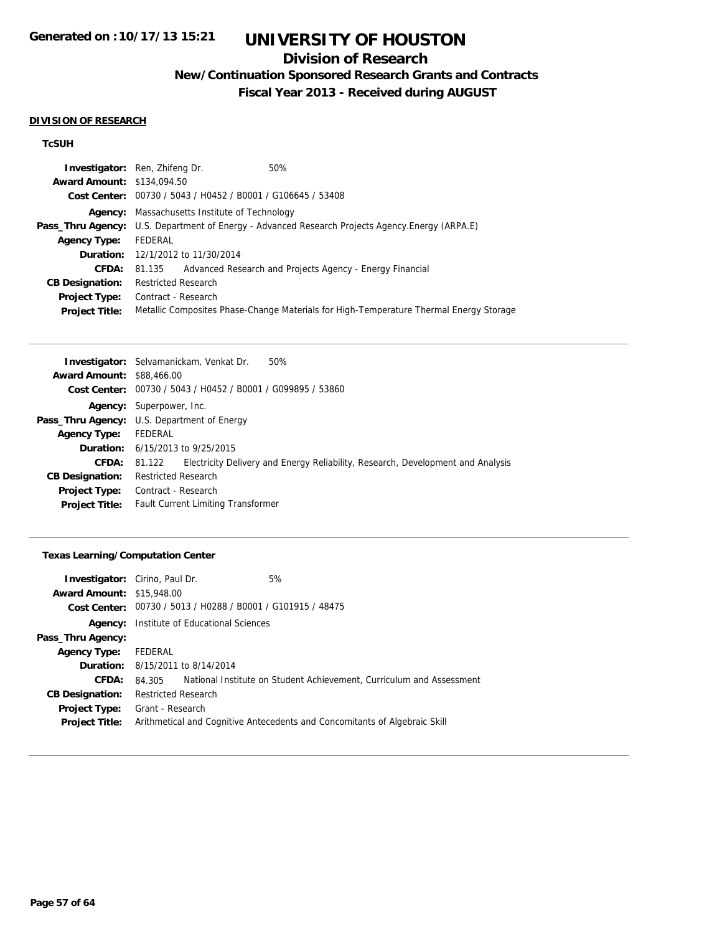# **Division of Research**

# **New/Continuation Sponsored Research Grants and Contracts**

**Fiscal Year 2013 - Received during AUGUST**

#### **DIVISION OF RESEARCH**

### **TcSUH**

|                                   | <b>Investigator:</b> Ren, Zhifeng Dr.                       | 50%                                                                                              |
|-----------------------------------|-------------------------------------------------------------|--------------------------------------------------------------------------------------------------|
| <b>Award Amount: \$134,094.50</b> |                                                             |                                                                                                  |
|                                   | Cost Center: 00730 / 5043 / H0452 / B0001 / G106645 / 53408 |                                                                                                  |
|                                   | <b>Agency:</b> Massachusetts Institute of Technology        |                                                                                                  |
|                                   |                                                             | Pass_Thru Agency: U.S. Department of Energy - Advanced Research Projects Agency. Energy (ARPA.E) |
| <b>Agency Type:</b>               | FEDERAL                                                     |                                                                                                  |
|                                   | <b>Duration:</b> 12/1/2012 to 11/30/2014                    |                                                                                                  |
| <b>CFDA:</b>                      |                                                             | 81.135 Advanced Research and Projects Agency - Energy Financial                                  |
| <b>CB Designation:</b>            | <b>Restricted Research</b>                                  |                                                                                                  |
| Project Type:                     | Contract - Research                                         |                                                                                                  |
| <b>Project Title:</b>             |                                                             | Metallic Composites Phase-Change Materials for High-Temperature Thermal Energy Storage           |

|                                  | <b>Investigator:</b> Selvamanickam, Venkat Dr.<br>50%                                     |
|----------------------------------|-------------------------------------------------------------------------------------------|
| <b>Award Amount: \$88,466.00</b> |                                                                                           |
|                                  | <b>Cost Center:</b> $00730 / 5043 / 40452 / 80001 / 6099895 / 53860$                      |
|                                  | <b>Agency:</b> Superpower, Inc.                                                           |
|                                  | <b>Pass_Thru Agency:</b> U.S. Department of Energy                                        |
| <b>Agency Type:</b>              | FEDERAL                                                                                   |
|                                  | <b>Duration:</b> 6/15/2013 to 9/25/2015                                                   |
| CFDA:                            | Electricity Delivery and Energy Reliability, Research, Development and Analysis<br>81.122 |
| <b>CB Designation:</b>           | <b>Restricted Research</b>                                                                |
| Project Type:                    | Contract - Research                                                                       |
| <b>Project Title:</b>            | <b>Fault Current Limiting Transformer</b>                                                 |
|                                  |                                                                                           |

## **Texas Learning/Computation Center**

| <b>Investigator:</b> Cirino, Paul Dr. |                            |                                                             | 5%                                                                         |
|---------------------------------------|----------------------------|-------------------------------------------------------------|----------------------------------------------------------------------------|
| <b>Award Amount: \$15,948.00</b>      |                            |                                                             |                                                                            |
|                                       |                            | Cost Center: 00730 / 5013 / H0288 / B0001 / G101915 / 48475 |                                                                            |
| Agency:                               |                            | Institute of Educational Sciences                           |                                                                            |
| Pass_Thru Agency:                     |                            |                                                             |                                                                            |
| <b>Agency Type:</b>                   | FEDERAL                    |                                                             |                                                                            |
|                                       |                            | <b>Duration:</b> 8/15/2011 to 8/14/2014                     |                                                                            |
| CFDA:                                 | 84.305                     |                                                             | National Institute on Student Achievement, Curriculum and Assessment       |
| <b>CB Designation:</b>                | <b>Restricted Research</b> |                                                             |                                                                            |
| <b>Project Type:</b>                  | Grant - Research           |                                                             |                                                                            |
| <b>Project Title:</b>                 |                            |                                                             | Arithmetical and Cognitive Antecedents and Concomitants of Algebraic Skill |
|                                       |                            |                                                             |                                                                            |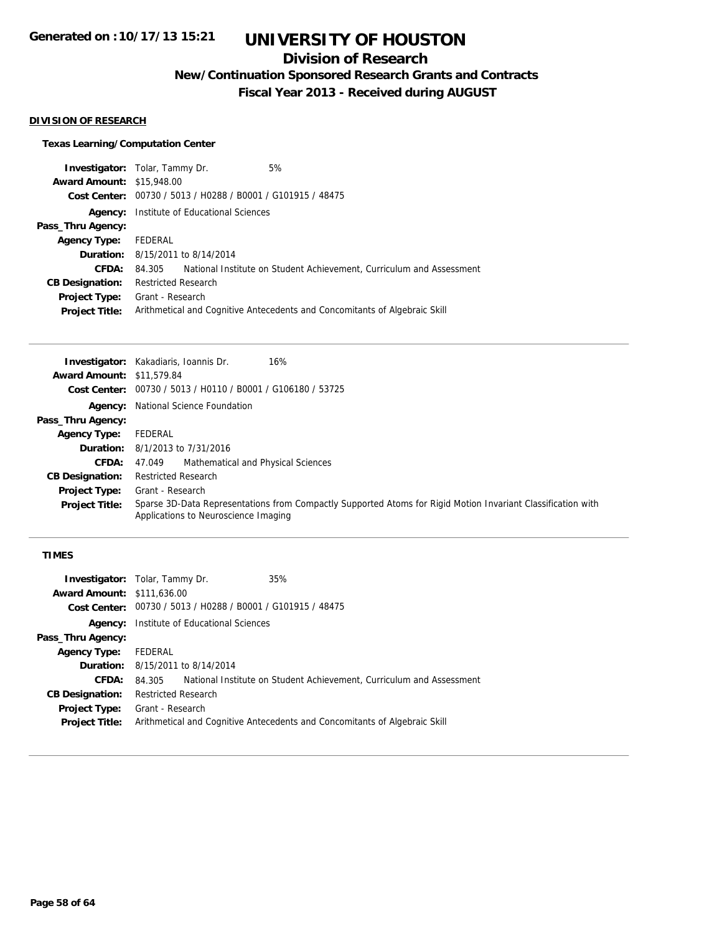# **Division of Research**

**New/Continuation Sponsored Research Grants and Contracts**

**Fiscal Year 2013 - Received during AUGUST**

#### **DIVISION OF RESEARCH**

## **Texas Learning/Computation Center**

| <b>Investigator:</b> Tolar, Tammy Dr. |                            |                                                             | 5%                                                                         |
|---------------------------------------|----------------------------|-------------------------------------------------------------|----------------------------------------------------------------------------|
| <b>Award Amount: \$15,948.00</b>      |                            |                                                             |                                                                            |
|                                       |                            | Cost Center: 00730 / 5013 / H0288 / B0001 / G101915 / 48475 |                                                                            |
| Agency:                               |                            | Institute of Educational Sciences                           |                                                                            |
| Pass_Thru Agency:                     |                            |                                                             |                                                                            |
| <b>Agency Type:</b>                   | FEDERAL                    |                                                             |                                                                            |
|                                       |                            | <b>Duration:</b> 8/15/2011 to 8/14/2014                     |                                                                            |
| CFDA:                                 | 84.305                     |                                                             | National Institute on Student Achievement, Curriculum and Assessment       |
| <b>CB Designation:</b>                | <b>Restricted Research</b> |                                                             |                                                                            |
| <b>Project Type:</b>                  | Grant - Research           |                                                             |                                                                            |
| <b>Project Title:</b>                 |                            |                                                             | Arithmetical and Cognitive Antecedents and Concomitants of Algebraic Skill |
|                                       |                            |                                                             |                                                                            |

|                                  | <b>Investigator:</b> Kakadiaris, Ioannis Dr.<br>16%                                                                                                  |
|----------------------------------|------------------------------------------------------------------------------------------------------------------------------------------------------|
| <b>Award Amount: \$11,579.84</b> |                                                                                                                                                      |
|                                  | Cost Center: 00730 / 5013 / H0110 / B0001 / G106180 / 53725                                                                                          |
|                                  | <b>Agency:</b> National Science Foundation                                                                                                           |
| Pass_Thru Agency:                |                                                                                                                                                      |
| <b>Agency Type:</b>              | FEDERAL                                                                                                                                              |
|                                  | <b>Duration:</b> 8/1/2013 to 7/31/2016                                                                                                               |
| <b>CFDA:</b>                     | Mathematical and Physical Sciences<br>47.049                                                                                                         |
| <b>CB Designation:</b>           | <b>Restricted Research</b>                                                                                                                           |
| <b>Project Type:</b>             | Grant - Research                                                                                                                                     |
| <b>Project Title:</b>            | Sparse 3D-Data Representations from Compactly Supported Atoms for Rigid Motion Invariant Classification with<br>Applications to Neuroscience Imaging |

### **TIMES**

| <b>Investigator:</b> Tolar, Tammy Dr. |                                         |                                   | 35%                                                                        |
|---------------------------------------|-----------------------------------------|-----------------------------------|----------------------------------------------------------------------------|
| <b>Award Amount: \$111,636,00</b>     |                                         |                                   |                                                                            |
|                                       |                                         |                                   | Cost Center: 00730 / 5013 / H0288 / B0001 / G101915 / 48475                |
| Agency:                               |                                         | Institute of Educational Sciences |                                                                            |
| Pass_Thru Agency:                     |                                         |                                   |                                                                            |
| <b>Agency Type:</b>                   | FEDERAL                                 |                                   |                                                                            |
|                                       | <b>Duration:</b> 8/15/2011 to 8/14/2014 |                                   |                                                                            |
| CFDA:                                 | 84.305                                  |                                   | National Institute on Student Achievement, Curriculum and Assessment       |
| <b>CB Designation:</b>                | <b>Restricted Research</b>              |                                   |                                                                            |
| <b>Project Type:</b>                  | Grant - Research                        |                                   |                                                                            |
| <b>Project Title:</b>                 |                                         |                                   | Arithmetical and Cognitive Antecedents and Concomitants of Algebraic Skill |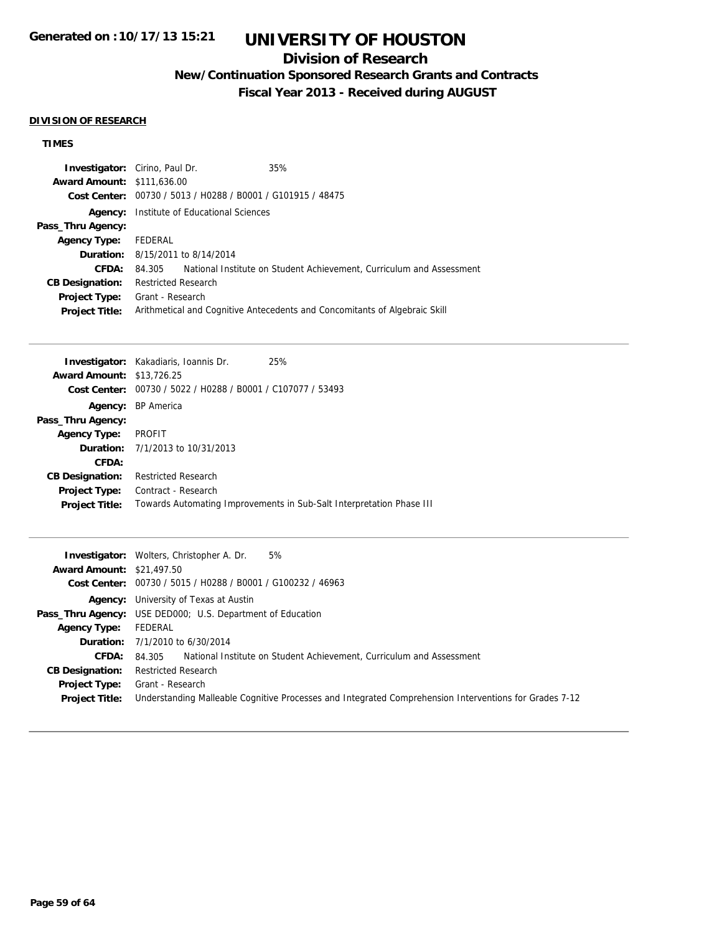## **Division of Research**

# **New/Continuation Sponsored Research Grants and Contracts**

**Fiscal Year 2013 - Received during AUGUST**

### **DIVISION OF RESEARCH**

## **TIMES**

| <b>Investigator:</b> Cirino, Paul Dr. |                            |                                                | 35%                                                                        |
|---------------------------------------|----------------------------|------------------------------------------------|----------------------------------------------------------------------------|
| <b>Award Amount: \$111,636,00</b>     |                            |                                                |                                                                            |
| Cost Center:                          |                            | 00730 / 5013 / H0288 / B0001 / G101915 / 48475 |                                                                            |
| Agency:                               |                            | Institute of Educational Sciences              |                                                                            |
| Pass_Thru Agency:                     |                            |                                                |                                                                            |
| <b>Agency Type:</b>                   | FEDERAL                    |                                                |                                                                            |
|                                       |                            | <b>Duration:</b> 8/15/2011 to 8/14/2014        |                                                                            |
| <b>CFDA:</b>                          | 84.305                     |                                                | National Institute on Student Achievement, Curriculum and Assessment       |
| <b>CB Designation:</b>                | <b>Restricted Research</b> |                                                |                                                                            |
| Project Type:                         | Grant - Research           |                                                |                                                                            |
| <b>Project Title:</b>                 |                            |                                                | Arithmetical and Cognitive Antecedents and Concomitants of Algebraic Skill |

|                            | 25%                                                                                                                                                                                                              |
|----------------------------|------------------------------------------------------------------------------------------------------------------------------------------------------------------------------------------------------------------|
|                            |                                                                                                                                                                                                                  |
|                            |                                                                                                                                                                                                                  |
|                            |                                                                                                                                                                                                                  |
|                            |                                                                                                                                                                                                                  |
| <b>PROFIT</b>              |                                                                                                                                                                                                                  |
|                            |                                                                                                                                                                                                                  |
|                            |                                                                                                                                                                                                                  |
| <b>Restricted Research</b> |                                                                                                                                                                                                                  |
| Contract - Research        |                                                                                                                                                                                                                  |
|                            | Towards Automating Improvements in Sub-Salt Interpretation Phase III                                                                                                                                             |
|                            | <b>Investigator:</b> Kakadiaris, Ioannis Dr.<br><b>Award Amount: \$13,726.25</b><br>Cost Center: 00730 / 5022 / H0288 / B0001 / C107077 / 53493<br>Agency: BP America<br><b>Duration:</b> 7/1/2013 to 10/31/2013 |

|                                  | 5%<br><b>Investigator:</b> Wolters, Christopher A. Dr.                                                 |
|----------------------------------|--------------------------------------------------------------------------------------------------------|
| <b>Award Amount: \$21,497.50</b> |                                                                                                        |
|                                  | Cost Center: 00730 / 5015 / H0288 / B0001 / G100232 / 46963                                            |
|                                  | <b>Agency:</b> University of Texas at Austin                                                           |
|                                  | <b>Pass_Thru Agency:</b> USE DED000; U.S. Department of Education                                      |
| <b>Agency Type:</b>              | FEDERAL                                                                                                |
|                                  | <b>Duration:</b> 7/1/2010 to 6/30/2014                                                                 |
| <b>CFDA:</b>                     | National Institute on Student Achievement. Curriculum and Assessment<br>84.305                         |
| <b>CB Designation:</b>           | <b>Restricted Research</b>                                                                             |
| <b>Project Type:</b>             | Grant - Research                                                                                       |
| <b>Project Title:</b>            | Understanding Malleable Cognitive Processes and Integrated Comprehension Interventions for Grades 7-12 |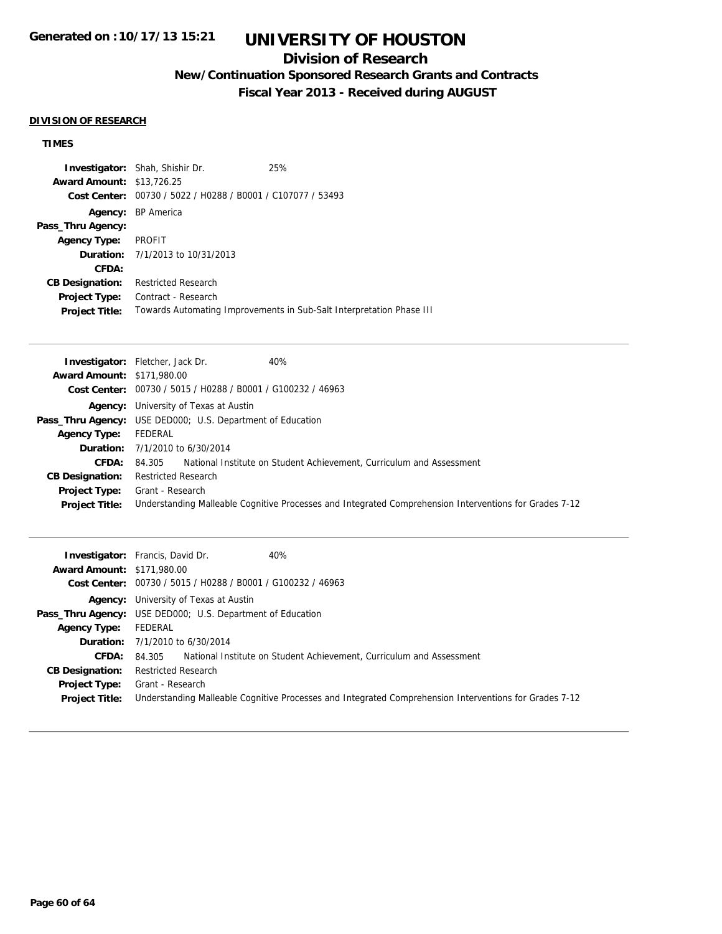# **Division of Research**

# **New/Continuation Sponsored Research Grants and Contracts**

**Fiscal Year 2013 - Received during AUGUST**

### **DIVISION OF RESEARCH**

## **TIMES**

|                                  | <b>Investigator:</b> Shah, Shishir Dr.         | 25%                                                                  |
|----------------------------------|------------------------------------------------|----------------------------------------------------------------------|
| <b>Award Amount: \$13,726.25</b> |                                                |                                                                      |
| Cost Center:                     | 00730 / 5022 / H0288 / B0001 / C107077 / 53493 |                                                                      |
|                                  | <b>Agency:</b> BP America                      |                                                                      |
| Pass_Thru Agency:                |                                                |                                                                      |
| <b>Agency Type:</b>              | PROFIT                                         |                                                                      |
|                                  | <b>Duration:</b> 7/1/2013 to 10/31/2013        |                                                                      |
| CFDA:                            |                                                |                                                                      |
| <b>CB Designation:</b>           | <b>Restricted Research</b>                     |                                                                      |
| <b>Project Type:</b>             | Contract - Research                            |                                                                      |
| <b>Project Title:</b>            |                                                | Towards Automating Improvements in Sub-Salt Interpretation Phase III |

|                                   | 40%<br><b>Investigator:</b> Fletcher, Jack Dr.                                                         |
|-----------------------------------|--------------------------------------------------------------------------------------------------------|
| <b>Award Amount: \$171,980.00</b> |                                                                                                        |
|                                   | Cost Center: 00730 / 5015 / H0288 / B0001 / G100232 / 46963                                            |
|                                   | <b>Agency:</b> University of Texas at Austin                                                           |
|                                   | <b>Pass_Thru Agency:</b> USE DED000; U.S. Department of Education                                      |
| <b>Agency Type:</b>               | FEDERAL                                                                                                |
|                                   | <b>Duration:</b> 7/1/2010 to 6/30/2014                                                                 |
| <b>CFDA:</b>                      | 84.305 National Institute on Student Achievement, Curriculum and Assessment                            |
| <b>CB Designation:</b>            | <b>Restricted Research</b>                                                                             |
| <b>Project Type:</b>              | Grant - Research                                                                                       |
| <b>Project Title:</b>             | Understanding Malleable Cognitive Processes and Integrated Comprehension Interventions for Grades 7-12 |

| <b>Award Amount: \$171,980.00</b> | <b>Investigator:</b> Francis, David Dr.<br>40%                                                         |
|-----------------------------------|--------------------------------------------------------------------------------------------------------|
|                                   | Cost Center: 00730 / 5015 / H0288 / B0001 / G100232 / 46963                                            |
|                                   | <b>Agency:</b> University of Texas at Austin                                                           |
|                                   | <b>Pass_Thru Agency:</b> USE DED000; U.S. Department of Education                                      |
| <b>Agency Type:</b>               | FEDERAL                                                                                                |
|                                   | <b>Duration:</b> 7/1/2010 to 6/30/2014                                                                 |
| <b>CFDA:</b>                      | National Institute on Student Achievement, Curriculum and Assessment<br>84.305                         |
| <b>CB Designation:</b>            | <b>Restricted Research</b>                                                                             |
| <b>Project Type:</b>              | Grant - Research                                                                                       |
| <b>Project Title:</b>             | Understanding Malleable Cognitive Processes and Integrated Comprehension Interventions for Grades 7-12 |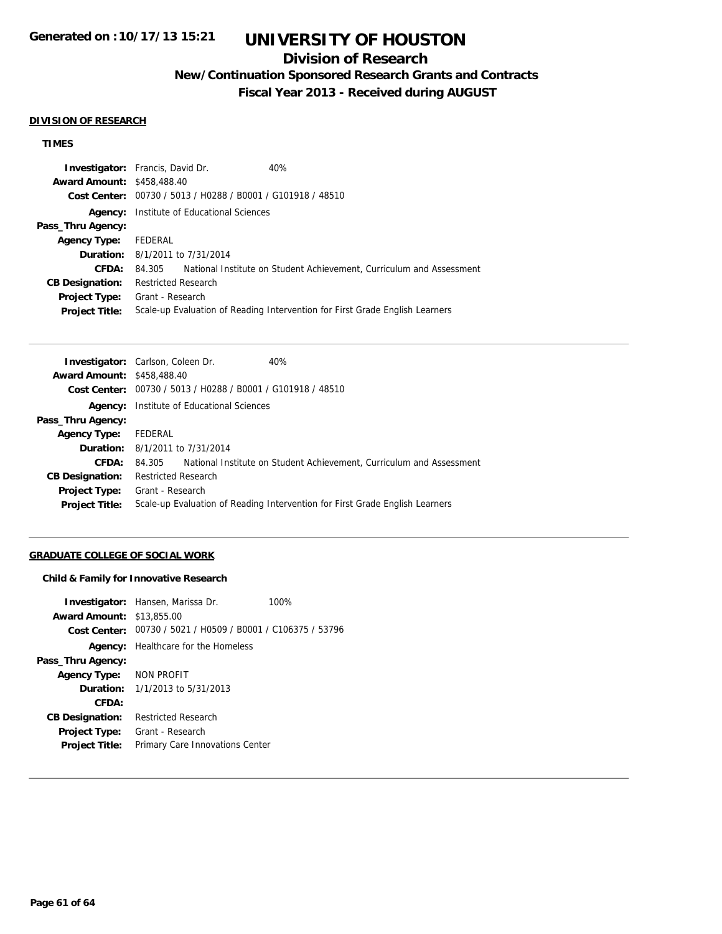## **Division of Research**

## **New/Continuation Sponsored Research Grants and Contracts**

**Fiscal Year 2013 - Received during AUGUST**

#### **DIVISION OF RESEARCH**

## **TIMES**

|                                   | <b>Investigator:</b> Francis, David Dr.                                      | 40%                                                                  |  |
|-----------------------------------|------------------------------------------------------------------------------|----------------------------------------------------------------------|--|
| <b>Award Amount: \$458,488.40</b> |                                                                              |                                                                      |  |
| Cost Center:                      |                                                                              | 00730 / 5013 / H0288 / B0001 / G101918 / 48510                       |  |
| Agency:                           | Institute of Educational Sciences                                            |                                                                      |  |
| Pass_Thru Agency:                 |                                                                              |                                                                      |  |
| <b>Agency Type:</b>               | FEDERAL                                                                      |                                                                      |  |
|                                   | <b>Duration:</b> 8/1/2011 to 7/31/2014                                       |                                                                      |  |
| CFDA:                             | 84.305                                                                       | National Institute on Student Achievement, Curriculum and Assessment |  |
| <b>CB Designation:</b>            | <b>Restricted Research</b>                                                   |                                                                      |  |
| <b>Project Type:</b>              | Grant - Research                                                             |                                                                      |  |
| <b>Project Title:</b>             | Scale-up Evaluation of Reading Intervention for First Grade English Learners |                                                                      |  |

|                                   | <b>Investigator:</b> Carlson, Coleen Dr.                    | 40%                                                                          |
|-----------------------------------|-------------------------------------------------------------|------------------------------------------------------------------------------|
| <b>Award Amount: \$458,488.40</b> |                                                             |                                                                              |
|                                   | Cost Center: 00730 / 5013 / H0288 / B0001 / G101918 / 48510 |                                                                              |
| Agency:                           | Institute of Educational Sciences                           |                                                                              |
| Pass_Thru Agency:                 |                                                             |                                                                              |
| <b>Agency Type:</b>               | FEDERAL                                                     |                                                                              |
|                                   | <b>Duration:</b> 8/1/2011 to 7/31/2014                      |                                                                              |
| CFDA:                             | 84.305                                                      | National Institute on Student Achievement, Curriculum and Assessment         |
| <b>CB Designation:</b>            | <b>Restricted Research</b>                                  |                                                                              |
| <b>Project Type:</b>              | Grant - Research                                            |                                                                              |
| <b>Project Title:</b>             |                                                             | Scale-up Evaluation of Reading Intervention for First Grade English Learners |
|                                   |                                                             |                                                                              |

## **GRADUATE COLLEGE OF SOCIAL WORK**

#### **Child & Family for Innovative Research**

|                            | 100%                                                                                                                                                                                                                                                                                                  |
|----------------------------|-------------------------------------------------------------------------------------------------------------------------------------------------------------------------------------------------------------------------------------------------------------------------------------------------------|
|                            |                                                                                                                                                                                                                                                                                                       |
|                            |                                                                                                                                                                                                                                                                                                       |
|                            |                                                                                                                                                                                                                                                                                                       |
|                            |                                                                                                                                                                                                                                                                                                       |
|                            |                                                                                                                                                                                                                                                                                                       |
|                            |                                                                                                                                                                                                                                                                                                       |
|                            |                                                                                                                                                                                                                                                                                                       |
| <b>Restricted Research</b> |                                                                                                                                                                                                                                                                                                       |
| Grant - Research           |                                                                                                                                                                                                                                                                                                       |
|                            |                                                                                                                                                                                                                                                                                                       |
|                            | <b>Investigator:</b> Hansen, Marissa Dr.<br><b>Award Amount: \$13,855,00</b><br>Cost Center: 00730 / 5021 / H0509 / B0001 / C106375 / 53796<br><b>Agency:</b> Healthcare for the Homeless<br>Agency Type: NON PROFIT<br><b>Duration:</b> $1/1/2013$ to $5/31/2013$<br>Primary Care Innovations Center |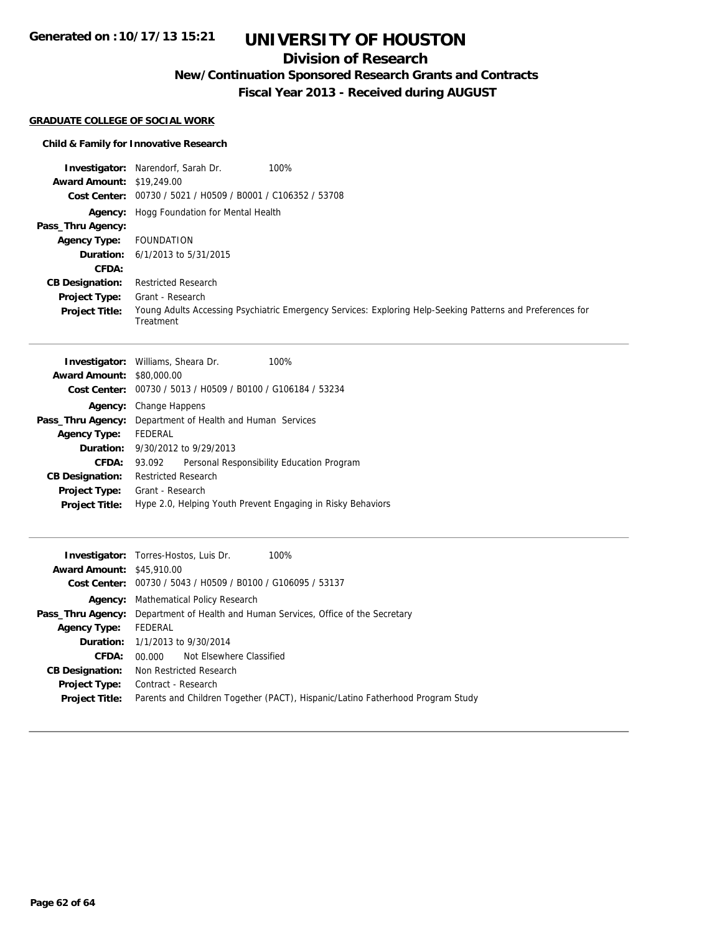**Generated on :10/17/13 15:21**

# **UNIVERSITY OF HOUSTON**

# **Division of Research**

**New/Continuation Sponsored Research Grants and Contracts**

**Fiscal Year 2013 - Received during AUGUST**

### **GRADUATE COLLEGE OF SOCIAL WORK**

## **Child & Family for Innovative Research**

|                                  | 100%<br><b>Investigator:</b> Narendorf, Sarah Dr.                                                                       |
|----------------------------------|-------------------------------------------------------------------------------------------------------------------------|
| <b>Award Amount: \$19,249.00</b> |                                                                                                                         |
| Cost Center:                     | 00730 / 5021 / H0509 / B0001 / C106352 / 53708                                                                          |
|                                  | <b>Agency:</b> Hogg Foundation for Mental Health                                                                        |
| Pass_Thru Agency:                |                                                                                                                         |
| <b>Agency Type:</b>              | <b>FOUNDATION</b>                                                                                                       |
|                                  | <b>Duration:</b> $6/1/2013$ to $5/31/2015$                                                                              |
| <b>CFDA:</b>                     |                                                                                                                         |
| <b>CB Designation:</b>           | <b>Restricted Research</b>                                                                                              |
| <b>Project Type:</b>             | Grant - Research                                                                                                        |
| <b>Project Title:</b>            | Young Adults Accessing Psychiatric Emergency Services: Exploring Help-Seeking Patterns and Preferences for<br>Treatment |

| \$80,000.00<br><b>Award Amount:</b><br>Cost Center: 00730 / 5013 / H0509 / B0100 / G106184 / 53234<br>Change Happens<br>Agency:<br>Department of Health and Human Services<br>Pass_Thru Agency:<br><b>FEDERAL</b><br><b>Agency Type:</b><br><b>Duration:</b> $9/30/2012$ to $9/29/2013$<br>CFDA:<br>Personal Responsibility Education Program<br>93.092<br><b>Restricted Research</b><br><b>CB Designation:</b><br>Grant - Research<br><b>Project Type:</b><br>Hype 2.0, Helping Youth Prevent Engaging in Risky Behaviors<br><b>Project Title:</b> | <b>Investigator:</b> Williams, Sheara Dr. |  |  | 100% |
|-----------------------------------------------------------------------------------------------------------------------------------------------------------------------------------------------------------------------------------------------------------------------------------------------------------------------------------------------------------------------------------------------------------------------------------------------------------------------------------------------------------------------------------------------------|-------------------------------------------|--|--|------|
|                                                                                                                                                                                                                                                                                                                                                                                                                                                                                                                                                     |                                           |  |  |      |
|                                                                                                                                                                                                                                                                                                                                                                                                                                                                                                                                                     |                                           |  |  |      |
|                                                                                                                                                                                                                                                                                                                                                                                                                                                                                                                                                     |                                           |  |  |      |
|                                                                                                                                                                                                                                                                                                                                                                                                                                                                                                                                                     |                                           |  |  |      |
|                                                                                                                                                                                                                                                                                                                                                                                                                                                                                                                                                     |                                           |  |  |      |
|                                                                                                                                                                                                                                                                                                                                                                                                                                                                                                                                                     |                                           |  |  |      |
|                                                                                                                                                                                                                                                                                                                                                                                                                                                                                                                                                     |                                           |  |  |      |
|                                                                                                                                                                                                                                                                                                                                                                                                                                                                                                                                                     |                                           |  |  |      |
|                                                                                                                                                                                                                                                                                                                                                                                                                                                                                                                                                     |                                           |  |  |      |
|                                                                                                                                                                                                                                                                                                                                                                                                                                                                                                                                                     |                                           |  |  |      |

|                                  | 100%<br><b>Investigator:</b> Torres-Hostos, Luis Dr.                           |
|----------------------------------|--------------------------------------------------------------------------------|
| <b>Award Amount: \$45,910.00</b> |                                                                                |
|                                  | Cost Center: 00730 / 5043 / H0509 / B0100 / G106095 / 53137                    |
|                                  | <b>Agency:</b> Mathematical Policy Research                                    |
| Pass_Thru Agency:                | Department of Health and Human Services, Office of the Secretary               |
| <b>Agency Type:</b>              | FEDERAL                                                                        |
|                                  | <b>Duration:</b> 1/1/2013 to 9/30/2014                                         |
| CFDA:                            | 00,000 Not Elsewhere Classified                                                |
| <b>CB Designation:</b>           | Non Restricted Research                                                        |
| Project Type:                    | Contract - Research                                                            |
| <b>Project Title:</b>            | Parents and Children Together (PACT), Hispanic/Latino Fatherhood Program Study |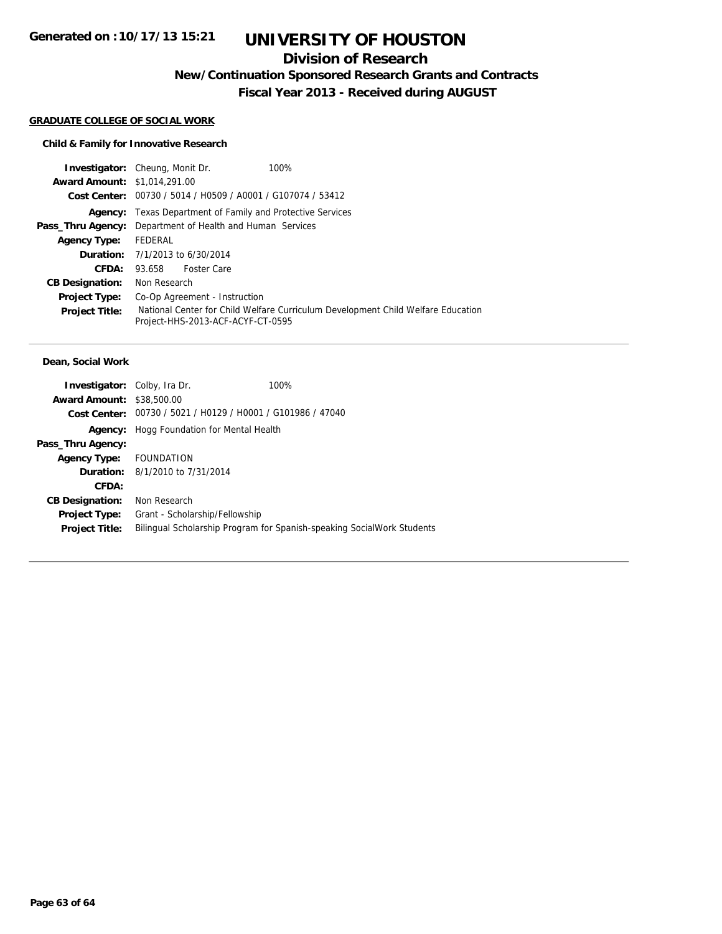# **Division of Research**

**New/Continuation Sponsored Research Grants and Contracts**

**Fiscal Year 2013 - Received during AUGUST**

#### **GRADUATE COLLEGE OF SOCIAL WORK**

## **Child & Family for Innovative Research**

|                                     | 100%<br><b>Investigator:</b> Cheung, Monit Dr.                                                                        |  |  |
|-------------------------------------|-----------------------------------------------------------------------------------------------------------------------|--|--|
| <b>Award Amount: \$1,014,291.00</b> |                                                                                                                       |  |  |
|                                     | Cost Center: 00730 / 5014 / H0509 / A0001 / G107074 / 53412                                                           |  |  |
|                                     | <b>Agency:</b> Texas Department of Family and Protective Services                                                     |  |  |
|                                     | <b>Pass_Thru Agency:</b> Department of Health and Human Services                                                      |  |  |
| <b>Agency Type:</b>                 | FEDERAL                                                                                                               |  |  |
|                                     | <b>Duration:</b> 7/1/2013 to 6/30/2014                                                                                |  |  |
| CFDA:                               | <b>Foster Care</b><br>93.658                                                                                          |  |  |
| <b>CB Designation:</b>              | Non Research                                                                                                          |  |  |
| <b>Project Type:</b>                | Co-Op Agreement - Instruction                                                                                         |  |  |
| <b>Project Title:</b>               | National Center for Child Welfare Curriculum Development Child Welfare Education<br>Project-HHS-2013-ACF-ACYF-CT-0595 |  |  |

#### **Dean, Social Work**

| <b>Investigator:</b> Colby, Ira Dr. |                                                             | 100%                                                                   |
|-------------------------------------|-------------------------------------------------------------|------------------------------------------------------------------------|
| <b>Award Amount: \$38,500.00</b>    |                                                             |                                                                        |
|                                     | Cost Center: 00730 / 5021 / H0129 / H0001 / G101986 / 47040 |                                                                        |
|                                     | <b>Agency:</b> Hogg Foundation for Mental Health            |                                                                        |
| Pass_Thru Agency:                   |                                                             |                                                                        |
| Agency Type: FOUNDATION             |                                                             |                                                                        |
|                                     | <b>Duration:</b> 8/1/2010 to 7/31/2014                      |                                                                        |
| CFDA:                               |                                                             |                                                                        |
| <b>CB Designation:</b>              | Non Research                                                |                                                                        |
| <b>Project Type:</b>                | Grant - Scholarship/Fellowship                              |                                                                        |
| <b>Project Title:</b>               |                                                             | Bilingual Scholarship Program for Spanish-speaking SocialWork Students |
|                                     |                                                             |                                                                        |